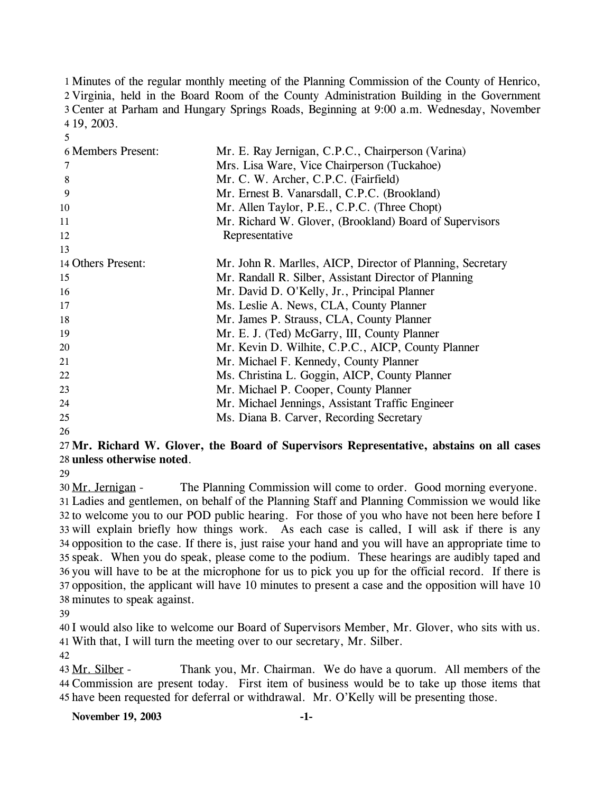1 Minutes of the regular monthly meeting of the Planning Commission of the County of Henrico, 2 Virginia, held in the Board Room of the County Administration Building in the Government Center at Parham and Hungary Springs Roads, Beginning at 9:00 a.m. Wednesday, November 19, 2003.

| <b>6 Members Present:</b> | Mr. E. Ray Jernigan, C.P.C., Chairperson (Varina)          |
|---------------------------|------------------------------------------------------------|
| 7                         | Mrs. Lisa Ware, Vice Chairperson (Tuckahoe)                |
| 8                         | Mr. C. W. Archer, C.P.C. (Fairfield)                       |
| 9                         | Mr. Ernest B. Vanarsdall, C.P.C. (Brookland)               |
| 10                        | Mr. Allen Taylor, P.E., C.P.C. (Three Chopt)               |
| 11                        | Mr. Richard W. Glover, (Brookland) Board of Supervisors    |
| 12                        | Representative                                             |
| 13                        |                                                            |
| 14 Others Present:        | Mr. John R. Marlles, AICP, Director of Planning, Secretary |
| 15                        | Mr. Randall R. Silber, Assistant Director of Planning      |
| 16                        | Mr. David D. O'Kelly, Jr., Principal Planner               |
| 17                        | Ms. Leslie A. News, CLA, County Planner                    |
| 18                        | Mr. James P. Strauss, CLA, County Planner                  |
| 19                        | Mr. E. J. (Ted) McGarry, III, County Planner               |
| 20                        | Mr. Kevin D. Wilhite, C.P.C., AICP, County Planner         |
| 21                        | Mr. Michael F. Kennedy, County Planner                     |
| 22                        | Ms. Christina L. Goggin, AICP, County Planner              |
| 23                        | Mr. Michael P. Cooper, County Planner                      |
| 24                        | Mr. Michael Jennings, Assistant Traffic Engineer           |
| 25                        | Ms. Diana B. Carver, Recording Secretary                   |
| 26                        |                                                            |

## **Mr. Richard W. Glover, the Board of Supervisors Representative, abstains on all cases unless otherwise noted**.

30 Mr. Jernigan - The Planning Commission will come to order. Good morning everyone. Ladies and gentlemen, on behalf of the Planning Staff and Planning Commission we would like to welcome you to our POD public hearing. For those of you who have not been here before I will explain briefly how things work. As each case is called, I will ask if there is any opposition to the case. If there is, just raise your hand and you will have an appropriate time to speak. When you do speak, please come to the podium. These hearings are audibly taped and you will have to be at the microphone for us to pick you up for the official record. If there is opposition, the applicant will have 10 minutes to present a case and the opposition will have 10 minutes to speak against.

 I would also like to welcome our Board of Supervisors Member, Mr. Glover, who sits with us. With that, I will turn the meeting over to our secretary, Mr. Silber.

Thank you, Mr. Chairman. We do have a quorum. All members of the Commission are present today. First item of business would be to take up those items that 45 have been requested for deferral or withdrawal. Mr. O'Kelly will be presenting those. 43 Mr. Silber -

#### **November 19, 2003 -1-**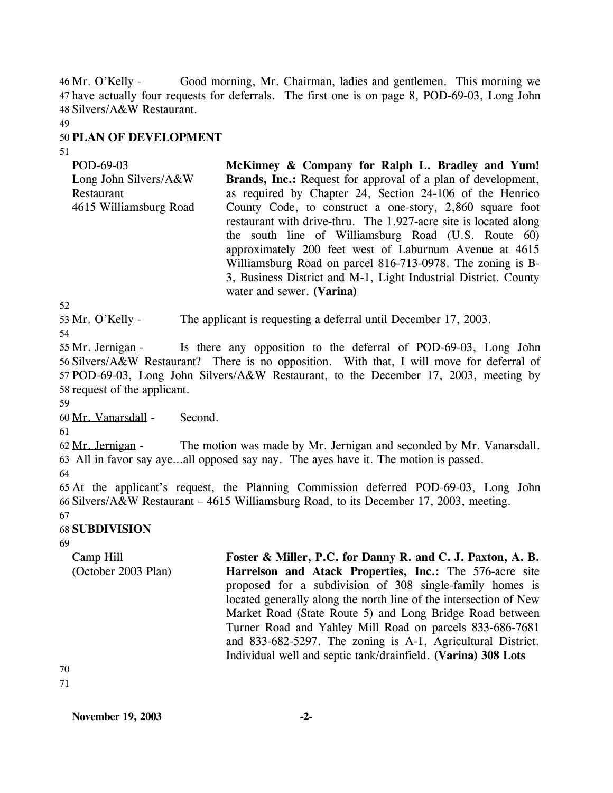Good morning, Mr. Chairman, ladies and gentlemen. This morning we have actually four requests for deferrals. The first one is on page 8, POD-69-03, Long John 47 48 Silvers/A&W Restaurant. 46 Mr. O'Kelly -

49

# 50 **PLAN OF DEVELOPMENT**

51

| <b>Brands, Inc.:</b> Request for approval of a plan of development, |
|---------------------------------------------------------------------|
| as required by Chapter 24, Section 24-106 of the Henrico            |
| County Code, to construct a one-story, 2,860 square foot            |
| restaurant with drive-thru. The 1.927-acre site is located along    |
| the south line of Williamsburg Road (U.S. Route 60)                 |
| approximately 200 feet west of Laburnum Avenue at 4615              |
| Williamsburg Road on parcel 816-713-0978. The zoning is B-          |
| 3, Business District and M-1, Light Industrial District. County     |
|                                                                     |
|                                                                     |

52

53 Mr. O'Kelly - The applicant is requesting a deferral until December 17, 2003.

54

Is there any opposition to the deferral of POD-69-03, Long John 56 Silvers/A&W Restaurant? There is no opposition. With that, I will move for deferral of 57 POD-69-03, Long John Silvers/A&W Restaurant, to the December 17, 2003, meeting by 58 request of the applicant. 55 Mr. Jernigan -

59

60 Mr. Vanarsdall - Second.

61

The motion was made by Mr. Jernigan and seconded by Mr. Vanarsdall. All in favor say aye…all opposed say nay. The ayes have it. The motion is passed. 63 62 Mr. Jernigan -

64

65 At the applicant's request, the Planning Commission deferred POD-69-03, Long John 66 Silvers/A&W Restaurant – 4615 Williamsburg Road, to its December 17, 2003, meeting.

#### 67 68 **SUBDIVISION**

69

Camp Hill (October 2003 Plan) **Foster & Miller, P.C. for Danny R. and C. J. Paxton, A. B. Harrelson and Atack Properties, Inc.:** The 576-acre site proposed for a subdivision of 308 single-family homes is located generally along the north line of the intersection of New Market Road (State Route 5) and Long Bridge Road between Turner Road and Yahley Mill Road on parcels 833-686-7681 and 833-682-5297. The zoning is A-1, Agricultural District. Individual well and septic tank/drainfield. **(Varina) 308 Lots** 

70 71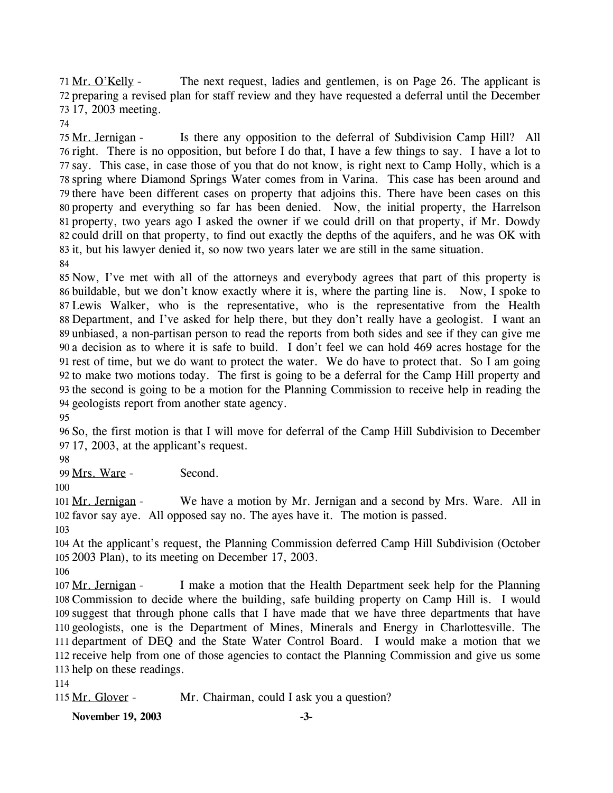The next request, ladies and gentlemen, is on Page 26. The applicant is 72 preparing a revised plan for staff review and they have requested a deferral until the December 17, 2003 meeting. 73 71 Mr. O'Kelly -

74

Is there any opposition to the deferral of Subdivision Camp Hill? All 76 right. There is no opposition, but before I do that, I have a few things to say. I have a lot to 77 say. This case, in case those of you that do not know, is right next to Camp Holly, which is a 78 spring where Diamond Springs Water comes from in Varina. This case has been around and 79 there have been different cases on property that adjoins this. There have been cases on this 80 property and everything so far has been denied. Now, the initial property, the Harrelson 81 property, two years ago I asked the owner if we could drill on that property, if Mr. Dowdy 82 could drill on that property, to find out exactly the depths of the aquifers, and he was OK with 83 it, but his lawyer denied it, so now two years later we are still in the same situation. 75 Mr. Jernigan -84

 Now, I've met with all of the attorneys and everybody agrees that part of this property is buildable, but we don't know exactly where it is, where the parting line is. Now, I spoke to Lewis Walker, who is the representative, who is the representative from the Health Department, and I've asked for help there, but they don't really have a geologist. I want an unbiased, a non-partisan person to read the reports from both sides and see if they can give me a decision as to where it is safe to build. I don't feel we can hold 469 acres hostage for the rest of time, but we do want to protect the water. We do have to protect that. So I am going to make two motions today. The first is going to be a deferral for the Camp Hill property and the second is going to be a motion for the Planning Commission to receive help in reading the geologists report from another state agency.

95

96 So, the first motion is that I will move for deferral of the Camp Hill Subdivision to December 97 17, 2003, at the applicant's request.

98

99 Mrs. Ware - Second.

100

We have a motion by Mr. Jernigan and a second by Mrs. Ware. All in 102 favor say aye. All opposed say no. The ayes have it. The motion is passed. 101 Mr. Jernigan -

103

104 At the applicant's request, the Planning Commission deferred Camp Hill Subdivision (October 105 2003 Plan), to its meeting on December 17, 2003.

106

I make a motion that the Health Department seek help for the Planning 108 Commission to decide where the building, safe building property on Camp Hill is. I would 109 suggest that through phone calls that I have made that we have three departments that have 110 geologists, one is the Department of Mines, Minerals and Energy in Charlottesville. The 111 department of DEQ and the State Water Control Board. I would make a motion that we 112 receive help from one of those agencies to contact the Planning Commission and give us some 113 help on these readings. 107 Mr. Jernigan -

114

115 Mr. Glover - Mr. Chairman, could I ask you a question?

**November 19, 2003 -3-**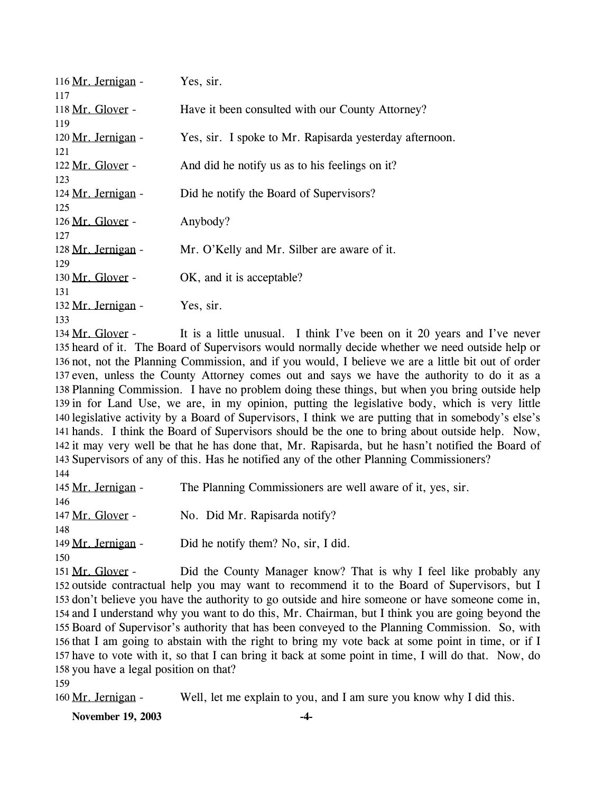| 116 Mr. Jernigan - | Yes, sir.                                               |
|--------------------|---------------------------------------------------------|
| 117                |                                                         |
|                    |                                                         |
| 118 Mr. Glover -   | Have it been consulted with our County Attorney?        |
| 119                |                                                         |
| 120 Mr. Jernigan - | Yes, sir. I spoke to Mr. Rapisarda yesterday afternoon. |
| 121                |                                                         |
| 122 Mr. Glover -   | And did he notify us as to his feelings on it?          |
| 123                |                                                         |
|                    |                                                         |
| 124 Mr. Jernigan - | Did he notify the Board of Supervisors?                 |
| 125                |                                                         |
| 126 Mr. Glover -   | Anybody?                                                |
| 127                |                                                         |
| 128 Mr. Jernigan - | Mr. O'Kelly and Mr. Silber are aware of it.             |
| 129                |                                                         |
| 130 Mr. Glover -   | OK, and it is acceptable?                               |
| 131                |                                                         |
|                    |                                                         |
| 132 Mr. Jernigan - | Yes, sir.                                               |
| 133                |                                                         |

It is a little unusual. I think I've been on it 20 years and I've never 135 heard of it. The Board of Supervisors would normally decide whether we need outside help or 136 not, not the Planning Commission, and if you would, I believe we are a little bit out of order 137 even, unless the County Attorney comes out and says we have the authority to do it as a 138 Planning Commission. I have no problem doing these things, but when you bring outside help 139 in for Land Use, we are, in my opinion, putting the legislative body, which is very little 140 legislative activity by a Board of Supervisors, I think we are putting that in somebody's else's 141 hands. I think the Board of Supervisors should be the one to bring about outside help. Now, 142 it may very well be that he has done that, Mr. Rapisarda, but he hasn't notified the Board of 143 Supervisors of any of this. Has he notified any of the other Planning Commissioners?  $134$  Mr. Glover -144

| 145 Mr. Jernigan - | The Planning Commissioners are well aware of it, yes, sir. |
|--------------------|------------------------------------------------------------|
| 146                |                                                            |
| 147 Mr. Glover -   | No. Did Mr. Rapisarda notify?                              |
| 148                |                                                            |
| 149 Mr. Jernigan - | Did he notify them? No, sir, I did.                        |
| 150                |                                                            |

Did the County Manager know? That is why I feel like probably any 152 outside contractual help you may want to recommend it to the Board of Supervisors, but I 153 don't believe you have the authority to go outside and hire someone or have someone come in, 154 and I understand why you want to do this, Mr. Chairman, but I think you are going beyond the 155 Board of Supervisor's authority that has been conveyed to the Planning Commission. So, with 156 that I am going to abstain with the right to bring my vote back at some point in time, or if I 157 have to vote with it, so that I can bring it back at some point in time, I will do that. Now, do 158 you have a legal position on that? 151 Mr. Glover -

159

160 Mr. Jernigan - Well, let me explain to you, and I am sure you know why I did this.

**November 19, 2003 -4-**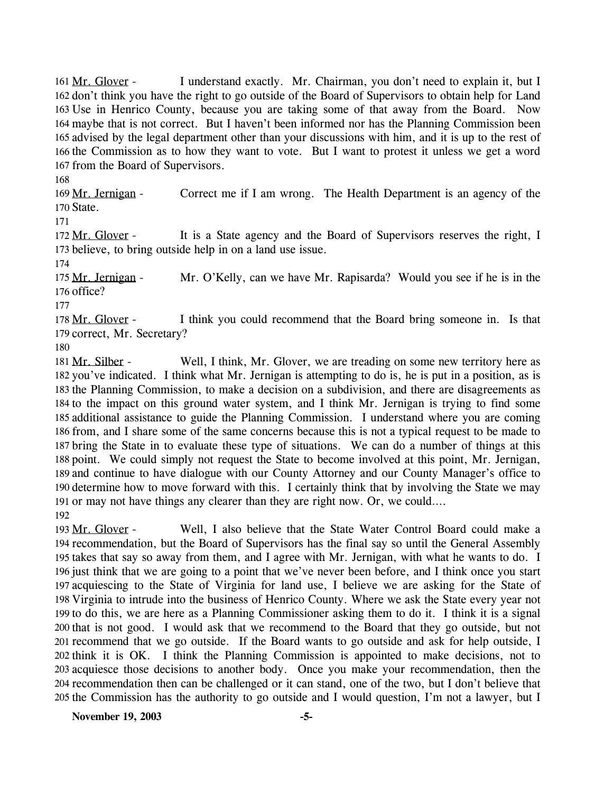I understand exactly. Mr. Chairman, you don't need to explain it, but I 162 don't think you have the right to go outside of the Board of Supervisors to obtain help for Land 163 Use in Henrico County, because you are taking some of that away from the Board. Now 164 maybe that is not correct. But I haven't been informed nor has the Planning Commission been 165 advised by the legal department other than your discussions with him, and it is up to the rest of 166 the Commission as to how they want to vote. But I want to protest it unless we get a word 167 from the Board of Supervisors. 161 Mr. Glover -

168

Correct me if I am wrong. The Health Department is an agency of the 170 State. 169 Mr. Jernigan -

171

It is a State agency and the Board of Supervisors reserves the right, I 173 believe, to bring outside help in on a land use issue. 172 Mr. Glover -

174

Mr. O'Kelly, can we have Mr. Rapisarda? Would you see if he is in the 176 office? 175 Mr. Jernigan -

177

I think you could recommend that the Board bring someone in. Is that 179 correct, Mr. Secretary? 178 Mr. Glover -

180

Well, I think, Mr. Glover, we are treading on some new territory here as 182 you've indicated. I think what Mr. Jernigan is attempting to do is, he is put in a position, as is 183 the Planning Commission, to make a decision on a subdivision, and there are disagreements as 184 to the impact on this ground water system, and I think Mr. Jernigan is trying to find some 185 additional assistance to guide the Planning Commission. I understand where you are coming 186 from, and I share some of the same concerns because this is not a typical request to be made to 187 bring the State in to evaluate these type of situations. We can do a number of things at this 188 point. We could simply not request the State to become involved at this point, Mr. Jernigan, 189 and continue to have dialogue with our County Attorney and our County Manager's office to 190 determine how to move forward with this. I certainly think that by involving the State we may 191 or may not have things any clearer than they are right now. Or, we could.... 181 Mr. Silber -192

Well, I also believe that the State Water Control Board could make a 194 recommendation, but the Board of Supervisors has the final say so until the General Assembly 195 takes that say so away from them, and I agree with Mr. Jernigan, with what he wants to do. I 196 just think that we are going to a point that we've never been before, and I think once you start 197 acquiescing to the State of Virginia for land use, I believe we are asking for the State of 198 Virginia to intrude into the business of Henrico County. Where we ask the State every year not 199 to do this, we are here as a Planning Commissioner asking them to do it. I think it is a signal 200 that is not good. I would ask that we recommend to the Board that they go outside, but not 201 recommend that we go outside. If the Board wants to go outside and ask for help outside, I 202 think it is OK. I think the Planning Commission is appointed to make decisions, not to 203 acquiesce those decisions to another body. Once you make your recommendation, then the 204 recommendation then can be challenged or it can stand, one of the two, but I don't believe that 205 the Commission has the authority to go outside and I would question, I'm not a lawyer, but I 193 Mr. Glover -

**November 19, 2003 -5-**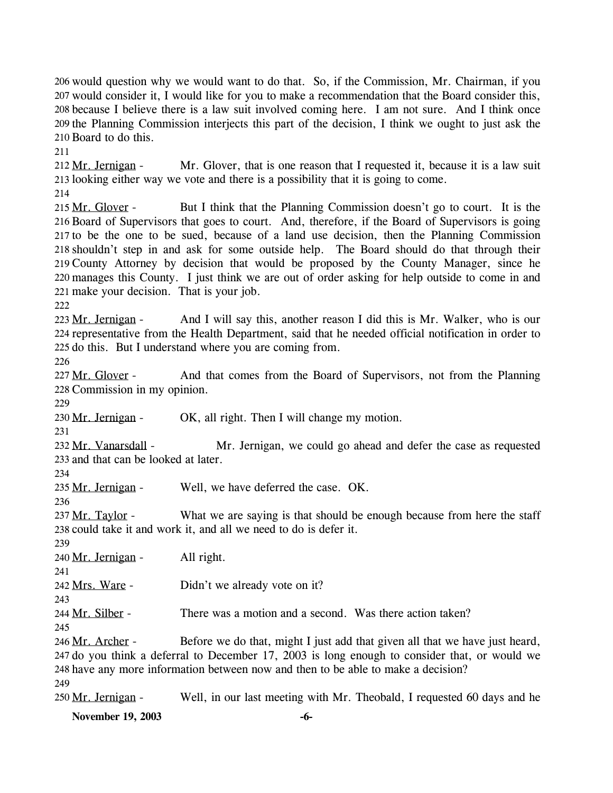206 would question why we would want to do that. So, if the Commission, Mr. Chairman, if you 207 would consider it, I would like for you to make a recommendation that the Board consider this, 208 because I believe there is a law suit involved coming here. I am not sure. And I think once 209 the Planning Commission interjects this part of the decision, I think we ought to just ask the 210 Board to do this.

211

Mr. Glover, that is one reason that I requested it, because it is a law suit 213 looking either way we vote and there is a possibility that it is going to come. 212 Mr. Jernigan -

214

But I think that the Planning Commission doesn't go to court. It is the 216 Board of Supervisors that goes to court. And, therefore, if the Board of Supervisors is going 217 to be the one to be sued, because of a land use decision, then the Planning Commission 218 shouldn't step in and ask for some outside help. The Board should do that through their 219 County Attorney by decision that would be proposed by the County Manager, since he manages this County. I just think we are out of order asking for help outside to come in and 220 221 make your decision. That is your job. 215 Mr. Glover -

222

And I will say this, another reason I did this is Mr. Walker, who is our 224 representative from the Health Department, said that he needed official notification in order to 225 do this. But I understand where you are coming from. 223 Mr. Jernigan -

226

And that comes from the Board of Supervisors, not from the Planning 228 Commission in my opinion. 227 Mr. Glover -

229

230 Mr. Jernigan - OK, all right. Then I will change my motion.

231

Mr. Jernigan, we could go ahead and defer the case as requested 233 and that can be looked at later. 232 Mr. Vanarsdall -

234

235 Mr. Jernigan - Well, we have deferred the case. OK.

236

What we are saying is that should be enough because from here the staff 238 could take it and work it, and all we need to do is defer it. 237 Mr. Taylor -

239

 $240$  Mr. Jernigan - All right.

241 242 Mrs. Ware - Didn't we already vote on it?

243

244 Mr. Silber - There was a motion and a second. Was there action taken?

245

Before we do that, might I just add that given all that we have just heard, 247 do you think a deferral to December 17, 2003 is long enough to consider that, or would we 248 have any more information between now and then to be able to make a decision? 246 Mr. Archer -249

250 Mr. Jernigan - Well, in our last meeting with Mr. Theobald, I requested 60 days and he

**November 19, 2003 -6-**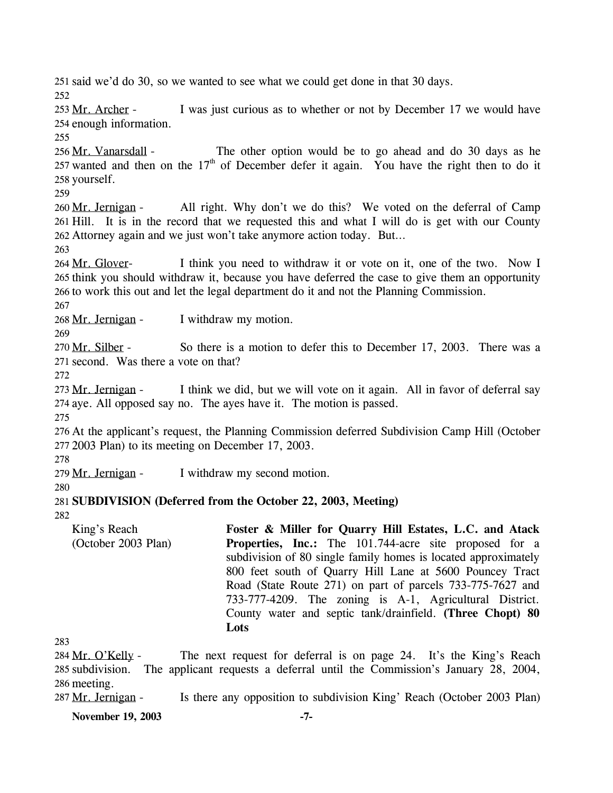251 said we'd do 30, so we wanted to see what we could get done in that 30 days. 252 I was just curious as to whether or not by December 17 we would have 254 enough information. 253 Mr. Archer -255 The other option would be to go ahead and do 30 days as he 257 wanted and then on the  $17<sup>th</sup>$  of December defer it again. You have the right then to do it 256 Mr. Vanarsdall -258 yourself. 259 All right. Why don't we do this? We voted on the deferral of Camp 261 Hill. It is in the record that we requested this and what I will do is get with our County Attorney again and we just won't take anymore action today. But… 262 260 Mr. Jernigan -263 I think you need to withdraw it or vote on it, one of the two. Now I 265 think you should withdraw it, because you have deferred the case to give them an opportunity 266 to work this out and let the legal department do it and not the Planning Commission. 264 Mr. Glover-267 268 Mr. Jernigan - I withdraw my motion. 269 So there is a motion to defer this to December 17, 2003. There was a 271 second. Was there a vote on that? 270 Mr. Silber -272 I think we did, but we will vote on it again. All in favor of deferral say 274 aye. All opposed say no. The ayes have it. The motion is passed. 273 Mr. Jernigan -275 276 At the applicant's request, the Planning Commission deferred Subdivision Camp Hill (October 277 2003 Plan) to its meeting on December 17, 2003. 278 279 Mr. Jernigan - I withdraw my second motion. 280 281 **SUBDIVISION (Deferred from the October 22, 2003, Meeting)**  282 283 King's Reach (October 2003 Plan) **Foster & Miller for Quarry Hill Estates, L.C. and Atack Properties, Inc.:** The 101.744-acre site proposed for a subdivision of 80 single family homes is located approximately 800 feet south of Quarry Hill Lane at 5600 Pouncey Tract Road (State Route 271) on part of parcels 733-775-7627 and 733-777-4209. The zoning is A-1, Agricultural District. County water and septic tank/drainfield. **(Three Chopt) 80 Lots**  The next request for deferral is on page 24. It's the King's Reach 285 subdivision. The applicant requests a deferral until the Commission's January 28, 2004, 286 meeting. 284 Mr. O'Kelly -

287 Mr. Jernigan - Is there any opposition to subdivision King' Reach (October 2003 Plan)

**November 19, 2003** -7-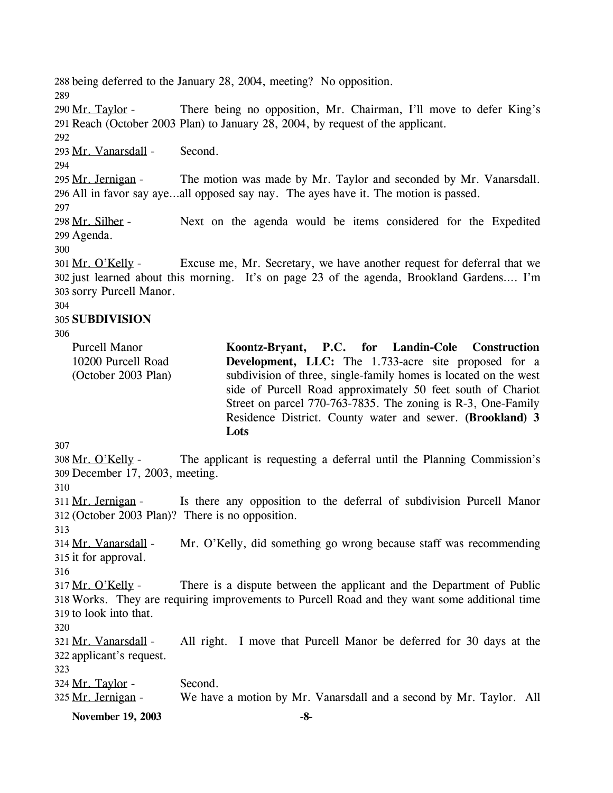288 being deferred to the January 28, 2004, meeting? No opposition. 289 There being no opposition, Mr. Chairman, I'll move to defer King's Reach (October 2003 Plan) to January 28, 2004, by request of the applicant. 291 290 Mr. Taylor -292 293 Mr. Vanarsdall - Second. 294 The motion was made by Mr. Taylor and seconded by Mr. Vanarsdall. All in favor say aye…all opposed say nay. The ayes have it. The motion is passed. 296 295 Mr. Jernigan -297 Next on the agenda would be items considered for the Expedited 299 Agenda. 298 Mr. Silber -300 Excuse me, Mr. Secretary, we have another request for deferral that we 302 just learned about this morning. It's on page 23 of the agenda, Brookland Gardens.... I'm 303 sorry Purcell Manor. 301 Mr. O'Kelly -304 305 **SUBDIVISION**  306 307 Purcell Manor 10200 Purcell Road (October 2003 Plan) **Koontz-Bryant, P.C. for Landin-Cole Construction Development, LLC:** The 1.733-acre site proposed for a subdivision of three, single-family homes is located on the west side of Purcell Road approximately 50 feet south of Chariot Street on parcel 770-763-7835. The zoning is R-3, One-Family Residence District. County water and sewer. **(Brookland) 3 Lots**  The applicant is requesting a deferral until the Planning Commission's 309 December 17, 2003, meeting. 308 Mr. O'Kelly -310 Is there any opposition to the deferral of subdivision Purcell Manor (October 2003 Plan)? There is no opposition. 312 311 Mr. Jernigan -313 Mr. O'Kelly, did something go wrong because staff was recommending 315 it for approval. 314 Mr. Vanarsdall -316 There is a dispute between the applicant and the Department of Public Works. They are requiring improvements to Purcell Road and they want some additional time 318 319 to look into that. 317 Mr. O'Kelly -320 All right. I move that Purcell Manor be deferred for 30 days at the 322 applicant's request. 321 Mr. Vanarsdall -323 324 Mr. Taylor - Second. 325 Mr. Jernigan - We have a motion by Mr. Vanarsdall and a second by Mr. Taylor. All

**November 19, 2003 -8-**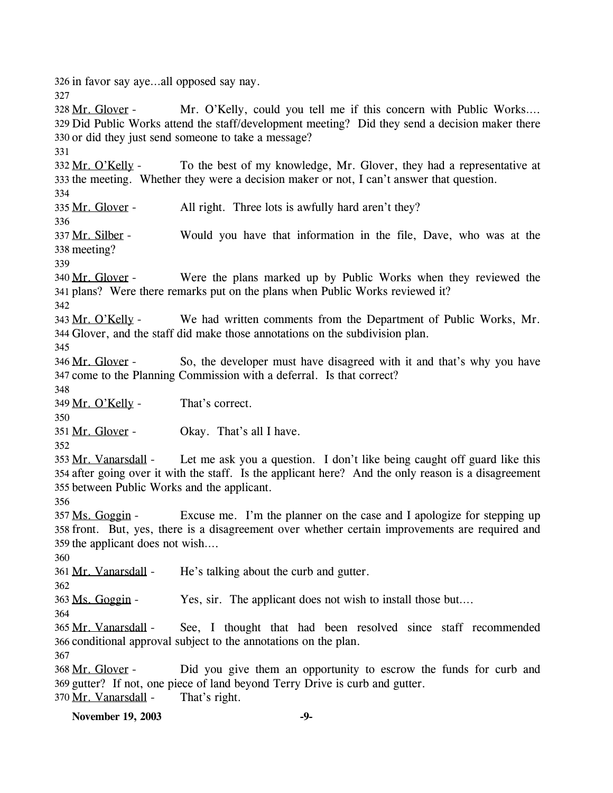326 in favor say aye…all opposed say nay.

327 Mr. O'Kelly, could you tell me if this concern with Public Works.... 329 Did Public Works attend the staff/development meeting? Did they send a decision maker there 330 or did they just send someone to take a message? 328 Mr. Glover -331 To the best of my knowledge, Mr. Glover, they had a representative at 333 the meeting. Whether they were a decision maker or not, I can't answer that question. 332 Mr. O'Kelly -334 335 Mr. Glover - All right. Three lots is awfully hard aren't they? 336 Would you have that information in the file, Dave, who was at the 338 meeting? 337 Mr. Silber -339 Were the plans marked up by Public Works when they reviewed the plans? Were there remarks put on the plans when Public Works reviewed it? 341 340 Mr. Glover -342 We had written comments from the Department of Public Works, Mr. Glover, and the staff did make those annotations on the subdivision plan. 344 343 Mr. O'Kelly -345 So, the developer must have disagreed with it and that's why you have 347 come to the Planning Commission with a deferral. Is that correct? 346 Mr. Glover -348 349 Mr. O'Kelly - That's correct. 350 351 Mr. Glover - Okay. That's all I have. 352 Let me ask you a question. I don't like being caught off guard like this 354 after going over it with the staff. Is the applicant here? And the only reason is a disagreement 355 between Public Works and the applicant. 353 Mr. Vanarsdall -356 Excuse me. I'm the planner on the case and I apologize for stepping up 358 front. But, yes, there is a disagreement over whether certain improvements are required and 359 the applicant does not wish.... 357 Ms. Goggin -360 361 Mr. Vanarsdall - He's talking about the curb and gutter. 362 363 Ms. Goggin - Yes, sir. The applicant does not wish to install those but... 364 See, I thought that had been resolved since staff recommended 366 conditional approval subject to the annotations on the plan. 365 Mr. Vanarsdall -367 Did you give them an opportunity to escrow the funds for curb and 369 gutter? If not, one piece of land beyond Terry Drive is curb and gutter. 368 Mr. Glover -370 Mr. Vanarsdall - That's right.

**November 19, 2003** -9-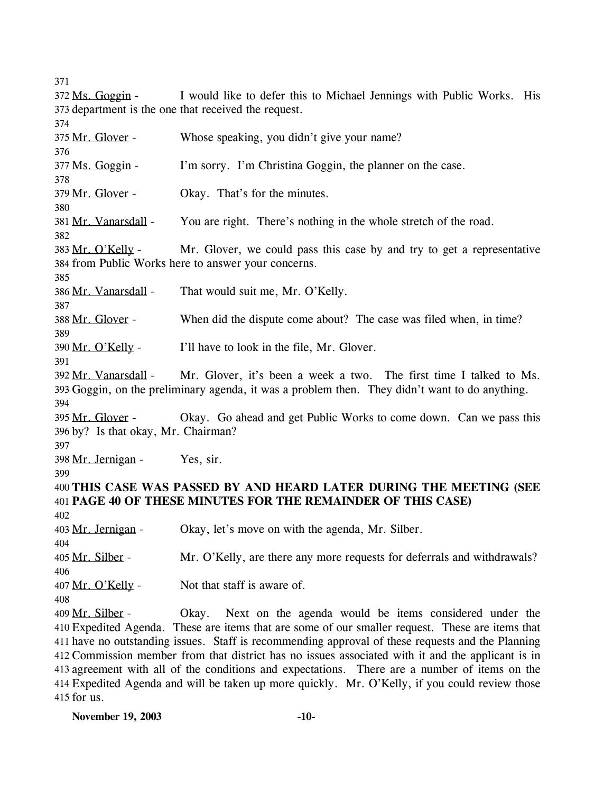371

| 21 L                                |                                                                                                   |  |
|-------------------------------------|---------------------------------------------------------------------------------------------------|--|
| 372 Ms. Goggin -                    | I would like to defer this to Michael Jennings with Public Works. His                             |  |
|                                     | 373 department is the one that received the request.                                              |  |
| 374                                 |                                                                                                   |  |
| 375 Mr. Glover -                    | Whose speaking, you didn't give your name?                                                        |  |
| 376                                 |                                                                                                   |  |
| 377 Ms. Goggin -                    | I'm sorry. I'm Christina Goggin, the planner on the case.                                         |  |
| 378                                 |                                                                                                   |  |
| 379 Mr. Glover -                    | Okay. That's for the minutes.                                                                     |  |
| 380                                 |                                                                                                   |  |
| 381 Mr. Vanarsdall -                | You are right. There's nothing in the whole stretch of the road.                                  |  |
| 382                                 |                                                                                                   |  |
| 383 Mr. O'Kelly -                   | Mr. Glover, we could pass this case by and try to get a representative                            |  |
|                                     | 384 from Public Works here to answer your concerns.                                               |  |
| 385                                 |                                                                                                   |  |
| 386 Mr. Vanarsdall -                | That would suit me, Mr. O'Kelly.                                                                  |  |
| 387                                 |                                                                                                   |  |
| 388 Mr. Glover -                    | When did the dispute come about? The case was filed when, in time?                                |  |
| 389                                 |                                                                                                   |  |
| 390 Mr. O'Kelly -                   | I'll have to look in the file, Mr. Glover.                                                        |  |
| 391                                 |                                                                                                   |  |
|                                     | 392 Mr. Vanarsdall - Mr. Glover, it's been a week a two. The first time I talked to Ms.           |  |
|                                     | 393 Goggin, on the preliminary agenda, it was a problem then. They didn't want to do anything.    |  |
| 394                                 |                                                                                                   |  |
| 395 Mr. Glover -                    | Okay. Go ahead and get Public Works to come down. Can we pass this                                |  |
| 396 by? Is that okay, Mr. Chairman? |                                                                                                   |  |
| 397                                 |                                                                                                   |  |
| 398 Mr. Jernigan -                  | Yes, sir.                                                                                         |  |
| 399                                 |                                                                                                   |  |
|                                     | 400 THIS CASE WAS PASSED BY AND HEARD LATER DURING THE MEETING (SEE                               |  |
|                                     | 401 PAGE 40 OF THESE MINUTES FOR THE REMAINDER OF THIS CASE)                                      |  |
| 402                                 |                                                                                                   |  |
| 403 Mr. Jernigan -                  | Okay, let's move on with the agenda, Mr. Silber                                                   |  |
| 404                                 |                                                                                                   |  |
| 405 Mr. Silber -                    | Mr. O'Kelly, are there any more requests for deferrals and withdrawals?                           |  |
| 406                                 |                                                                                                   |  |
| 407 Mr. O'Kelly -                   | Not that staff is aware of.                                                                       |  |
| 408                                 |                                                                                                   |  |
| 409 Mr. Silber -                    | Okay.<br>Next on the agenda would be items considered under the                                   |  |
|                                     | 410 Expedited Agenda. These are items that are some of our smaller request. These are items that  |  |
|                                     | 411 have no outstanding issues. Staff is recommending approval of these requests and the Planning |  |
|                                     | 412 Commission member from that district has no issues associated with it and the applicant is in |  |
|                                     | 413 agreement with all of the conditions and expectations. There are a number of items on the     |  |
|                                     | 414 Expedited Agenda and will be taken up more quickly. Mr. O'Kelly, if you could review those    |  |
| 415 for us.                         |                                                                                                   |  |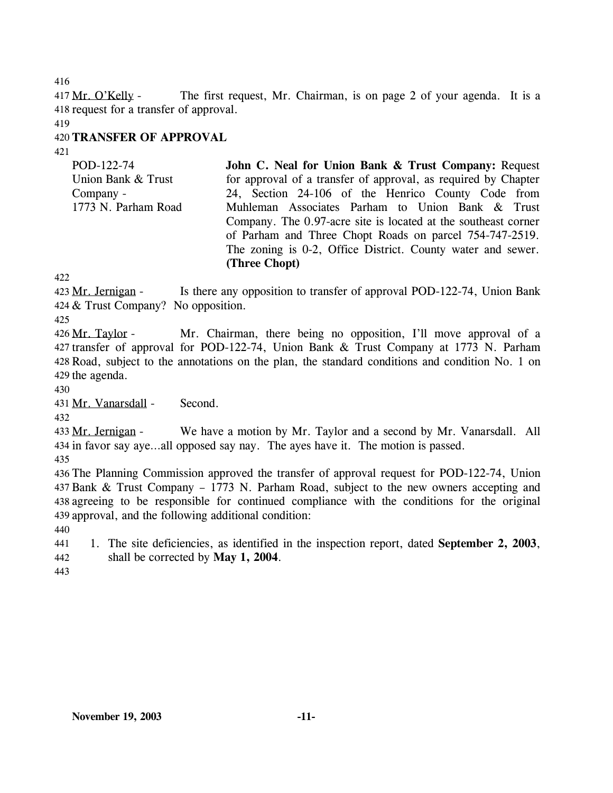416

The first request, Mr. Chairman, is on page 2 of your agenda. It is a 418 request for a transfer of approval. 417 Mr. O'Kelly -

419

# 420 **TRANSFER OF APPROVAL**

421

POD-122-74 Union Bank & Trust Company - 1773 N. Parham Road **John C. Neal for Union Bank & Trust Company:** Request for approval of a transfer of approval, as required by Chapter 24, Section 24-106 of the Henrico County Code from Muhleman Associates Parham to Union Bank & Trust Company. The 0.97-acre site is located at the southeast corner of Parham and Three Chopt Roads on parcel 754-747-2519. The zoning is 0-2, Office District. County water and sewer. **(Three Chopt)** 

422

Is there any opposition to transfer of approval POD-122-74, Union Bank & Trust Company? No opposition. 424 423 Mr. Jernigan -

425

Mr. Chairman, there being no opposition, I'll move approval of a 427 transfer of approval for POD-122-74, Union Bank & Trust Company at 1773 N. Parham 428 Road, subject to the annotations on the plan, the standard conditions and condition No. 1 on 429 the agenda. 426 Mr. Taylor -

430

431 Mr. Vanarsdall - Second.

432

We have a motion by Mr. Taylor and a second by Mr. Vanarsdall. All 434 in favor say aye...all opposed say nay. The ayes have it. The motion is passed. 433 Mr. Jernigan -

435

 The Planning Commission approved the transfer of approval request for POD-122-74, Union Bank & Trust Company – 1773 N. Parham Road, subject to the new owners accepting and agreeing to be responsible for continued compliance with the conditions for the original approval, and the following additional condition:

440

441 442 1. The site deficiencies, as identified in the inspection report, dated **September 2, 2003**, shall be corrected by **May 1, 2004**.

443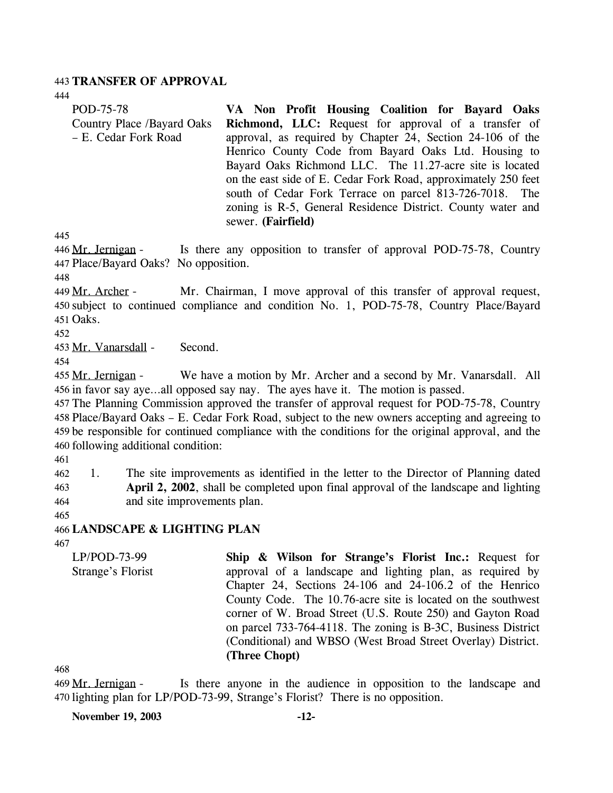#### 443 **TRANSFER OF APPROVAL**

444

| POD-75-78                  | VA Non Profit Housing Coalition for Bayard Oaks                |
|----------------------------|----------------------------------------------------------------|
| Country Place /Bayard Oaks | <b>Richmond, LLC:</b> Request for approval of a transfer of    |
| - E. Cedar Fork Road       | approval, as required by Chapter 24, Section 24-106 of the     |
|                            | Henrico County Code from Bayard Oaks Ltd. Housing to           |
|                            | Bayard Oaks Richmond LLC. The 11.27-acre site is located       |
|                            | on the east side of E. Cedar Fork Road, approximately 250 feet |
|                            | south of Cedar Fork Terrace on parcel 813-726-7018. The        |
|                            | zoning is R-5, General Residence District. County water and    |
|                            | sewer. (Fairfield)                                             |

445

Is there any opposition to transfer of approval POD-75-78, Country Place/Bayard Oaks? No opposition. 447 446 Mr. Jernigan -

448

Mr. Chairman, I move approval of this transfer of approval request, 450 subject to continued compliance and condition No. 1, POD-75-78, Country Place/Bayard 451 Oaks. 449 Mr. Archer -

452

453 Mr. Vanarsdall - Second.

454

We have a motion by Mr. Archer and a second by Mr. Vanarsdall. All 456 in favor say aye...all opposed say nay. The ayes have it. The motion is passed. 455 Mr. Jernigan -

 The Planning Commission approved the transfer of approval request for POD-75-78, Country Place/Bayard Oaks – E. Cedar Fork Road, subject to the new owners accepting and agreeing to be responsible for continued compliance with the conditions for the original approval, and the following additional condition:

461

462 463 464 1. The site improvements as identified in the letter to the Director of Planning dated **April 2, 2002**, shall be completed upon final approval of the landscape and lighting and site improvements plan.

465

466 **LANDSCAPE & LIGHTING PLAN** 

467

LP/POD-73-99 Strange's Florist **Ship & Wilson for Strange's Florist Inc.:** Request for approval of a landscape and lighting plan, as required by Chapter 24, Sections 24-106 and 24-106.2 of the Henrico County Code. The 10.76-acre site is located on the southwest corner of W. Broad Street (U.S. Route 250) and Gayton Road on parcel 733-764-4118. The zoning is B-3C, Business District (Conditional) and WBSO (West Broad Street Overlay) District. **(Three Chopt)** 

468

Is there anyone in the audience in opposition to the landscape and 470 lighting plan for LP/POD-73-99, Strange's Florist? There is no opposition. 469 Mr. Jernigan -

**November 19, 2003 -12-**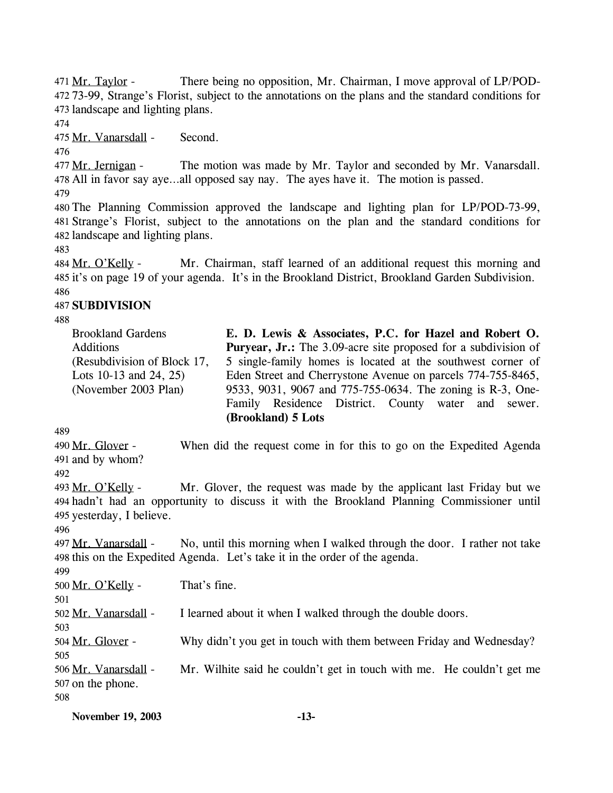There being no opposition, Mr. Chairman, I move approval of LP/POD-73-99, Strange's Florist, subject to the annotations on the plans and the standard conditions for 472 473 landscape and lighting plans. 471 Mr. Taylor -

474

475 Mr. Vanarsdall - Second.

476

The motion was made by Mr. Taylor and seconded by Mr. Vanarsdall. 478 All in favor say aye...all opposed say nay. The ayes have it. The motion is passed. 477 Mr. Jernigan -

479

480 The Planning Commission approved the landscape and lighting plan for LP/POD-73-99, 481 Strange's Florist, subject to the annotations on the plan and the standard conditions for 482 landscape and lighting plans.

483

Mr. Chairman, staff learned of an additional request this morning and 485 it's on page 19 of your agenda. It's in the Brookland District, Brookland Garden Subdivision. 484 Mr. O'Kelly -486

## 487 **SUBDIVISION**

488

| <b>Brookland Gardens</b>    | E. D. Lewis & Associates, P.C. for Hazel and Robert O.                |
|-----------------------------|-----------------------------------------------------------------------|
| <b>Additions</b>            | <b>Puryear, Jr.:</b> The 3.09-acre site proposed for a subdivision of |
| (Resubdivision of Block 17, | 5 single-family homes is located at the southwest corner of           |
| Lots 10-13 and 24, 25)      | Eden Street and Cherrystone Avenue on parcels 774-755-8465,           |
| (November 2003 Plan)        | 9533, 9031, 9067 and 775-755-0634. The zoning is R-3, One-            |
|                             | Family Residence District. County water and sewer.                    |
|                             | (Brookland) 5 Lots                                                    |

489

When did the request come in for this to go on the Expedited Agenda 491 and by whom? 490 Mr. Glover -492

Mr. Glover, the request was made by the applicant last Friday but we 494 hadn't had an opportunity to discuss it with the Brookland Planning Commissioner until 495 yesterday, I believe. 493 Mr. O'Kelly -

496

No, until this morning when I walked through the door. I rather not take 498 this on the Expedited Agenda. Let's take it in the order of the agenda. 497 Mr. Vanarsdall -

499

500 Mr. O'Kelly - That's fine.

501

502 Mr. Vanarsdall - I learned about it when I walked through the double doors.

504 Mr. Glover - Why didn't you get in touch with them between Friday and Wednesday?

505

503

Mr. Wilhite said he couldn't get in touch with me. He couldn't get me 507 on the phone. 506 Mr. Vanarsdall -

508

**November 19, 2003 -13-**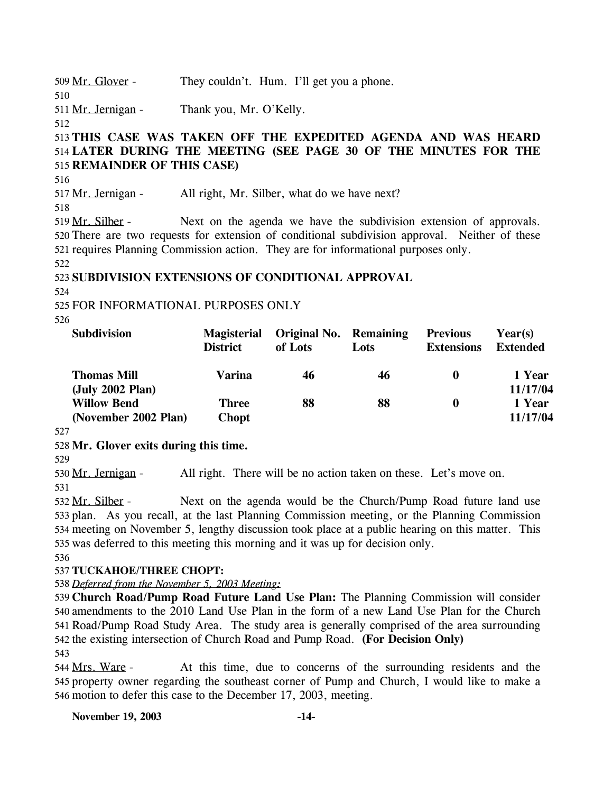509 Mr. Glover - They couldn't. Hum. I'll get you a phone.

511 Mr. Jernigan - Thank you, Mr. O'Kelly.

512

510

# 513 **THIS CASE WAS TAKEN OFF THE EXPEDITED AGENDA AND WAS HEARD**  514 **LATER DURING THE MEETING (SEE PAGE 30 OF THE MINUTES FOR THE**  515 **REMAINDER OF THIS CASE)**

516

517 Mr. Jernigan - All right, Mr. Silber, what do we have next?

518

Next on the agenda we have the subdivision extension of approvals. 520 There are two requests for extension of conditional subdivision approval. Neither of these 521 requires Planning Commission action. They are for informational purposes only. 519 Mr. Silber -

522

# 523 **SUBDIVISION EXTENSIONS OF CONDITIONAL APPROVAL**

524

525 FOR INFORMATIONAL PURPOSES ONLY

526

| <b>Subdivision</b>                         | <b>Magisterial</b><br><b>District</b> | Original No. Remaining<br>of Lots | Lots | <b>Previous</b><br><b>Extensions</b> | Year(s)<br><b>Extended</b> |
|--------------------------------------------|---------------------------------------|-----------------------------------|------|--------------------------------------|----------------------------|
| <b>Thomas Mill</b><br>(July 2002 Plan)     | Varina                                | 46                                | 46   | 0                                    | 1 Year<br>11/17/04         |
| <b>Willow Bend</b><br>(November 2002 Plan) | <b>Three</b><br><b>Chopt</b>          | 88                                | 88   | 0                                    | 1 Year<br>11/17/04         |

527

## 528 **Mr. Glover exits during this time.**

529

530 Mr. Jernigan - All right. There will be no action taken on these. Let's move on. 531

Next on the agenda would be the Church/Pump Road future land use 533 plan. As you recall, at the last Planning Commission meeting, or the Planning Commission 534 meeting on November 5, lengthy discussion took place at a public hearing on this matter. This 535 was deferred to this meeting this morning and it was up for decision only. 532 Mr. Silber -

536

# 537 **TUCKAHOE/THREE CHOPT:**

538 *Deferred from the November 5, 2003 Meeting:*

 **Church Road/Pump Road Future Land Use Plan:** The Planning Commission will consider amendments to the 2010 Land Use Plan in the form of a new Land Use Plan for the Church Road/Pump Road Study Area. The study area is generally comprised of the area surrounding the existing intersection of Church Road and Pump Road. **(For Decision Only)** 543

At this time, due to concerns of the surrounding residents and the 545 property owner regarding the southeast corner of Pump and Church, I would like to make a 546 motion to defer this case to the December 17, 2003, meeting. 544 Mrs. Ware -

**November 19, 2003 -14-**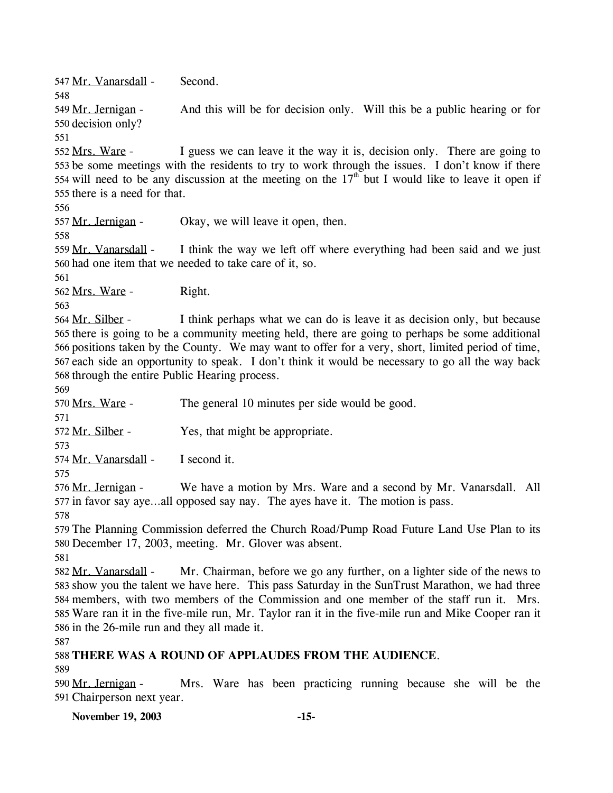547 Mr. Vanarsdall - Second.

548 And this will be for decision only. Will this be a public hearing or for 550 decision only? 549 Mr. Jernigan -

551

I guess we can leave it the way it is, decision only. There are going to 553 be some meetings with the residents to try to work through the issues. I don't know if there 554 will need to be any discussion at the meeting on the  $17<sup>th</sup>$  but I would like to leave it open if 552 Mrs. Ware -555 there is a need for that.

556

557 Mr. Jernigan - Okay, we will leave it open, then.

558

I think the way we left off where everything had been said and we just 560 had one item that we needed to take care of it, so. 559 Mr. Vanarsdall -

561

562 Mrs. Ware - Right.

563

I think perhaps what we can do is leave it as decision only, but because 565 there is going to be a community meeting held, there are going to perhaps be some additional 566 positions taken by the County. We may want to offer for a very, short, limited period of time, 567 each side an opportunity to speak. I don't think it would be necessary to go all the way back 568 through the entire Public Hearing process. 564 Mr. Silber -

569

570 Mrs. Ware - The general 10 minutes per side would be good.

571

572 Mr. Silber - Yes, that might be appropriate.

573

574 Mr. Vanarsdall - I second it.

575

We have a motion by Mrs. Ware and a second by Mr. Vanarsdall. All 577 in favor say aye...all opposed say nay. The ayes have it. The motion is pass. 576 Mr. Jernigan -

578

579 The Planning Commission deferred the Church Road/Pump Road Future Land Use Plan to its 580 December 17, 2003, meeting. Mr. Glover was absent.

581

Mr. Chairman, before we go any further, on a lighter side of the news to 583 show you the talent we have here. This pass Saturday in the SunTrust Marathon, we had three 584 members, with two members of the Commission and one member of the staff run it. Mrs. 585 Ware ran it in the five-mile run, Mr. Taylor ran it in the five-mile run and Mike Cooper ran it 586 in the 26-mile run and they all made it. 582 Mr. Vanarsdall -

587

# 588 **THERE WAS A ROUND OF APPLAUDES FROM THE AUDIENCE**.

589

Mrs. Ware has been practicing running because she will be the 591 Chairperson next year. 590 Mr. Jernigan -

**November 19, 2003 -15-**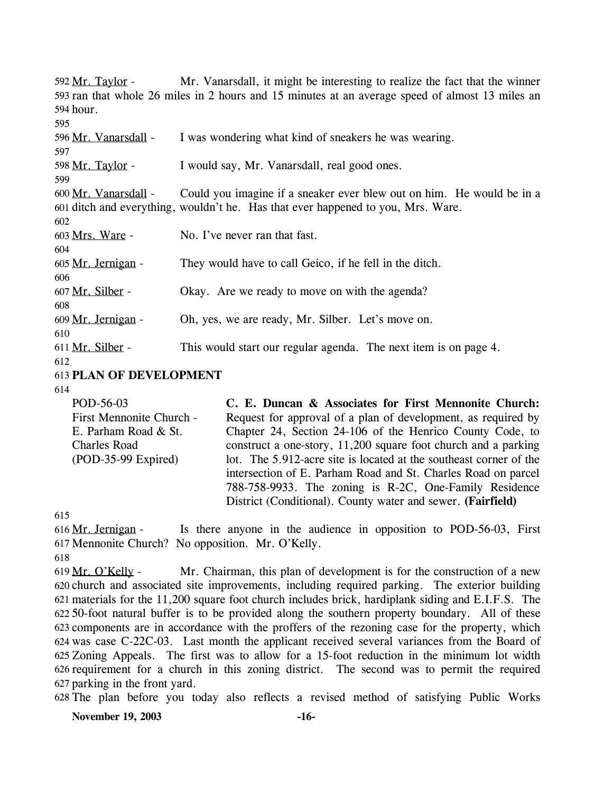Mr. Vanarsdall, it might be interesting to realize the fact that the winner 593 ran that whole 26 miles in 2 hours and 15 minutes at an average speed of almost 13 miles an 594 hour. 592 Mr. Taylor -595 596 Mr. Vanarsdall - I was wondering what kind of sneakers he was wearing. 597 598 Mr. Taylor - I would say, Mr. Vanarsdall, real good ones. 599 Could you imagine if a sneaker ever blew out on him. He would be in a 601 ditch and everything, wouldn't he. Has that ever happened to you, Mrs. Ware. 600 Mr. Vanarsdall -602 603 Mrs. Ware - No. I've never ran that fast. 604 605 Mr. Jernigan - They would have to call Geico, if he fell in the ditch. 606 607 Mr. Silber - Okay. Are we ready to move on with the agenda? 608 609 Mr. Jernigan - Oh, yes, we are ready, Mr. Silber. Let's move on. 610 611 Mr. Silber - This would start our regular agenda. The next item is on page 4. 612 613 **PLAN OF DEVELOPMENT** 

614

POD-56-03 First Mennonite Church - E. Parham Road & St. Charles Road (POD-35-99 Expired) **C. E. Duncan & Associates for First Mennonite Church:**  Request for approval of a plan of development, as required by Chapter 24, Section 24-106 of the Henrico County Code, to construct a one-story, 11,200 square foot church and a parking lot. The 5.912-acre site is located at the southeast corner of the intersection of E. Parham Road and St. Charles Road on parcel 788-758-9933. The zoning is R-2C, One-Family Residence District (Conditional). County water and sewer. **(Fairfield)** 

615

Is there anyone in the audience in opposition to POD-56-03, First 617 Mennonite Church? No opposition. Mr. O'Kelly. 616 Mr. Jernigan -

618

Mr. Chairman, this plan of development is for the construction of a new 620 church and associated site improvements, including required parking. The exterior building materials for the 11,200 square foot church includes brick, hardiplank siding and E.I.F.S. The 621 50-foot natural buffer is to be provided along the southern property boundary. All of these 622 623 components are in accordance with the proffers of the rezoning case for the property, which 624 was case C-22C-03. Last month the applicant received several variances from the Board of 625 Zoning Appeals. The first was to allow for a 15-foot reduction in the minimum lot width 626 requirement for a church in this zoning district. The second was to permit the required 627 parking in the front yard. 619 Mr. O'Kelly -

628 The plan before you today also reflects a revised method of satisfying Public Works

**November 19, 2003 -16-**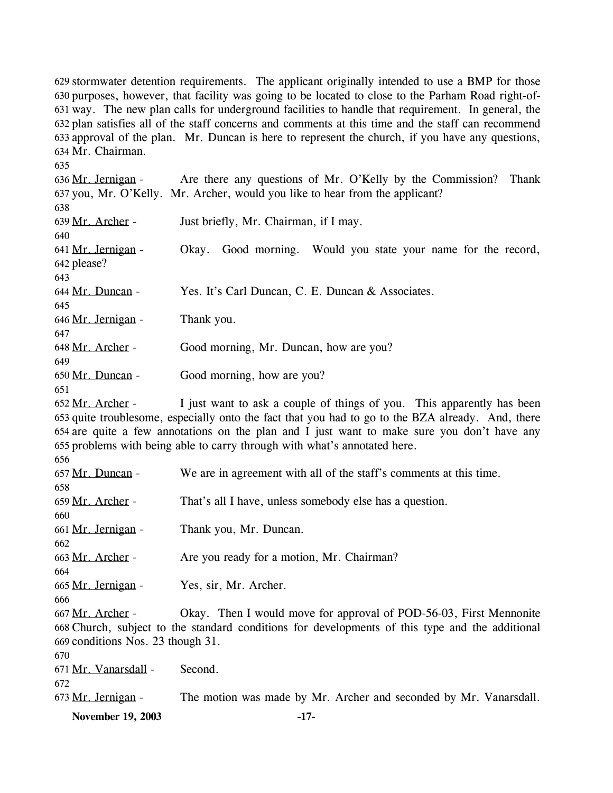629 stormwater detention requirements. The applicant originally intended to use a BMP for those 630 purposes, however, that facility was going to be located to close to the Parham Road right-ofway. The new plan calls for underground facilities to handle that requirement. In general, the 631 632 plan satisfies all of the staff concerns and comments at this time and the staff can recommend 633 approval of the plan. Mr. Duncan is here to represent the church, if you have any questions, 634 Mr. Chairman.

635

Are there any questions of Mr. O'Kelly by the Commission? Thank 637 you, Mr. O'Kelly. Mr. Archer, would you like to hear from the applicant? 636 Mr. Jernigan -638 639 Mr. Archer - Just briefly, Mr. Chairman, if I may. 640

Okay. Good morning. Would you state your name for the record, 642 please? 641 Mr. Jernigan -643

644 Mr. Duncan - Yes. It's Carl Duncan, C. E. Duncan & Associates.

646 Mr. Jernigan - Thank you.

648 Mr. Archer - Good morning, Mr. Duncan, how are you?

650 Mr. Duncan - Good morning, how are you?

651

645

647

649

I just want to ask a couple of things of you. This apparently has been 653 quite troublesome, especially onto the fact that you had to go to the BZA already. And, there 654 are quite a few annotations on the plan and I just want to make sure you don't have any 655 problems with being able to carry through with what's annotated here. 652 Mr. Archer -

656

657 Mr. Duncan - We are in agreement with all of the staff's comments at this time. 658 659 Mr. Archer - That's all I have, unless somebody else has a question. 660 661 Mr. Jernigan - Thank you, Mr. Duncan. 662 663 Mr. Archer - Are you ready for a motion, Mr. Chairman? 664 665 Mr. Jernigan - Yes, sir, Mr. Archer. 666 Okay. Then I would move for approval of POD-56-03, First Mennonite 668 Church, subject to the standard conditions for developments of this type and the additional 669 conditions Nos. 23 though 31. 667 Mr. Archer -670 671 Mr. Vanarsdall - Second.

672

673 Mr. Jernigan - The motion was made by Mr. Archer and seconded by Mr. Vanarsdall.

**November 19, 2003 -17-**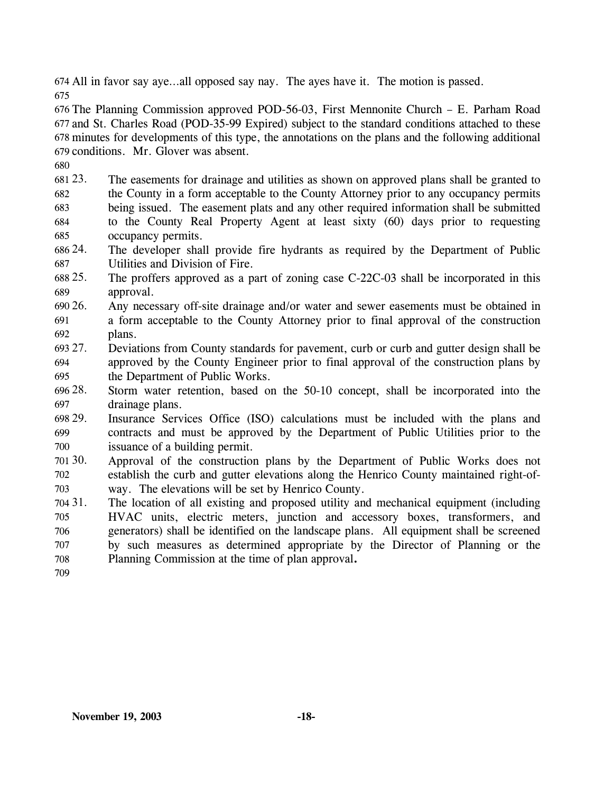674 All in favor say aye…all opposed say nay. The ayes have it. The motion is passed. 675

 The Planning Commission approved POD-56-03, First Mennonite Church – E. Parham Road and St. Charles Road (POD-35-99 Expired) subject to the standard conditions attached to these minutes for developments of this type, the annotations on the plans and the following additional conditions. Mr. Glover was absent.

680

681 23. 682 683 The easements for drainage and utilities as shown on approved plans shall be granted to the County in a form acceptable to the County Attorney prior to any occupancy permits being issued. The easement plats and any other required information shall be submitted

- 684 685 to the County Real Property Agent at least sixty (60) days prior to requesting occupancy permits.
- 686 24. 687 The developer shall provide fire hydrants as required by the Department of Public Utilities and Division of Fire.
- 688 25. 689 25. The proffers approved as a part of zoning case C-22C-03 shall be incorporated in this approval.
- 690 26. 691 692 26. Any necessary off-site drainage and/or water and sewer easements must be obtained in a form acceptable to the County Attorney prior to final approval of the construction plans.
- 693 27. 694 695 27. Deviations from County standards for pavement, curb or curb and gutter design shall be approved by the County Engineer prior to final approval of the construction plans by the Department of Public Works.
- 696 28. 697 28. Storm water retention, based on the 50-10 concept, shall be incorporated into the drainage plans.
- 698 29. 699 700 Insurance Services Office (ISO) calculations must be included with the plans and contracts and must be approved by the Department of Public Utilities prior to the issuance of a building permit.
- 701 30. 702 703 Approval of the construction plans by the Department of Public Works does not establish the curb and gutter elevations along the Henrico County maintained right-ofway. The elevations will be set by Henrico County.
- 704 31. 705 706 707 708 The location of all existing and proposed utility and mechanical equipment (including HVAC units, electric meters, junction and accessory boxes, transformers, and generators) shall be identified on the landscape plans. All equipment shall be screened by such measures as determined appropriate by the Director of Planning or the Planning Commission at the time of plan approval**.**
- 709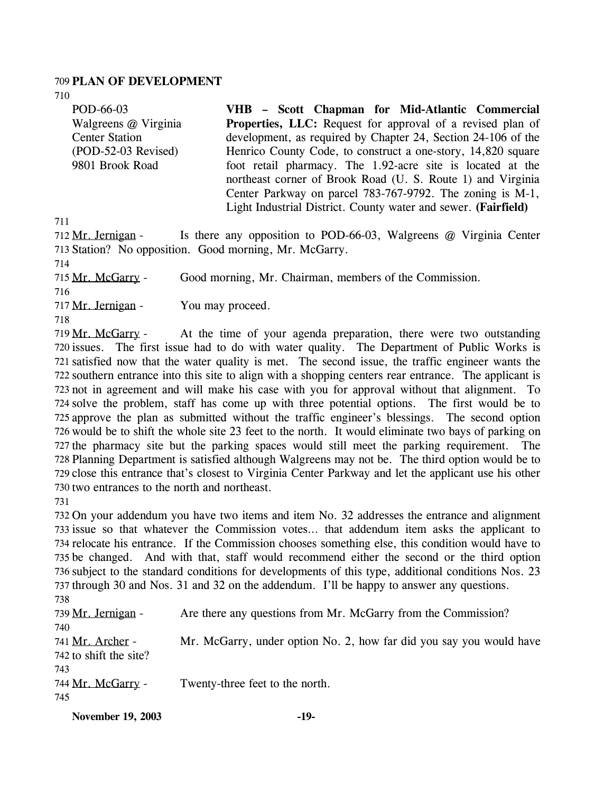#### 709 **PLAN OF DEVELOPMENT**

710

POD-66-03 Walgreens @ Virginia Center Station (POD-52-03 Revised) 9801 Brook Road **VHB – Scott Chapman for Mid-Atlantic Commercial Properties, LLC:** Request for approval of a revised plan of development, as required by Chapter 24, Section 24-106 of the Henrico County Code, to construct a one-story, 14,820 square foot retail pharmacy. The 1.92-acre site is located at the northeast corner of Brook Road (U. S. Route 1) and Virginia Center Parkway on parcel 783-767-9792. The zoning is M-1, Light Industrial District. County water and sewer. **(Fairfield)** 

711

|                                              | 712 Mr. Jernigan - Is there any opposition to POD-66-03, Walgreens $\omega$ Virginia Center |
|----------------------------------------------|---------------------------------------------------------------------------------------------|
|                                              | 713 Station? No opposition. Good morning, Mr. McGarry.                                      |
| 714                                          |                                                                                             |
| 715 Mr. McGarry -                            | Good morning, Mr. Chairman, members of the Commission.                                      |
| 716                                          |                                                                                             |
| 717 Mr. Jernigan -                           | You may proceed.                                                                            |
| 718                                          |                                                                                             |
| $710 \mathrm{Mg}$ $\mathrm{Mg}$ $\mathrm{C}$ | At the time of your agenda preparation, there were two outstanding                          |

At the time of your agenda preparation, there were two outstanding 720 issues. The first issue had to do with water quality. The Department of Public Works is 721 satisfied now that the water quality is met. The second issue, the traffic engineer wants the 722 southern entrance into this site to align with a shopping centers rear entrance. The applicant is 723 not in agreement and will make his case with you for approval without that alignment. To 724 solve the problem, staff has come up with three potential options. The first would be to 725 approve the plan as submitted without the traffic engineer's blessings. The second option 726 would be to shift the whole site 23 feet to the north. It would eliminate two bays of parking on 727 the pharmacy site but the parking spaces would still meet the parking requirement. The 728 Planning Department is satisfied although Walgreens may not be. The third option would be to 729 close this entrance that's closest to Virginia Center Parkway and let the applicant use his other 730 two entrances to the north and northeast. 719 Mr. McGarry -

731

 On your addendum you have two items and item No. 32 addresses the entrance and alignment issue so that whatever the Commission votes… that addendum item asks the applicant to relocate his entrance. If the Commission chooses something else, this condition would have to be changed. And with that, staff would recommend either the second or the third option subject to the standard conditions for developments of this type, additional conditions Nos. 23 through 30 and Nos. 31 and 32 on the addendum. I'll be happy to answer any questions.

738 739 Mr. Jernigan - Are there any questions from Mr. McGarry from the Commission? 740 Mr. McGarry, under option No. 2, how far did you say you would have  $742$  to shift the site? 741 Mr. Archer -743 744 Mr. McGarry - Twenty-three feet to the north. 745

**November 19, 2003 -19-**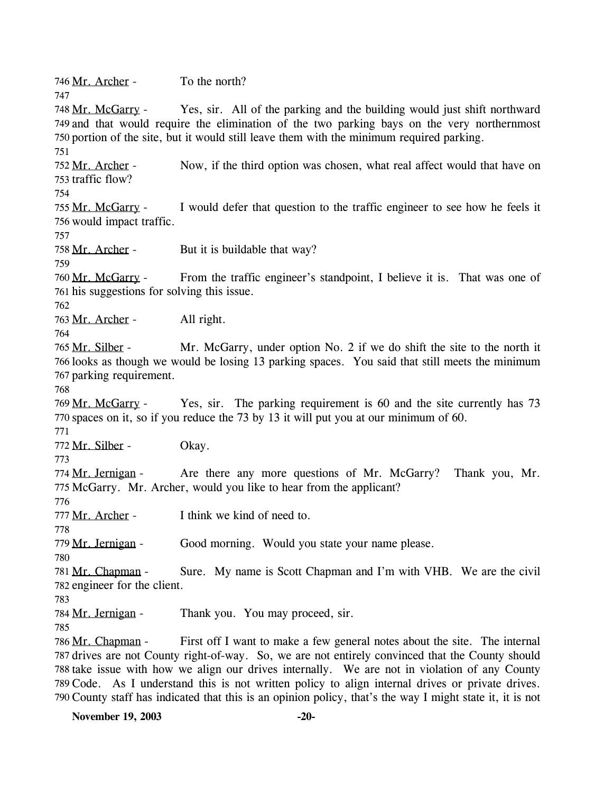746 Mr. Archer - To the north?

Yes, sir. All of the parking and the building would just shift northward 749 and that would require the elimination of the two parking bays on the very northernmost 750 portion of the site, but it would still leave them with the minimum required parking. 748 Mr. McGarry -751

Now, if the third option was chosen, what real affect would that have on 753 traffic flow? 752 Mr. Archer -

754

747

I would defer that question to the traffic engineer to see how he feels it 756 would impact traffic. 755 Mr. McGarry -

757

758 Mr. Archer - But it is buildable that way?

759

From the traffic engineer's standpoint, I believe it is. That was one of 761 his suggestions for solving this issue. 760 Mr. McGarry -

762

763 Mr. Archer - All right.

764

Mr. McGarry, under option No. 2 if we do shift the site to the north it 766 looks as though we would be losing 13 parking spaces. You said that still meets the minimum 767 parking requirement. 765 Mr. Silber -

768

Yes, sir. The parking requirement is 60 and the site currently has 73 770 spaces on it, so if you reduce the 73 by 13 it will put you at our minimum of 60. 769 Mr. McGarry -

771

772 Mr. Silber - Okay.

773

Are there any more questions of Mr. McGarry? Thank you, Mr. 775 McGarry. Mr. Archer, would you like to hear from the applicant? 774 Mr. Jernigan -

776

778

780

777 Mr. Archer - I think we kind of need to.

779 Mr. Jernigan - Good morning. Would you state your name please.

Sure. My name is Scott Chapman and I'm with VHB. We are the civil 782 engineer for the client. 781 Mr. Chapman -

783

784 Mr. Jernigan - Thank you. You may proceed, sir.

785

First off I want to make a few general notes about the site. The internal 787 drives are not County right-of-way. So, we are not entirely convinced that the County should 788 take issue with how we align our drives internally. We are not in violation of any County 789 Code. As I understand this is not written policy to align internal drives or private drives. 790 County staff has indicated that this is an opinion policy, that's the way I might state it, it is not 786 Mr. Chapman -

**November 19, 2003** -20-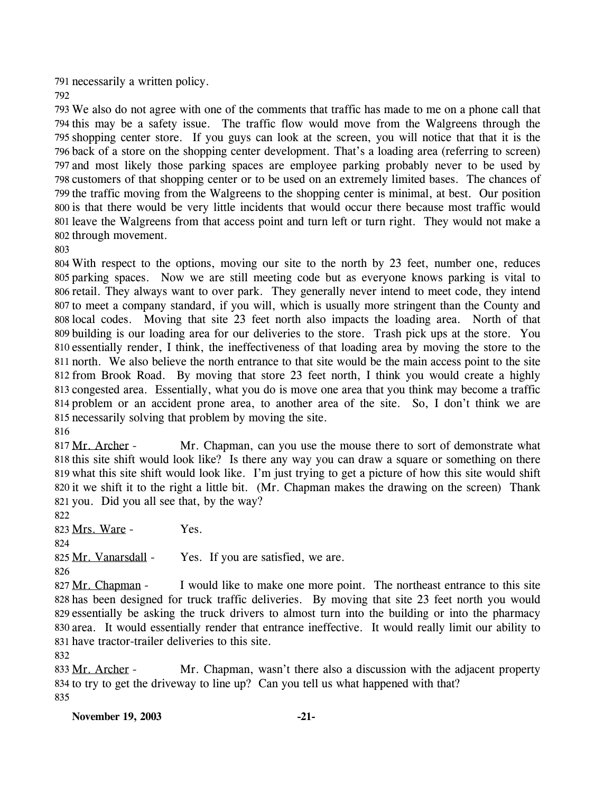791 necessarily a written policy.

 We also do not agree with one of the comments that traffic has made to me on a phone call that this may be a safety issue. The traffic flow would move from the Walgreens through the shopping center store. If you guys can look at the screen, you will notice that that it is the back of a store on the shopping center development. That's a loading area (referring to screen) and most likely those parking spaces are employee parking probably never to be used by customers of that shopping center or to be used on an extremely limited bases. The chances of the traffic moving from the Walgreens to the shopping center is minimal, at best. Our position is that there would be very little incidents that would occur there because most traffic would leave the Walgreens from that access point and turn left or turn right. They would not make a through movement.

 With respect to the options, moving our site to the north by 23 feet, number one, reduces parking spaces. Now we are still meeting code but as everyone knows parking is vital to retail. They always want to over park. They generally never intend to meet code, they intend to meet a company standard, if you will, which is usually more stringent than the County and local codes. Moving that site 23 feet north also impacts the loading area. North of that building is our loading area for our deliveries to the store. Trash pick ups at the store. You essentially render, I think, the ineffectiveness of that loading area by moving the store to the north. We also believe the north entrance to that site would be the main access point to the site from Brook Road. By moving that store 23 feet north, I think you would create a highly congested area. Essentially, what you do is move one area that you think may become a traffic problem or an accident prone area, to another area of the site. So, I don't think we are necessarily solving that problem by moving the site.

 Mr. Chapman, can you use the mouse there to sort of demonstrate what 818 this site shift would look like? Is there any way you can draw a square or something on there what this site shift would look like. I'm just trying to get a picture of how this site would shift 820 it we shift it to the right a little bit. (Mr. Chapman makes the drawing on the screen) Thank 817 Mr. Archer -

821 you. Did you all see that, by the way? 

823 Mrs. Ware - Yes.

825 Mr. Vanarsdall - Yes. If you are satisfied, we are.

I would like to make one more point. The northeast entrance to this site 828 has been designed for truck traffic deliveries. By moving that site 23 feet north you would 829 essentially be asking the truck drivers to almost turn into the building or into the pharmacy 830 area. It would essentially render that entrance ineffective. It would really limit our ability to 831 have tractor-trailer deliveries to this site. 827 Mr. Chapman -

Mr. Chapman, wasn't there also a discussion with the adjacent property 834 to try to get the driveway to line up? Can you tell us what happened with that? 833 Mr. Archer -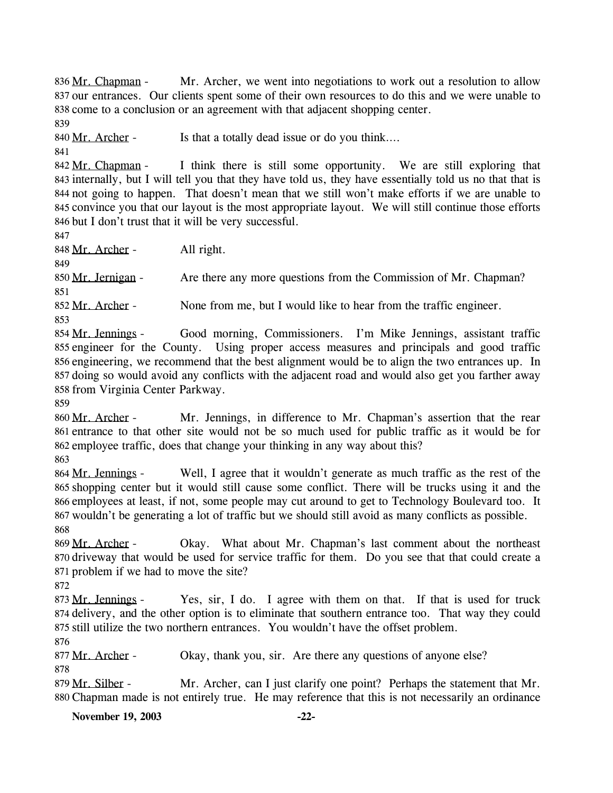Mr. Archer, we went into negotiations to work out a resolution to allow 837 our entrances. Our clients spent some of their own resources to do this and we were unable to 838 come to a conclusion or an agreement with that adjacent shopping center. 836 Mr. Chapman -

839

840 Mr. Archer - Is that a totally dead issue or do you think....

841

I think there is still some opportunity. We are still exploring that 843 internally, but I will tell you that they have told us, they have essentially told us no that that is 844 not going to happen. That doesn't mean that we still won't make efforts if we are unable to 845 convince you that our layout is the most appropriate layout. We will still continue those efforts 846 but I don't trust that it will be very successful. 842 Mr. Chapman -

847

848 Mr. Archer - All right.

849

850 Mr. Jernigan - Are there any more questions from the Commission of Mr. Chapman? 851

852 Mr. Archer - None from me, but I would like to hear from the traffic engineer.

853

Good morning, Commissioners. I'm Mike Jennings, assistant traffic 855 engineer for the County. Using proper access measures and principals and good traffic 856 engineering, we recommend that the best alignment would be to align the two entrances up. In 857 doing so would avoid any conflicts with the adjacent road and would also get you farther away 858 from Virginia Center Parkway. 854 Mr. Jennings -

859

Mr. Jennings, in difference to Mr. Chapman's assertion that the rear 861 entrance to that other site would not be so much used for public traffic as it would be for 862 employee traffic, does that change your thinking in any way about this? 860 Mr. Archer -

863

Well, I agree that it wouldn't generate as much traffic as the rest of the 865 shopping center but it would still cause some conflict. There will be trucks using it and the 866 employees at least, if not, some people may cut around to get to Technology Boulevard too. It 867 wouldn't be generating a lot of traffic but we should still avoid as many conflicts as possible. 864 Mr. Jennings -868

Okay. What about Mr. Chapman's last comment about the northeast 870 driveway that would be used for service traffic for them. Do you see that that could create a 871 problem if we had to move the site? 869 Mr. Archer -

872

Yes, sir, I do. I agree with them on that. If that is used for truck 874 delivery, and the other option is to eliminate that southern entrance too. That way they could 875 still utilize the two northern entrances. You wouldn't have the offset problem. 873 Mr. Jennings -

876

877 Mr. Archer - Okay, thank you, sir. Are there any questions of anyone else? 878

Mr. Archer, can I just clarify one point? Perhaps the statement that Mr. Chapman made is not entirely true. He may reference that this is not necessarily an ordinance 880 879 Mr. Silber -

**November 19, 2003 -22-**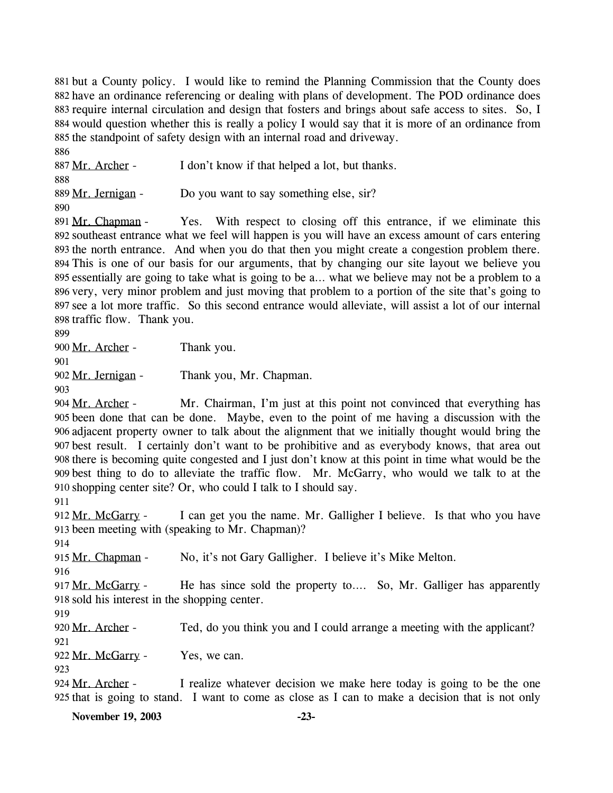881 but a County policy. I would like to remind the Planning Commission that the County does 882 have an ordinance referencing or dealing with plans of development. The POD ordinance does 883 require internal circulation and design that fosters and brings about safe access to sites. So, I 884 would question whether this is really a policy I would say that it is more of an ordinance from 885 the standpoint of safety design with an internal road and driveway.

886 887 Mr. Archer - I don't know if that helped a lot, but thanks. 888 889 Mr. Jernigan - Do you want to say something else, sir? 890

Yes. With respect to closing off this entrance, if we eliminate this 892 southeast entrance what we feel will happen is you will have an excess amount of cars entering 893 the north entrance. And when you do that then you might create a congestion problem there. This is one of our basis for our arguments, that by changing our site layout we believe you 894 895 essentially are going to take what is going to be a... what we believe may not be a problem to a 896 very, very minor problem and just moving that problem to a portion of the site that's going to see a lot more traffic. So this second entrance would alleviate, will assist a lot of our internal 897 898 traffic flow. Thank you. 891 Mr. Chapman -

899

900 Mr. Archer - Thank you.

901

902 Mr. Jernigan - Thank you, Mr. Chapman.

903

Mr. Chairman, I'm just at this point not convinced that everything has been done that can be done. Maybe, even to the point of me having a discussion with the 905 906 adjacent property owner to talk about the alignment that we initially thought would bring the best result. I certainly don't want to be prohibitive and as everybody knows, that area out 907 908 there is becoming quite congested and I just don't know at this point in time what would be the best thing to do to alleviate the traffic flow. Mr. McGarry, who would we talk to at the 909 910 shopping center site? Or, who could I talk to I should say. 904 Mr. Archer -

911

I can get you the name. Mr. Galligher I believe. Is that who you have 913 been meeting with (speaking to Mr. Chapman)? 912 Mr. McGarry -

915 Mr. Chapman - No, it's not Gary Galligher. I believe it's Mike Melton.

916

914

He has since sold the property to.... So, Mr. Galliger has apparently 918 sold his interest in the shopping center. 917 Mr. McGarry -

919

920 Mr. Archer - Ted, do you think you and I could arrange a meeting with the applicant?

921 922 Mr. McGarry - Yes, we can.

923

I realize whatever decision we make here today is going to be the one 925 that is going to stand. I want to come as close as I can to make a decision that is not only 924 Mr. Archer -

**November 19, 2003 -23-**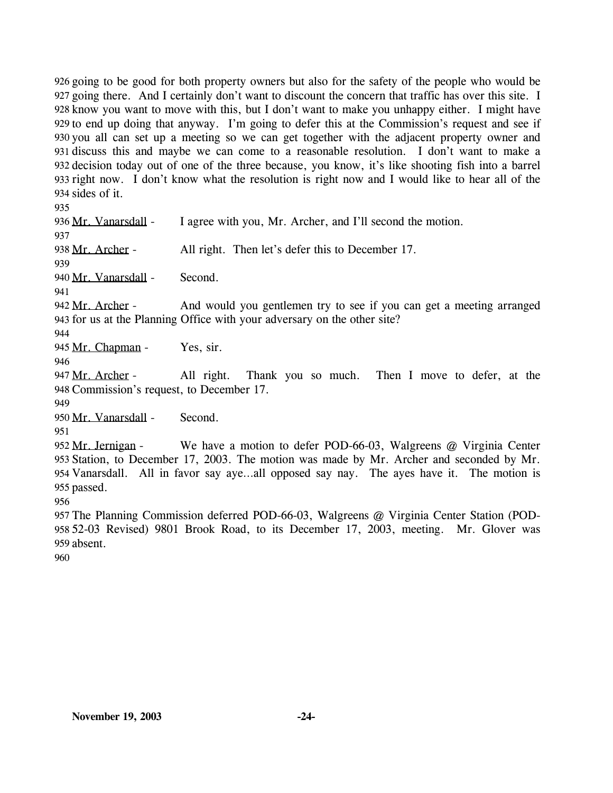926 going to be good for both property owners but also for the safety of the people who would be 927 going there. And I certainly don't want to discount the concern that traffic has over this site. I 928 know you want to move with this, but I don't want to make you unhappy either. I might have 929 to end up doing that anyway. I'm going to defer this at the Commission's request and see if 930 you all can set up a meeting so we can get together with the adjacent property owner and 931 discuss this and maybe we can come to a reasonable resolution. I don't want to make a 932 decision today out of one of the three because, you know, it's like shooting fish into a barrel 933 right now. I don't know what the resolution is right now and I would like to hear all of the 934 sides of it.

935

936 Mr. Vanarsdall - I agree with you, Mr. Archer, and I'll second the motion. 937 938 Mr. Archer - All right. Then let's defer this to December 17.

939

940 Mr. Vanarsdall - Second.

941

And would you gentlemen try to see if you can get a meeting arranged 943 for us at the Planning Office with your adversary on the other site? 942 Mr. Archer -

944

945 Mr. Chapman - Yes, sir.

946

All right. Thank you so much. Then I move to defer, at the 947 Mr. Archer -

948 Commission's request, to December 17.

949

950 Mr. Vanarsdall - Second.

951

We have a motion to defer POD-66-03, Walgreens  $@$  Virginia Center 953 Station, to December 17, 2003. The motion was made by Mr. Archer and seconded by Mr. 954 Vanarsdall. All in favor say aye...all opposed say nay. The ayes have it. The motion is 955 passed. 952 Mr. Jernigan -

956

957 The Planning Commission deferred POD-66-03, Walgreens @ Virginia Center Station (POD-958 52-03 Revised) 9801 Brook Road, to its December 17, 2003, meeting. Mr. Glover was 959 absent.

960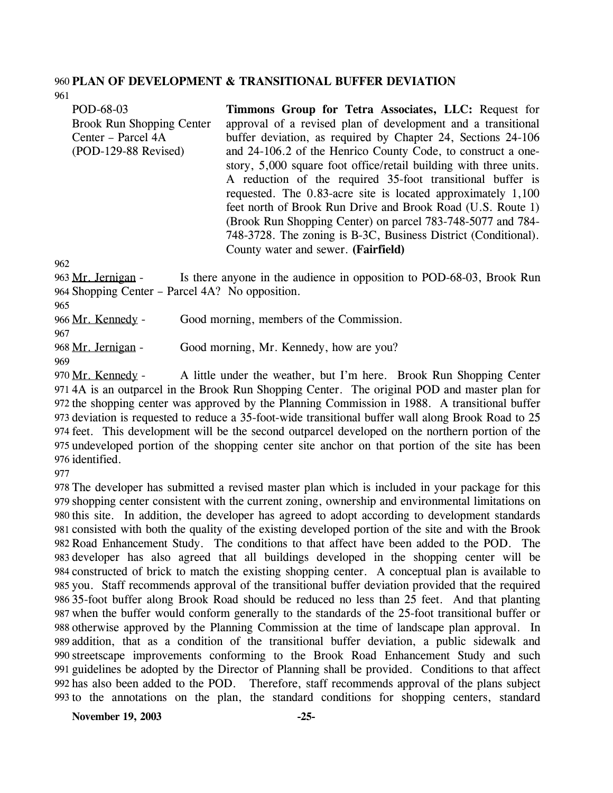#### 960 **PLAN OF DEVELOPMENT & TRANSITIONAL BUFFER DEVIATION**

961

| POD-68-03                        | Timmons Group for Tetra Associates, LLC: Request for              |
|----------------------------------|-------------------------------------------------------------------|
| <b>Brook Run Shopping Center</b> | approval of a revised plan of development and a transitional      |
| Center – Parcel 4A               | buffer deviation, as required by Chapter 24, Sections 24-106      |
| $(POD-129-88$ Revised)           | and 24-106.2 of the Henrico County Code, to construct a one-      |
|                                  | story, 5,000 square foot office/retail building with three units. |
|                                  | A reduction of the required 35-foot transitional buffer is        |
|                                  | requested. The 0.83-acre site is located approximately 1,100      |
|                                  | feet north of Brook Run Drive and Brook Road (U.S. Route 1)       |
|                                  | (Brook Run Shopping Center) on parcel 783-748-5077 and 784-       |
|                                  | 748-3728. The zoning is B-3C, Business District (Conditional).    |
|                                  | County water and sewer. (Fairfield)                               |

962

Is there anyone in the audience in opposition to POD-68-03, Brook Run 964 Shopping Center – Parcel 4A? No opposition. 963 Mr. Jernigan -

965

966 Mr. Kennedy - Good morning, members of the Commission.

967

968 Mr. Jernigan - Good morning, Mr. Kennedy, how are you?

969

A little under the weather, but I'm here. Brook Run Shopping Center 4A is an outparcel in the Brook Run Shopping Center. The original POD and master plan for 971 972 the shopping center was approved by the Planning Commission in 1988. A transitional buffer 973 deviation is requested to reduce a 35-foot-wide transitional buffer wall along Brook Road to 25 974 feet. This development will be the second outparcel developed on the northern portion of the 975 undeveloped portion of the shopping center site anchor on that portion of the site has been 976 identified. 970 Mr. Kennedy -

977

 The developer has submitted a revised master plan which is included in your package for this shopping center consistent with the current zoning, ownership and environmental limitations on this site. In addition, the developer has agreed to adopt according to development standards consisted with both the quality of the existing developed portion of the site and with the Brook Road Enhancement Study. The conditions to that affect have been added to the POD. The developer has also agreed that all buildings developed in the shopping center will be constructed of brick to match the existing shopping center. A conceptual plan is available to you. Staff recommends approval of the transitional buffer deviation provided that the required 35-foot buffer along Brook Road should be reduced no less than 25 feet. And that planting when the buffer would conform generally to the standards of the 25-foot transitional buffer or otherwise approved by the Planning Commission at the time of landscape plan approval. In addition, that as a condition of the transitional buffer deviation, a public sidewalk and streetscape improvements conforming to the Brook Road Enhancement Study and such guidelines be adopted by the Director of Planning shall be provided. Conditions to that affect has also been added to the POD. Therefore, staff recommends approval of the plans subject to the annotations on the plan, the standard conditions for shopping centers, standard

**November 19, 2003 -25-**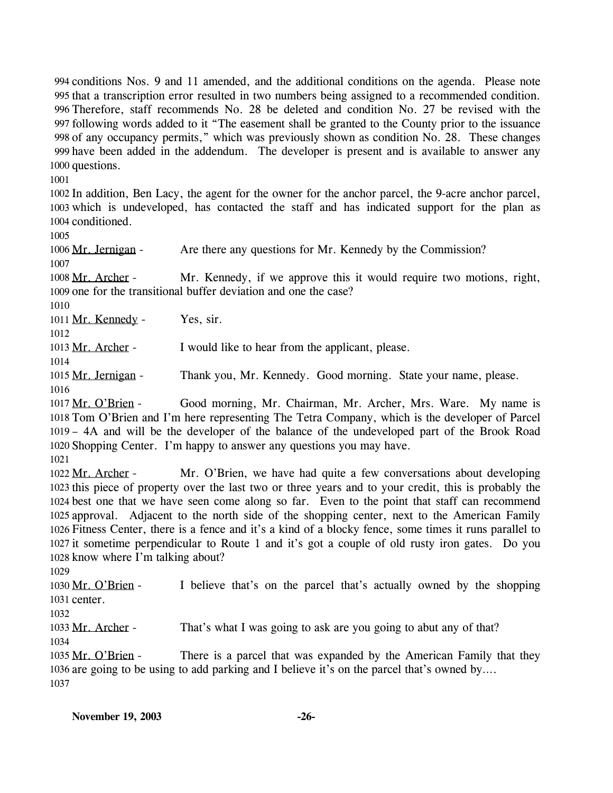994 conditions Nos. 9 and 11 amended, and the additional conditions on the agenda. Please note 995 that a transcription error resulted in two numbers being assigned to a recommended condition. Therefore, staff recommends No. 28 be deleted and condition No. 27 be revised with the 996 following words added to it "The easement shall be granted to the County prior to the issuance 997 998 of any occupancy permits," which was previously shown as condition No. 28. These changes 999 have been added in the addendum. The developer is present and is available to answer any 1000 questions.

1001

1002 In addition, Ben Lacy, the agent for the owner for the anchor parcel, the 9-acre anchor parcel, 1003 which is undeveloped, has contacted the staff and has indicated support for the plan as 1004 conditioned.

1005

1006 Mr. Jernigan - Are there any questions for Mr. Kennedy by the Commission? 1007

Mr. Kennedy, if we approve this it would require two motions, right, 1009 one for the transitional buffer deviation and one the case? 1008 Mr. Archer -

1010

1011 Mr. Kennedy - Yes, sir.

1012

1013 Mr. Archer - I would like to hear from the applicant, please.

1014

1015 Mr. Jernigan - Thank you, Mr. Kennedy. Good morning. State your name, please. 1016

Good morning, Mr. Chairman, Mr. Archer, Mrs. Ware. My name is 1018 Tom O'Brien and I'm here representing The Tetra Company, which is the developer of Parcel – 4A and will be the developer of the balance of the undeveloped part of the Brook Road 1019 1020 Shopping Center. I'm happy to answer any questions you may have. 1017 Mr. O'Brien -

1021

Mr. O'Brien, we have had quite a few conversations about developing 1023 this piece of property over the last two or three years and to your credit, this is probably the 1024 best one that we have seen come along so far. Even to the point that staff can recommend 1025 approval. Adjacent to the north side of the shopping center, next to the American Family 1026 Fitness Center, there is a fence and it's a kind of a blocky fence, some times it runs parallel to it sometime perpendicular to Route 1 and it's got a couple of old rusty iron gates. Do you 1027 1028 know where I'm talking about? 1022 Mr. Archer -

1029

I believe that's on the parcel that's actually owned by the shopping 1031 center. 1030 Mr. O'Brien -

1032

1033 Mr. Archer - That's what I was going to ask are you going to abut any of that?

1034

There is a parcel that was expanded by the American Family that they 1036 are going to be using to add parking and I believe it's on the parcel that's owned by.... 1035 Mr. O'Brien -1037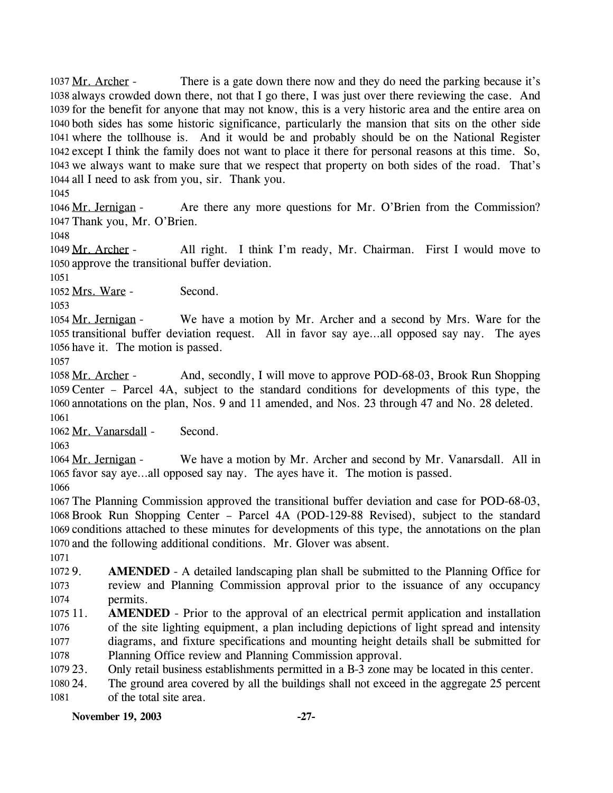There is a gate down there now and they do need the parking because it's 1038 always crowded down there, not that I go there, I was just over there reviewing the case. And 1039 for the benefit for anyone that may not know, this is a very historic area and the entire area on 1040 both sides has some historic significance, particularly the mansion that sits on the other side where the tollhouse is. And it would be and probably should be on the National Register 1041 1042 except I think the family does not want to place it there for personal reasons at this time. So, 1043 we always want to make sure that we respect that property on both sides of the road. That's 1044 all I need to ask from you, sir. Thank you. 1037 Mr. Archer -

1045

Are there any more questions for Mr. O'Brien from the Commission? 1047 Thank you, Mr. O'Brien. 1046 Mr. Jernigan -

1048

All right. I think I'm ready, Mr. Chairman. First I would move to 1050 approve the transitional buffer deviation. 1049 Mr. Archer -

1051

1052 Mrs. Ware - Second.

1053

We have a motion by Mr. Archer and a second by Mrs. Ware for the 1055 transitional buffer deviation request. All in favor say aye...all opposed say nay. The ayes 1056 have it. The motion is passed. 1054 Mr. Jernigan -

1057

And, secondly, I will move to approve POD-68-03, Brook Run Shopping 1059 Center - Parcel 4A, subject to the standard conditions for developments of this type, the 1060 annotations on the plan, Nos. 9 and 11 amended, and Nos. 23 through 47 and No. 28 deleted. 1058 Mr. Archer -1061

1062 Mr. Vanarsdall - Second.

1063

We have a motion by Mr. Archer and second by Mr. Vanarsdall. All in 1065 favor say aye...all opposed say nay. The ayes have it. The motion is passed. 1064 Mr. Jernigan -

1066

 The Planning Commission approved the transitional buffer deviation and case for POD-68-03, Brook Run Shopping Center – Parcel 4A (POD-129-88 Revised), subject to the standard conditions attached to these minutes for developments of this type, the annotations on the plan and the following additional conditions. Mr. Glover was absent.

1071

1072 9. 1073 1074 AMENDED - A detailed landscaping plan shall be submitted to the Planning Office for review and Planning Commission approval prior to the issuance of any occupancy permits.

 $1075$  11. 1076 1077 1078 **AMENDED** - Prior to the approval of an electrical permit application and installation of the site lighting equipment, a plan including depictions of light spread and intensity diagrams, and fixture specifications and mounting height details shall be submitted for Planning Office review and Planning Commission approval.

1079 23. 23. Only retail business establishments permitted in a B-3 zone may be located in this center.

1080 24. 1081 The ground area covered by all the buildings shall not exceed in the aggregate 25 percent of the total site area.

**November 19, 2003 -27-**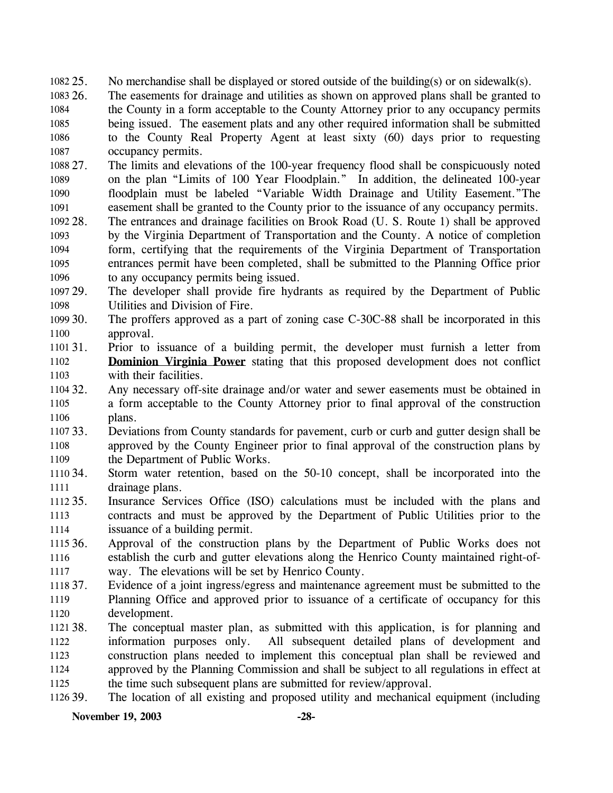- 1082 25. No merchandise shall be displayed or stored outside of the building(s) or on sidewalk(s).
- 1083 26. 1084 1085 1086 1087 The easements for drainage and utilities as shown on approved plans shall be granted to the County in a form acceptable to the County Attorney prior to any occupancy permits being issued. The easement plats and any other required information shall be submitted to the County Real Property Agent at least sixty (60) days prior to requesting occupancy permits.
- 1088 27. 1089 1090 1091 27. The limits and elevations of the 100-year frequency flood shall be conspicuously noted on the plan "Limits of 100 Year Floodplain." In addition, the delineated 100-year floodplain must be labeled "Variable Width Drainage and Utility Easement."The easement shall be granted to the County prior to the issuance of any occupancy permits.
- 1092 28. 1093 1094 1095 1096 The entrances and drainage facilities on Brook Road (U. S. Route 1) shall be approved by the Virginia Department of Transportation and the County. A notice of completion form, certifying that the requirements of the Virginia Department of Transportation entrances permit have been completed, shall be submitted to the Planning Office prior to any occupancy permits being issued.
- 1097 29. 1098 The developer shall provide fire hydrants as required by the Department of Public Utilities and Division of Fire.
- 1099 30. 1100 The proffers approved as a part of zoning case C-30C-88 shall be incorporated in this approval.
- 1101 31. 31. Prior to issuance of a building permit, the developer must furnish a letter from **Dominion Virginia Power** stating that this proposed development does not conflict with their facilities. 1102 1103
- 1104 32. 1105 1106 Any necessary off-site drainage and/or water and sewer easements must be obtained in a form acceptable to the County Attorney prior to final approval of the construction plans.
- 1107 33. 1108 1109 33. Deviations from County standards for pavement, curb or curb and gutter design shall be approved by the County Engineer prior to final approval of the construction plans by the Department of Public Works.
- 1110 34. 1111 Storm water retention, based on the 50-10 concept, shall be incorporated into the drainage plans.
- 1112 35. 1113 1114 Insurance Services Office (ISO) calculations must be included with the plans and contracts and must be approved by the Department of Public Utilities prior to the issuance of a building permit.
- 1115 36. 1116 1117 36. Approval of the construction plans by the Department of Public Works does not establish the curb and gutter elevations along the Henrico County maintained right-ofway. The elevations will be set by Henrico County.
- 1118 37. 1119 1120 Evidence of a joint ingress/egress and maintenance agreement must be submitted to the Planning Office and approved prior to issuance of a certificate of occupancy for this development.
- 1121 38. 1122 1123 1124 1125 The conceptual master plan, as submitted with this application, is for planning and information purposes only. All subsequent detailed plans of development and construction plans needed to implement this conceptual plan shall be reviewed and approved by the Planning Commission and shall be subject to all regulations in effect at the time such subsequent plans are submitted for review/approval.
- 1126 39. The location of all existing and proposed utility and mechanical equipment (including

#### **November 19, 2003 -28-**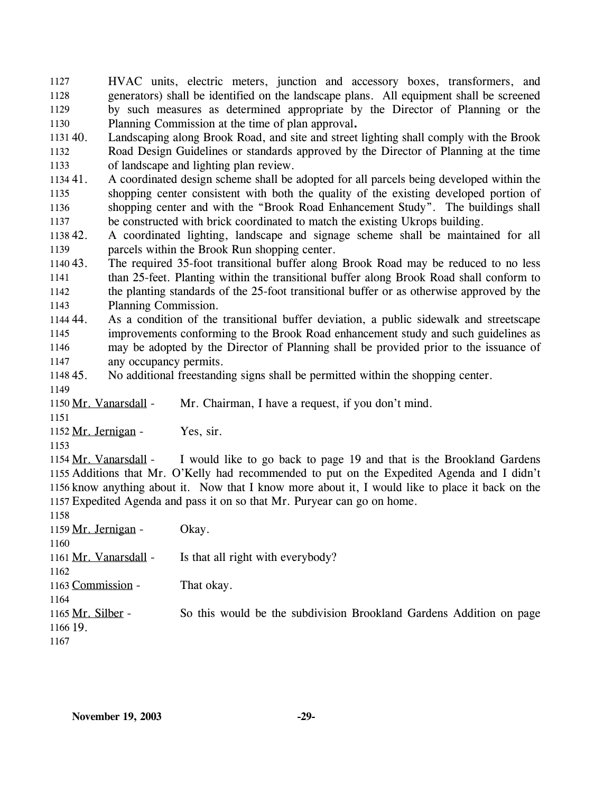HVAC units, electric meters, junction and accessory boxes, transformers, and generators) shall be identified on the landscape plans. All equipment shall be screened by such measures as determined appropriate by the Director of Planning or the Planning Commission at the time of plan approval**.** 1127 1128 1129 1130

1131 40. 1132 1133 Landscaping along Brook Road, and site and street lighting shall comply with the Brook Road Design Guidelines or standards approved by the Director of Planning at the time of landscape and lighting plan review.

1134 41. 1135 1136 1137 41. A coordinated design scheme shall be adopted for all parcels being developed within the shopping center consistent with both the quality of the existing developed portion of shopping center and with the "Brook Road Enhancement Study". The buildings shall be constructed with brick coordinated to match the existing Ukrops building.

1138 42. 1139 42. A coordinated lighting, landscape and signage scheme shall be maintained for all parcels within the Brook Run shopping center.

1140 43. 1141 1142 1143 The required 35-foot transitional buffer along Brook Road may be reduced to no less than 25-feet. Planting within the transitional buffer along Brook Road shall conform to the planting standards of the 25-foot transitional buffer or as otherwise approved by the Planning Commission.

1144 44. 1145 1146 1147 As a condition of the transitional buffer deviation, a public sidewalk and streetscape improvements conforming to the Brook Road enhancement study and such guidelines as may be adopted by the Director of Planning shall be provided prior to the issuance of any occupancy permits.

#### 1148 45. No additional freestanding signs shall be permitted within the shopping center.

1149

1150 Mr. Vanarsdall - Mr. Chairman, I have a request, if you don't mind.

1151

1152 Mr. Jernigan - Yes, sir.

1153

I would like to go back to page 19 and that is the Brookland Gardens 1155 Additions that Mr. O'Kelly had recommended to put on the Expedited Agenda and I didn't 1156 know anything about it. Now that I know more about it, I would like to place it back on the Expedited Agenda and pass it on so that Mr. Puryear can go on home. 1157 1154 Mr. Vanarsdall -

| 1158                  |                                                                     |
|-----------------------|---------------------------------------------------------------------|
| 1159 Mr. Jernigan -   | Okay.                                                               |
| 1160                  |                                                                     |
| 1161 Mr. Vanarsdall - | Is that all right with everybody?                                   |
| 1162                  |                                                                     |
| 1163 Commission -     | That okay.                                                          |
| 1164                  |                                                                     |
| 1165 Mr. Silber -     | So this would be the subdivision Brookland Gardens Addition on page |
| 1166 19.              |                                                                     |
| 1167                  |                                                                     |
|                       |                                                                     |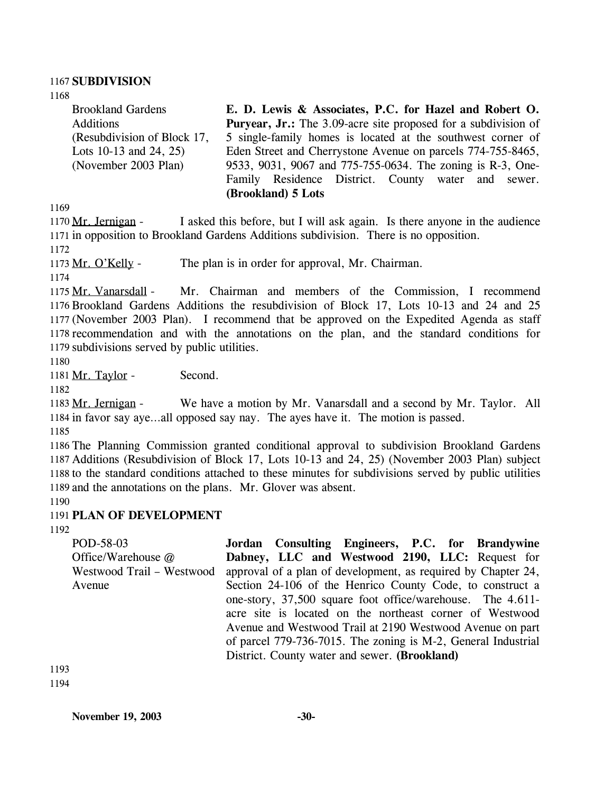#### 1167 **SUBDIVISION**

1168

Brookland Gardens Additions (Resubdivision of Block 17, Lots 10-13 and 24, 25) (November 2003 Plan) **E. D. Lewis & Associates, P.C. for Hazel and Robert O. Puryear, Jr.:** The 3.09-acre site proposed for a subdivision of 5 single-family homes is located at the southwest corner of Eden Street and Cherrystone Avenue on parcels 774-755-8465, 9533, 9031, 9067 and 775-755-0634. The zoning is R-3, One-Family Residence District. County water and sewer. **(Brookland) 5 Lots** 

1169

I asked this before, but I will ask again. Is there anyone in the audience 1171 in opposition to Brookland Gardens Additions subdivision. There is no opposition. 1170 Mr. Jernigan -

1172

1173 Mr. O'Kelly - The plan is in order for approval, Mr. Chairman.

1174

Mr. Chairman and members of the Commission, I recommend 1176 Brookland Gardens Additions the resubdivision of Block 17, Lots 10-13 and 24 and 25 1177 (November 2003 Plan). I recommend that be approved on the Expedited Agenda as staff 1178 recommendation and with the annotations on the plan, and the standard conditions for 1179 subdivisions served by public utilities. 1175 Mr. Vanarsdall -

1180

1181 Mr. Taylor - Second.

1182

We have a motion by Mr. Vanarsdall and a second by Mr. Taylor. All 1184 in favor say aye...all opposed say nay. The ayes have it. The motion is passed. 1183 Mr. Jernigan -

1185

 The Planning Commission granted conditional approval to subdivision Brookland Gardens Additions (Resubdivision of Block 17, Lots 10-13 and 24, 25) (November 2003 Plan) subject to the standard conditions attached to these minutes for subdivisions served by public utilities and the annotations on the plans. Mr. Glover was absent. 1190

# 1191 **PLAN OF DEVELOPMENT**

1192

POD-58-03 Office/Warehouse @ Westwood Trail – Westwood Avenue **Jordan Consulting Engineers, P.C. for Brandywine Dabney, LLC and Westwood 2190, LLC:** Request for approval of a plan of development, as required by Chapter 24, Section 24-106 of the Henrico County Code, to construct a one-story, 37,500 square foot office/warehouse. The 4.611 acre site is located on the northeast corner of Westwood Avenue and Westwood Trail at 2190 Westwood Avenue on part of parcel 779-736-7015. The zoning is M-2, General Industrial District. County water and sewer. **(Brookland)** 

1193 1194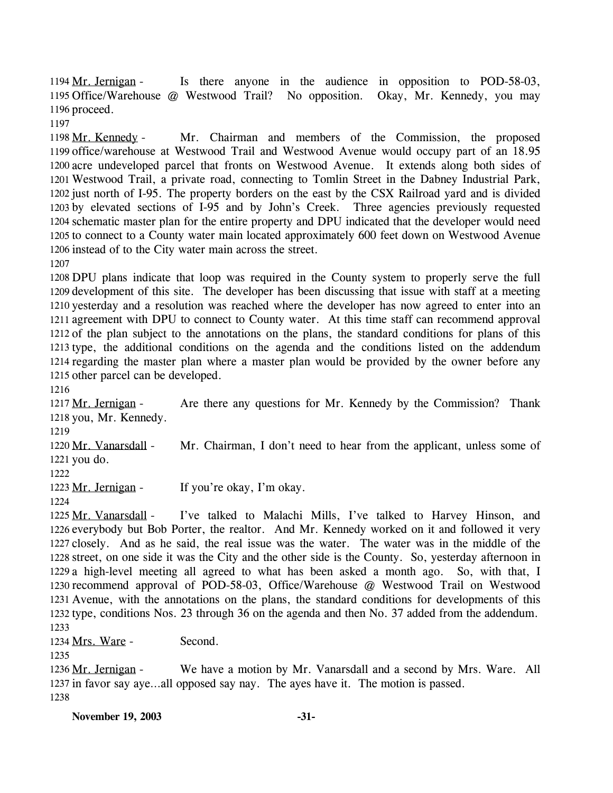Is there anyone in the audience in opposition to POD-58-03, 1195 Office/Warehouse @ Westwood Trail? No opposition. Okay, Mr. Kennedy, you may 1196 proceed. 1194 Mr. Jernigan -

1197

Mr. Chairman and members of the Commission, the proposed 1199 office/warehouse at Westwood Trail and Westwood Avenue would occupy part of an 18.95 1200 acre undeveloped parcel that fronts on Westwood Avenue. It extends along both sides of Westwood Trail, a private road, connecting to Tomlin Street in the Dabney Industrial Park, 1201 1202 just north of I-95. The property borders on the east by the CSX Railroad yard and is divided 1203 by elevated sections of I-95 and by John's Creek. Three agencies previously requested 1204 schematic master plan for the entire property and DPU indicated that the developer would need 1205 to connect to a County water main located approximately 600 feet down on Westwood Avenue 1206 instead of to the City water main across the street. 1198 Mr. Kennedy -

1207

 DPU plans indicate that loop was required in the County system to properly serve the full development of this site. The developer has been discussing that issue with staff at a meeting yesterday and a resolution was reached where the developer has now agreed to enter into an agreement with DPU to connect to County water. At this time staff can recommend approval of the plan subject to the annotations on the plans, the standard conditions for plans of this type, the additional conditions on the agenda and the conditions listed on the addendum regarding the master plan where a master plan would be provided by the owner before any other parcel can be developed.

1216

Are there any questions for Mr. Kennedy by the Commission? Thank 1218 you, Mr. Kennedy. 1217 Mr. Jernigan -

1219

Mr. Chairman, I don't need to hear from the applicant, unless some of 1221 you do. 1220 Mr. Vanarsdall -

1222

1223 Mr. Jernigan - If you're okay, I'm okay.

1224

I've talked to Malachi Mills, I've talked to Harvey Hinson, and 1226 everybody but Bob Porter, the realtor. And Mr. Kennedy worked on it and followed it very 1227 closely. And as he said, the real issue was the water. The water was in the middle of the 1228 street, on one side it was the City and the other side is the County. So, yesterday afternoon in 1229 a high-level meeting all agreed to what has been asked a month ago. So, with that, I 1230 recommend approval of POD-58-03, Office/Warehouse @ Westwood Trail on Westwood 1231 Avenue, with the annotations on the plans, the standard conditions for developments of this 1232 type, conditions Nos. 23 through 36 on the agenda and then No. 37 added from the addendum. 1225 Mr. Vanarsdall -1233

1234 Mrs. Ware - Second.

1235

We have a motion by Mr. Vanarsdall and a second by Mrs. Ware. All 1237 in favor say aye...all opposed say nay. The ayes have it. The motion is passed. 1236 Mr. Jernigan -1238

**November 19, 2003 -31-**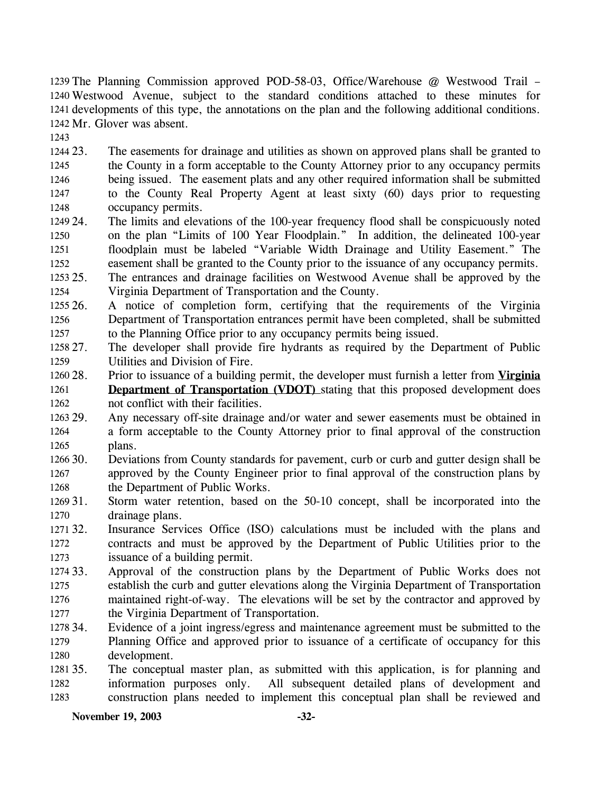1239 The Planning Commission approved POD-58-03, Office/Warehouse @ Westwood Trail -Westwood Avenue, subject to the standard conditions attached to these minutes for 1240 1241 developments of this type, the annotations on the plan and the following additional conditions. 1242 Mr. Glover was absent.

1243

1244 23. 1245 1246 1247 1248 The easements for drainage and utilities as shown on approved plans shall be granted to the County in a form acceptable to the County Attorney prior to any occupancy permits being issued. The easement plats and any other required information shall be submitted to the County Real Property Agent at least sixty (60) days prior to requesting occupancy permits.

- 1249 24. 1250 1251 1252 The limits and elevations of the 100-year frequency flood shall be conspicuously noted on the plan "Limits of 100 Year Floodplain." In addition, the delineated 100-year floodplain must be labeled "Variable Width Drainage and Utility Easement." The easement shall be granted to the County prior to the issuance of any occupancy permits.
- 1253 25. 1254 The entrances and drainage facilities on Westwood Avenue shall be approved by the Virginia Department of Transportation and the County.
- 1255 26. 1256 1257 26. A notice of completion form, certifying that the requirements of the Virginia Department of Transportation entrances permit have been completed, shall be submitted to the Planning Office prior to any occupancy permits being issued.
- 1258 27. 1259 The developer shall provide fire hydrants as required by the Department of Public Utilities and Division of Fire.
- 28. Prior to issuance of a building permit, the developer must furnish a letter from **Virginia Department of Transportation (VDOT)** stating that this proposed development does not conflict with their facilities. 1260 28. 1261 1262
- 1263 29. 1264 1265 Any necessary off-site drainage and/or water and sewer easements must be obtained in a form acceptable to the County Attorney prior to final approval of the construction plans.
- 1266 30. 1267 1268 Deviations from County standards for pavement, curb or curb and gutter design shall be approved by the County Engineer prior to final approval of the construction plans by the Department of Public Works.
- 1269 31. 1270 Storm water retention, based on the 50-10 concept, shall be incorporated into the drainage plans.
- 1271 32. 1272 1273 Insurance Services Office (ISO) calculations must be included with the plans and contracts and must be approved by the Department of Public Utilities prior to the issuance of a building permit.
- 1274 33. 1275 1276 1277 Approval of the construction plans by the Department of Public Works does not establish the curb and gutter elevations along the Virginia Department of Transportation maintained right-of-way. The elevations will be set by the contractor and approved by the Virginia Department of Transportation.
- 1278 34. 1279 1280 Evidence of a joint ingress/egress and maintenance agreement must be submitted to the Planning Office and approved prior to issuance of a certificate of occupancy for this development.
- 1281 35. 1282 1283 The conceptual master plan, as submitted with this application, is for planning and information purposes only. All subsequent detailed plans of development and construction plans needed to implement this conceptual plan shall be reviewed and

**November 19, 2003 -32-**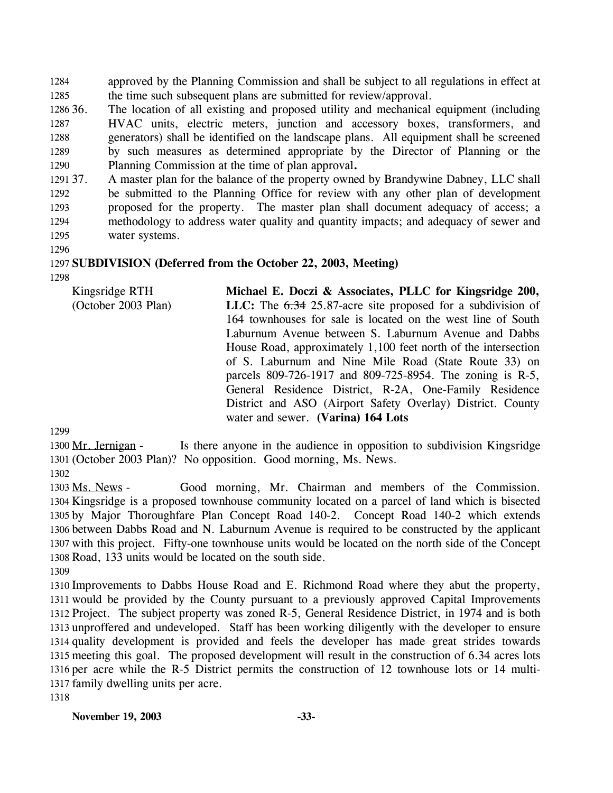approved by the Planning Commission and shall be subject to all regulations in effect at the time such subsequent plans are submitted for review/approval. 1284 1285

1286 36. 1287 1288 1289 1290 The location of all existing and proposed utility and mechanical equipment (including HVAC units, electric meters, junction and accessory boxes, transformers, and generators) shall be identified on the landscape plans. All equipment shall be screened by such measures as determined appropriate by the Director of Planning or the Planning Commission at the time of plan approval**.**

1291 37. 1292 1293 1294 1295 A master plan for the balance of the property owned by Brandywine Dabney, LLC shall be submitted to the Planning Office for review with any other plan of development proposed for the property. The master plan shall document adequacy of access; a methodology to address water quality and quantity impacts; and adequacy of sewer and water systems.

1296

#### 1297 **SUBDIVISION (Deferred from the October 22, 2003, Meeting)**  1298

Kingsridge RTH (October 2003 Plan) **Michael E. Doczi & Associates, PLLC for Kingsridge 200,**  LLC: The  $6.34$  25.87-acre site proposed for a subdivision of 164 townhouses for sale is located on the west line of South Laburnum Avenue between S. Laburnum Avenue and Dabbs House Road, approximately 1,100 feet north of the intersection of S. Laburnum and Nine Mile Road (State Route 33) on parcels 809-726-1917 and 809-725-8954. The zoning is R-5, General Residence District, R-2A, One-Family Residence District and ASO (Airport Safety Overlay) District. County water and sewer. **(Varina) 164 Lots** 

1299

Is there anyone in the audience in opposition to subdivision Kingsridge 1301 (October 2003 Plan)? No opposition. Good morning, Ms. News. 1300 Mr. Jernigan -

1302

Good morning, Mr. Chairman and members of the Commission. 1304 Kingsridge is a proposed townhouse community located on a parcel of land which is bisected 1305 by Major Thoroughfare Plan Concept Road 140-2. Concept Road 140-2 which extends 1306 between Dabbs Road and N. Laburnum Avenue is required to be constructed by the applicant 1307 with this project. Fifty-one townhouse units would be located on the north side of the Concept 1308 Road, 133 units would be located on the south side. 1303 Ms. News -

1309

 Improvements to Dabbs House Road and E. Richmond Road where they abut the property, would be provided by the County pursuant to a previously approved Capital Improvements Project. The subject property was zoned R-5, General Residence District, in 1974 and is both unproffered and undeveloped. Staff has been working diligently with the developer to ensure quality development is provided and feels the developer has made great strides towards meeting this goal. The proposed development will result in the construction of 6.34 acres lots per acre while the R-5 District permits the construction of 12 townhouse lots or 14 multi-family dwelling units per acre.

1318

**November 19, 2003 -33-**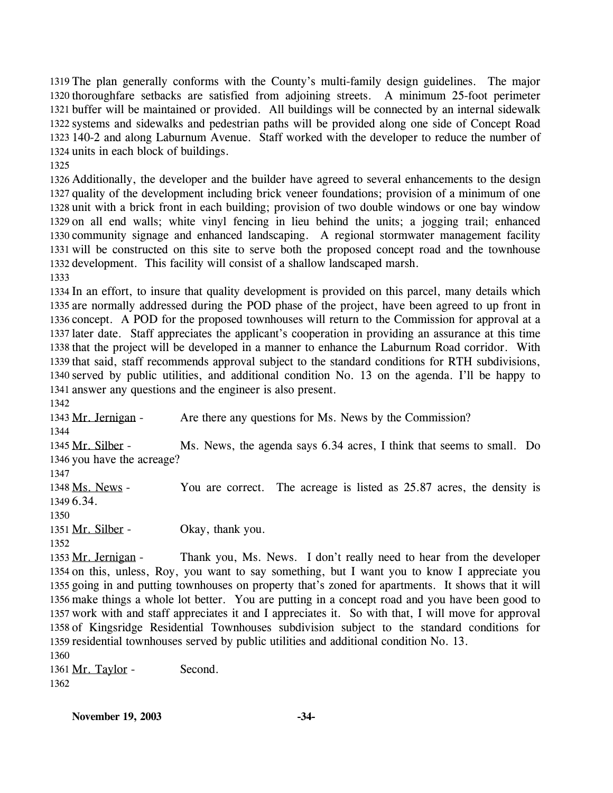1319 The plan generally conforms with the County's multi-family design guidelines. The major 1320 thoroughfare setbacks are satisfied from adjoining streets. A minimum 25-foot perimeter 1321 buffer will be maintained or provided. All buildings will be connected by an internal sidewalk 1322 systems and sidewalks and pedestrian paths will be provided along one side of Concept Road 140-2 and along Laburnum Avenue. Staff worked with the developer to reduce the number of 1323 1324 units in each block of buildings.

1325

 Additionally, the developer and the builder have agreed to several enhancements to the design quality of the development including brick veneer foundations; provision of a minimum of one unit with a brick front in each building; provision of two double windows or one bay window on all end walls; white vinyl fencing in lieu behind the units; a jogging trail; enhanced community signage and enhanced landscaping. A regional stormwater management facility will be constructed on this site to serve both the proposed concept road and the townhouse development. This facility will consist of a shallow landscaped marsh.

1333

 In an effort, to insure that quality development is provided on this parcel, many details which are normally addressed during the POD phase of the project, have been agreed to up front in concept. A POD for the proposed townhouses will return to the Commission for approval at a later date. Staff appreciates the applicant's cooperation in providing an assurance at this time that the project will be developed in a manner to enhance the Laburnum Road corridor. With that said, staff recommends approval subject to the standard conditions for RTH subdivisions, served by public utilities, and additional condition No. 13 on the agenda. I'll be happy to answer any questions and the engineer is also present.

1342

1343 Mr. Jernigan - Are there any questions for Ms. News by the Commission? 1344

Ms. News, the agenda says 6.34 acres, I think that seems to small. Do 1346 you have the acreage? 1345 Mr. Silber -

1347

You are correct. The acreage is listed as 25.87 acres, the density is 6.34. 1349 1348 Ms. News -

1350

1351 Mr. Silber - Okay, thank you.

1352

Thank you, Ms. News. I don't really need to hear from the developer 1354 on this, unless, Roy, you want to say something, but I want you to know I appreciate you 1355 going in and putting townhouses on property that's zoned for apartments. It shows that it will 1356 make things a whole lot better. You are putting in a concept road and you have been good to 1357 work with and staff appreciates it and I appreciates it. So with that, I will move for approval 1358 of Kingsridge Residential Townhouses subdivision subject to the standard conditions for 1359 residential townhouses served by public utilities and additional condition No. 13. 1353 Mr. Jernigan -

1360 1361 Mr. Taylor - Second. 1362

**November 19, 2003 -34-**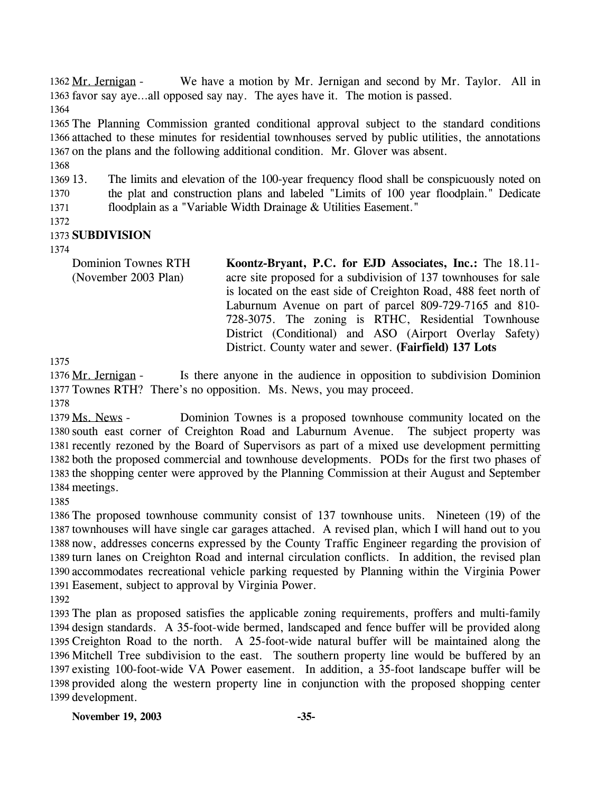We have a motion by Mr. Jernigan and second by Mr. Taylor. All in 1363 favor say aye...all opposed say nay. The ayes have it. The motion is passed. 1362 Mr. Jernigan -1364

1365 The Planning Commission granted conditional approval subject to the standard conditions 1366 attached to these minutes for residential townhouses served by public utilities, the annotations 1367 on the plans and the following additional condition. Mr. Glover was absent.

1368

1369 13. 1370 1371 The limits and elevation of the 100-year frequency flood shall be conspicuously noted on the plat and construction plans and labeled "Limits of 100 year floodplain." Dedicate floodplain as a "Variable Width Drainage & Utilities Easement."

1372

#### 1373 **SUBDIVISION**

1374

Dominion Townes RTH (November 2003 Plan) **Koontz-Bryant, P.C. for EJD Associates, Inc.:** The 18.11 acre site proposed for a subdivision of 137 townhouses for sale is located on the east side of Creighton Road, 488 feet north of Laburnum Avenue on part of parcel 809-729-7165 and 810- 728-3075. The zoning is RTHC, Residential Townhouse District (Conditional) and ASO (Airport Overlay Safety) District. County water and sewer. **(Fairfield) 137 Lots** 

1375

Is there anyone in the audience in opposition to subdivision Dominion 1377 Townes RTH? There's no opposition. Ms. News, you may proceed. 1376 Mr. Jernigan -

1378

Dominion Townes is a proposed townhouse community located on the 1380 south east corner of Creighton Road and Laburnum Avenue. The subject property was 1381 recently rezoned by the Board of Supervisors as part of a mixed use development permitting 1382 both the proposed commercial and townhouse developments. PODs for the first two phases of 1383 the shopping center were approved by the Planning Commission at their August and September 1384 meetings. 1379 Ms. News -

1385

 The proposed townhouse community consist of 137 townhouse units. Nineteen (19) of the townhouses will have single car garages attached. A revised plan, which I will hand out to you now, addresses concerns expressed by the County Traffic Engineer regarding the provision of turn lanes on Creighton Road and internal circulation conflicts. In addition, the revised plan accommodates recreational vehicle parking requested by Planning within the Virginia Power Easement, subject to approval by Virginia Power.

1392

 The plan as proposed satisfies the applicable zoning requirements, proffers and multi-family design standards. A 35-foot-wide bermed, landscaped and fence buffer will be provided along Creighton Road to the north. A 25-foot-wide natural buffer will be maintained along the Mitchell Tree subdivision to the east. The southern property line would be buffered by an existing 100-foot-wide VA Power easement. In addition, a 35-foot landscape buffer will be provided along the western property line in conjunction with the proposed shopping center development.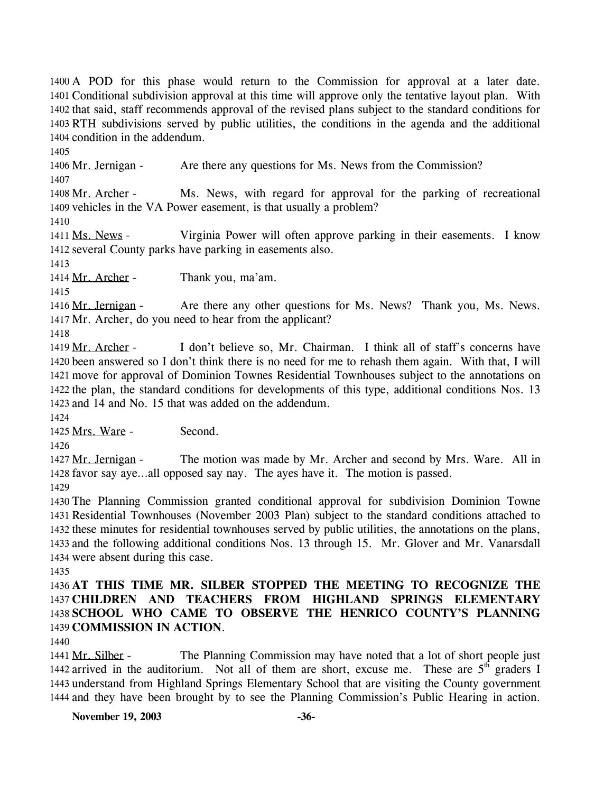1400 A POD for this phase would return to the Commission for approval at a later date. 1401 Conditional subdivision approval at this time will approve only the tentative layout plan. With 1402 that said, staff recommends approval of the revised plans subject to the standard conditions for RTH subdivisions served by public utilities, the conditions in the agenda and the additional 1403 1404 condition in the addendum.

1405

1406 Mr. Jernigan - Are there any questions for Ms. News from the Commission?

1407

Ms. News, with regard for approval for the parking of recreational 1409 vehicles in the VA Power easement, is that usually a problem? 1408 Mr. Archer -

1410

Virginia Power will often approve parking in their easements. I know 1412 several County parks have parking in easements also. 1411 Ms. News -

1413

1414 Mr. Archer - Thank you, ma'am.

1415

Are there any other questions for Ms. News? Thank you, Ms. News. 1417 Mr. Archer, do you need to hear from the applicant? 1416 Mr. Jernigan -

1418

I don't believe so, Mr. Chairman. I think all of staff's concerns have 1420 been answered so I don't think there is no need for me to rehash them again. With that, I will 1421 move for approval of Dominion Townes Residential Townhouses subject to the annotations on 1422 the plan, the standard conditions for developments of this type, additional conditions Nos. 13 1423 and 14 and No. 15 that was added on the addendum. 1419 Mr. Archer -

1424

1425 Mrs. Ware - Second.

1426

The motion was made by Mr. Archer and second by Mrs. Ware. All in 1428 favor say aye...all opposed say nay. The ayes have it. The motion is passed. 1427 Mr. Jernigan -

1429

 The Planning Commission granted conditional approval for subdivision Dominion Towne Residential Townhouses (November 2003 Plan) subject to the standard conditions attached to these minutes for residential townhouses served by public utilities, the annotations on the plans, and the following additional conditions Nos. 13 through 15. Mr. Glover and Mr. Vanarsdall were absent during this case.

1435

 **AT THIS TIME MR. SILBER STOPPED THE MEETING TO RECOGNIZE THE CHILDREN AND TEACHERS FROM HIGHLAND SPRINGS ELEMENTARY SCHOOL WHO CAME TO OBSERVE THE HENRICO COUNTY'S PLANNING COMMISSION IN ACTION**.

1440

The Planning Commission may have noted that a lot of short people just 1442 arrived in the auditorium. Not all of them are short, excuse me. These are  $5<sup>th</sup>$  graders I 1441 Mr. Silber -1443 understand from Highland Springs Elementary School that are visiting the County government 1444 and they have been brought by to see the Planning Commission's Public Hearing in action.

**November 19, 2003 -36-**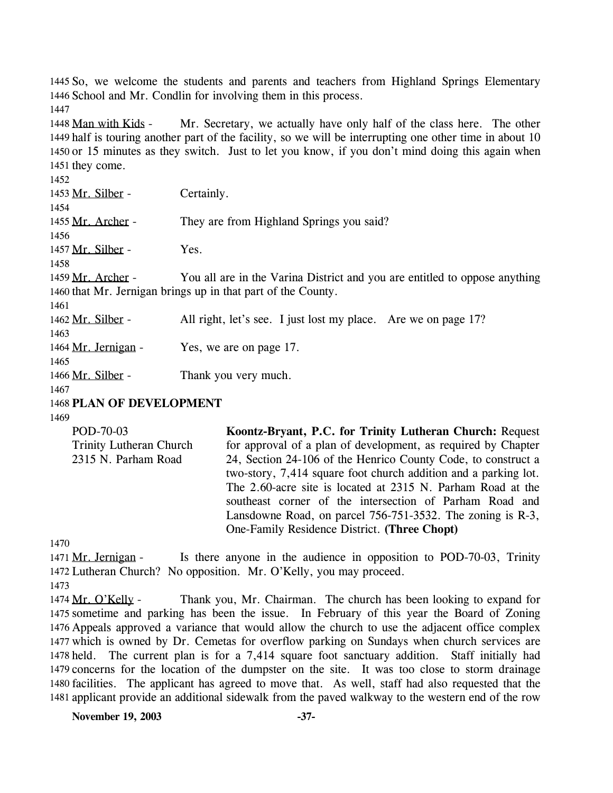1445 So, we welcome the students and parents and teachers from Highland Springs Elementary 1446 School and Mr. Condlin for involving them in this process. 1447

Mr. Secretary, we actually have only half of the class here. The other 1449 half is touring another part of the facility, so we will be interrupting one other time in about 10 1450 or 15 minutes as they switch. Just to let you know, if you don't mind doing this again when 1451 they come. 1448 Man with Kids -

1452 1453 Mr. Silber - Certainly. 1454 1455 Mr. Archer - They are from Highland Springs you said? 1456 1457 Mr. Silber - Yes. 1458 You all are in the Varina District and you are entitled to oppose anything 1460 that Mr. Jernigan brings up in that part of the County. 1459 Mr. Archer -1461 1462 Mr. Silber - All right, let's see. I just lost my place. Are we on page 17? 1463 1464 Mr. Jernigan - Yes, we are on page 17. 1465 1466 Mr. Silber - Thank you very much. 1467

1468 **PLAN OF DEVELOPMENT** 

1469

POD-70-03 Trinity Lutheran Church 2315 N. Parham Road **Koontz-Bryant, P.C. for Trinity Lutheran Church:** Request for approval of a plan of development, as required by Chapter 24, Section 24-106 of the Henrico County Code, to construct a two-story, 7,414 square foot church addition and a parking lot. The 2.60-acre site is located at 2315 N. Parham Road at the southeast corner of the intersection of Parham Road and Lansdowne Road, on parcel 756-751-3532. The zoning is R-3, One-Family Residence District. **(Three Chopt)** 

1470

Is there anyone in the audience in opposition to POD-70-03, Trinity 1472 Lutheran Church? No opposition. Mr. O'Kelly, you may proceed. 1471 Mr. Jernigan -1473

Thank you, Mr. Chairman. The church has been looking to expand for 1475 sometime and parking has been the issue. In February of this year the Board of Zoning 1476 Appeals approved a variance that would allow the church to use the adjacent office complex 1477 which is owned by Dr. Cemetas for overflow parking on Sundays when church services are 1478 held. The current plan is for a 7,414 square foot sanctuary addition. Staff initially had 1479 concerns for the location of the dumpster on the site. It was too close to storm drainage 1480 facilities. The applicant has agreed to move that. As well, staff had also requested that the 1481 applicant provide an additional sidewalk from the paved walkway to the western end of the row 1474 Mr. O'Kelly -

**November 19, 2003** -37-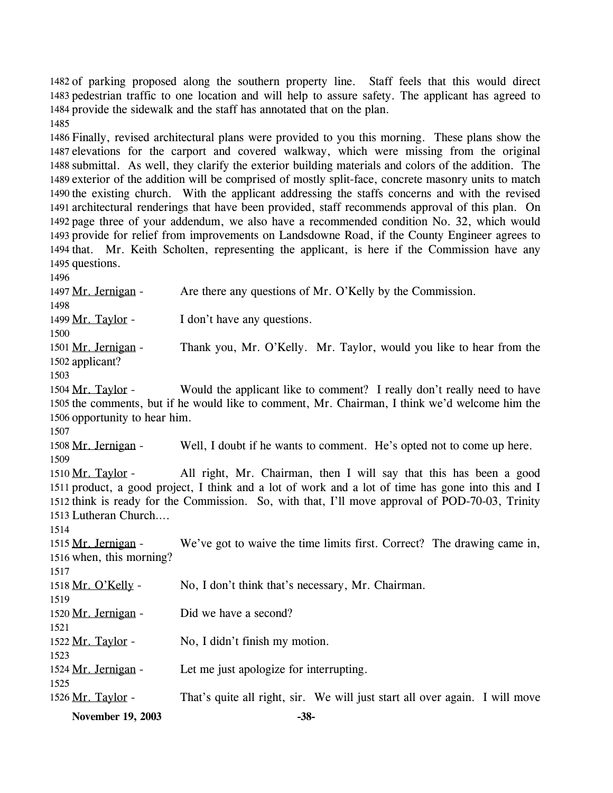1482 of parking proposed along the southern property line. Staff feels that this would direct 1483 pedestrian traffic to one location and will help to assure safety. The applicant has agreed to 1484 provide the sidewalk and the staff has annotated that on the plan. 1485

 Finally, revised architectural plans were provided to you this morning. These plans show the elevations for the carport and covered walkway, which were missing from the original submittal. As well, they clarify the exterior building materials and colors of the addition. The exterior of the addition will be comprised of mostly split-face, concrete masonry units to match the existing church. With the applicant addressing the staffs concerns and with the revised architectural renderings that have been provided, staff recommends approval of this plan. On page three of your addendum, we also have a recommended condition No. 32, which would provide for relief from improvements on Landsdowne Road, if the County Engineer agrees to 1494 that. Mr. Keith Scholten, representing the applicant, is here if the Commission have any questions.

1496 1497 Mr. Jernigan - Are there any questions of Mr. O'Kelly by the Commission. 1498 1499 Mr. Taylor - I don't have any questions. 1500 Thank you, Mr. O'Kelly. Mr. Taylor, would you like to hear from the 1502 applicant? 1501 Mr. Jernigan -1503 Would the applicant like to comment? I really don't really need to have 1505 the comments, but if he would like to comment, Mr. Chairman, I think we'd welcome him the 1506 opportunity to hear him. 1504 Mr. Taylor -1507 1508 Mr. Jernigan - Well, I doubt if he wants to comment. He's opted not to come up here. 1509 All right, Mr. Chairman, then I will say that this has been a good 1511 product, a good project, I think and a lot of work and a lot of time has gone into this and I 1512 think is ready for the Commission. So, with that, I'll move approval of POD-70-03, Trinity 1513 Lutheran Church.... 1510 Mr. Taylor -1514 We've got to waive the time limits first. Correct? The drawing came in, 1516 when, this morning? 1515 Mr. Jernigan -1517 1518 Mr. O'Kelly - No, I don't think that's necessary, Mr. Chairman. 1519 1520 Mr. Jernigan - Did we have a second? 1521 1522 Mr. Taylor - No, I didn't finish my motion. 1523 1524 Mr. Jernigan - Let me just apologize for interrupting. 1525 1526 Mr. Taylor - That's quite all right, sir. We will just start all over again. I will move **November 19, 2003 -38-**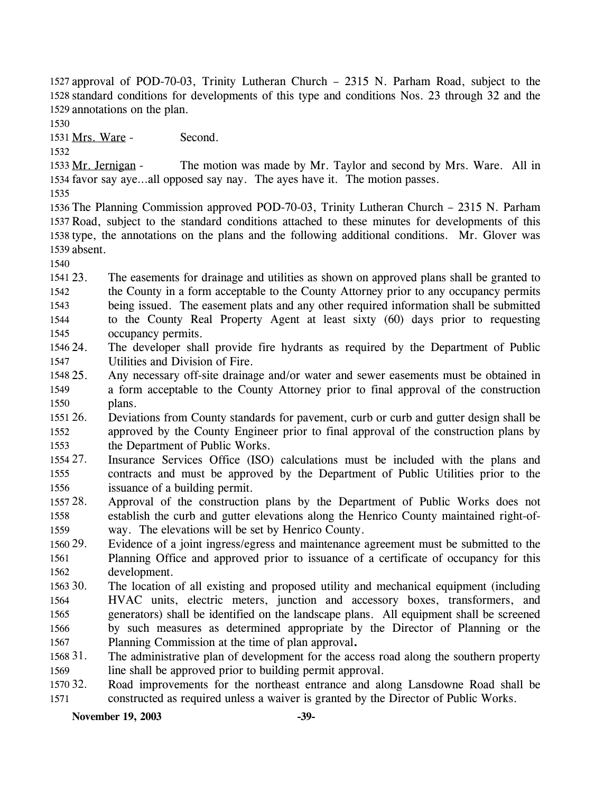1527 approval of POD-70-03, Trinity Lutheran Church - 2315 N. Parham Road, subject to the 1528 standard conditions for developments of this type and conditions Nos. 23 through 32 and the 1529 annotations on the plan.

1530

1531 Mrs. Ware - Second.

1532

The motion was made by Mr. Taylor and second by Mrs. Ware. All in 1534 favor say aye...all opposed say nay. The ayes have it. The motion passes. 1533 Mr. Jernigan -

1535

 The Planning Commission approved POD-70-03, Trinity Lutheran Church – 2315 N. Parham Road, subject to the standard conditions attached to these minutes for developments of this type, the annotations on the plans and the following additional conditions. Mr. Glover was absent.

1540

1541 23. 1542 1543 1544 1545 The easements for drainage and utilities as shown on approved plans shall be granted to the County in a form acceptable to the County Attorney prior to any occupancy permits being issued. The easement plats and any other required information shall be submitted to the County Real Property Agent at least sixty (60) days prior to requesting occupancy permits.

1546 24. 1547 The developer shall provide fire hydrants as required by the Department of Public Utilities and Division of Fire.

1548 25. 1549 1550 Any necessary off-site drainage and/or water and sewer easements must be obtained in a form acceptable to the County Attorney prior to final approval of the construction plans.

1551 26. 1552 1553 26. Deviations from County standards for pavement, curb or curb and gutter design shall be approved by the County Engineer prior to final approval of the construction plans by the Department of Public Works.

1554 27. 1555 1556 Insurance Services Office (ISO) calculations must be included with the plans and contracts and must be approved by the Department of Public Utilities prior to the issuance of a building permit.

1557 28. 1558 1559 Approval of the construction plans by the Department of Public Works does not establish the curb and gutter elevations along the Henrico County maintained right-ofway. The elevations will be set by Henrico County.

1560 29. 1561 1562 Evidence of a joint ingress/egress and maintenance agreement must be submitted to the Planning Office and approved prior to issuance of a certificate of occupancy for this development.

1563 30. 1564 1565 1566 1567 The location of all existing and proposed utility and mechanical equipment (including HVAC units, electric meters, junction and accessory boxes, transformers, and generators) shall be identified on the landscape plans. All equipment shall be screened by such measures as determined appropriate by the Director of Planning or the Planning Commission at the time of plan approval**.** 

1568 31. 1569 The administrative plan of development for the access road along the southern property line shall be approved prior to building permit approval.

1570 32. 1571 Road improvements for the northeast entrance and along Lansdowne Road shall be constructed as required unless a waiver is granted by the Director of Public Works.

**November 19, 2003** -39-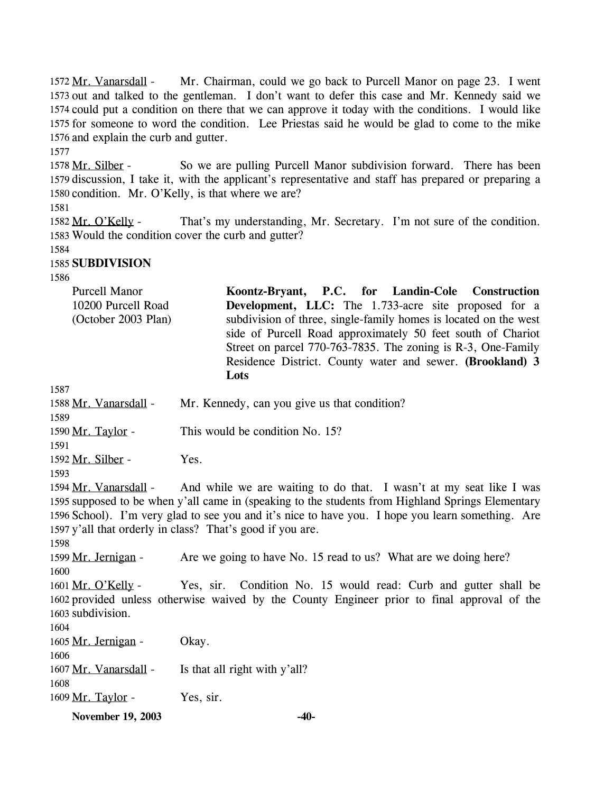Mr. Chairman, could we go back to Purcell Manor on page 23. I went 1573 out and talked to the gentleman. I don't want to defer this case and Mr. Kennedy said we 1574 could put a condition on there that we can approve it today with the conditions. I would like 1575 for someone to word the condition. Lee Priestas said he would be glad to come to the mike 1576 and explain the curb and gutter. 1572 Mr. Vanarsdall -

1577

So we are pulling Purcell Manor subdivision forward. There has been 1579 discussion, I take it, with the applicant's representative and staff has prepared or preparing a 1580 condition. Mr. O'Kelly, is that where we are? 1578 Mr. Silber -

1581

That's my understanding, Mr. Secretary. I'm not sure of the condition. 1583 Would the condition cover the curb and gutter? 1582 Mr. O'Kelly -

1584

# 1585 **SUBDIVISION**

1586

| <b>Purcell Manor</b> | Koontz-Bryant, P.C. for Landin-Cole Construction                 |
|----------------------|------------------------------------------------------------------|
| 10200 Purcell Road   | <b>Development, LLC:</b> The 1.733-acre site proposed for a      |
| (October 2003 Plan)  | subdivision of three, single-family homes is located on the west |
|                      | side of Purcell Road approximately 50 feet south of Chariot      |
|                      | Street on parcel 770-763-7835. The zoning is R-3, One-Family     |
|                      | Residence District. County water and sewer. (Brookland) 3        |
|                      | Lots                                                             |

1587

| 1589              | 1588 Mr. Vanarsdall - Mr. Kennedy, can you give us that condition?  |
|-------------------|---------------------------------------------------------------------|
| 1590 Mr. Taylor - | This would be condition No. 15?                                     |
| 1591              |                                                                     |
| 1592 Mr. Silber - | Yes.                                                                |
| 1593              |                                                                     |
|                   | 1594 Mr. Vanarsdall - And while we are waiting to do that. I wasn't |

at my seat like I was 1595 supposed to be when y'all came in (speaking to the students from Highland Springs Elementary 1596 School). I'm very glad to see you and it's nice to have you. I hope you learn something. Are 1597 y'all that orderly in class? That's good if you are. 1598

1599 Mr. Jernigan - Are we going to have No. 15 read to us? What are we doing here? 1600 Yes, sir. Condition No. 15 would read: Curb and gutter shall be 1601 Mr. O'Kelly -

1602 provided unless otherwise waived by the County Engineer prior to final approval of the 1603 subdivision. 1604

| 1605 Mr. Jernigan -   | Okay.                         |
|-----------------------|-------------------------------|
| 1606                  |                               |
| 1607 Mr. Vanarsdall - | Is that all right with y'all? |
| 1608                  |                               |
| 1609 Mr. Taylor -     | Yes, sir.                     |

**November 19, 2003 -40-**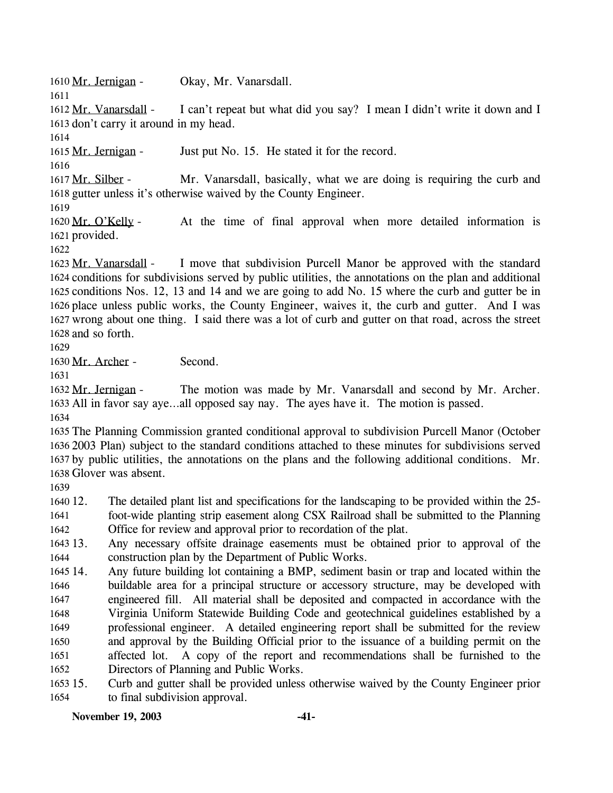1610 Mr. Jernigan - Okay, Mr. Vanarsdall.

1611

I can't repeat but what did you say? I mean I didn't write it down and I 1613 don't carry it around in my head. 1612 Mr. Vanarsdall -

1614

1615 Mr. Jernigan - Just put No. 15. He stated it for the record.

1616

Mr. Vanarsdall, basically, what we are doing is requiring the curb and 1618 gutter unless it's otherwise waived by the County Engineer. 1617 Mr. Silber -

1619

At the time of final approval when more detailed information is 1621 provided. 1620 Mr. O'Kelly -

1622

I move that subdivision Purcell Manor be approved with the standard 1624 conditions for subdivisions served by public utilities, the annotations on the plan and additional 1625 conditions Nos. 12, 13 and 14 and we are going to add No. 15 where the curb and gutter be in 1626 place unless public works, the County Engineer, waives it, the curb and gutter. And I was 1627 wrong about one thing. I said there was a lot of curb and gutter on that road, across the street 1628 and so forth. 1623 Mr. Vanarsdall -

1629

1630 Mr. Archer - Second.

1631

The motion was made by Mr. Vanarsdall and second by Mr. Archer. 1633 All in favor say aye...all opposed say nay. The ayes have it. The motion is passed. 1632 Mr. Jernigan -

1634

 The Planning Commission granted conditional approval to subdivision Purcell Manor (October 2003 Plan) subject to the standard conditions attached to these minutes for subdivisions served by public utilities, the annotations on the plans and the following additional conditions. Mr. Glover was absent.

1639

1640 12. 1641 The detailed plant list and specifications for the landscaping to be provided within the 25foot-wide planting strip easement along CSX Railroad shall be submitted to the Planning

1642 Office for review and approval prior to recordation of the plat.

1643 13. 1644 13. Any necessary offsite drainage easements must be obtained prior to approval of the construction plan by the Department of Public Works.

1645 14. 1646 1647 1648 1649 1650 1651 1652 Any future building lot containing a BMP, sediment basin or trap and located within the buildable area for a principal structure or accessory structure, may be developed with engineered fill. All material shall be deposited and compacted in accordance with the Virginia Uniform Statewide Building Code and geotechnical guidelines established by a professional engineer. A detailed engineering report shall be submitted for the review and approval by the Building Official prior to the issuance of a building permit on the affected lot. A copy of the report and recommendations shall be furnished to the Directors of Planning and Public Works.

1653 15. 1654 15. Curb and gutter shall be provided unless otherwise waived by the County Engineer prior to final subdivision approval.

**November 19, 2003 -41-**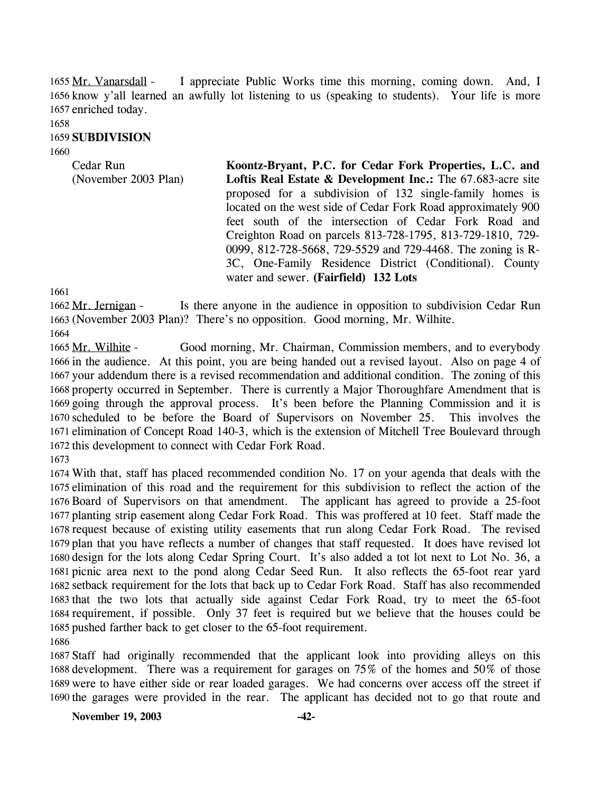I appreciate Public Works time this morning, coming down. And, I 1656 know y'all learned an awfully lot listening to us (speaking to students). Your life is more 1657 enriched today. 1655 Mr. Vanarsdall -

# 1658

#### 1659 **SUBDIVISION**

1660

Cedar Run (November 2003 Plan) **Koontz-Bryant, P.C. for Cedar Fork Properties, L.C. and Loftis Real Estate & Development Inc.:** The 67.683-acre site proposed for a subdivision of 132 single-family homes is located on the west side of Cedar Fork Road approximately 900 feet south of the intersection of Cedar Fork Road and Creighton Road on parcels 813-728-1795, 813-729-1810, 729- 0099, 812-728-5668, 729-5529 and 729-4468. The zoning is R-3C, One-Family Residence District (Conditional). County water and sewer. **(Fairfield) 132 Lots** 

1661

Is there anyone in the audience in opposition to subdivision Cedar Run (November 2003 Plan)? There's no opposition. Good morning, Mr. Wilhite. 1663 1662 Mr. Jernigan -

1664

Good morning, Mr. Chairman, Commission members, and to everybody 1666 in the audience. At this point, you are being handed out a revised layout. Also on page 4 of 1667 your addendum there is a revised recommendation and additional condition. The zoning of this 1668 property occurred in September. There is currently a Major Thoroughfare Amendment that is 1669 going through the approval process. It's been before the Planning Commission and it is 1670 scheduled to be before the Board of Supervisors on November 25. This involves the 1671 elimination of Concept Road 140-3, which is the extension of Mitchell Tree Boulevard through 1672 this development to connect with Cedar Fork Road. 1665 Mr. Wilhite -

1673

 With that, staff has placed recommended condition No. 17 on your agenda that deals with the elimination of this road and the requirement for this subdivision to reflect the action of the Board of Supervisors on that amendment. The applicant has agreed to provide a 25-foot planting strip easement along Cedar Fork Road. This was proffered at 10 feet. Staff made the request because of existing utility easements that run along Cedar Fork Road. The revised plan that you have reflects a number of changes that staff requested. It does have revised lot design for the lots along Cedar Spring Court. It's also added a tot lot next to Lot No. 36, a picnic area next to the pond along Cedar Seed Run. It also reflects the 65-foot rear yard setback requirement for the lots that back up to Cedar Fork Road. Staff has also recommended that the two lots that actually side against Cedar Fork Road, try to meet the 65-foot requirement, if possible. Only 37 feet is required but we believe that the houses could be pushed farther back to get closer to the 65-foot requirement. 1686

 Staff had originally recommended that the applicant look into providing alleys on this development. There was a requirement for garages on 75% of the homes and 50% of those were to have either side or rear loaded garages. We had concerns over access off the street if the garages were provided in the rear. The applicant has decided not to go that route and

**November 19, 2003 -42-**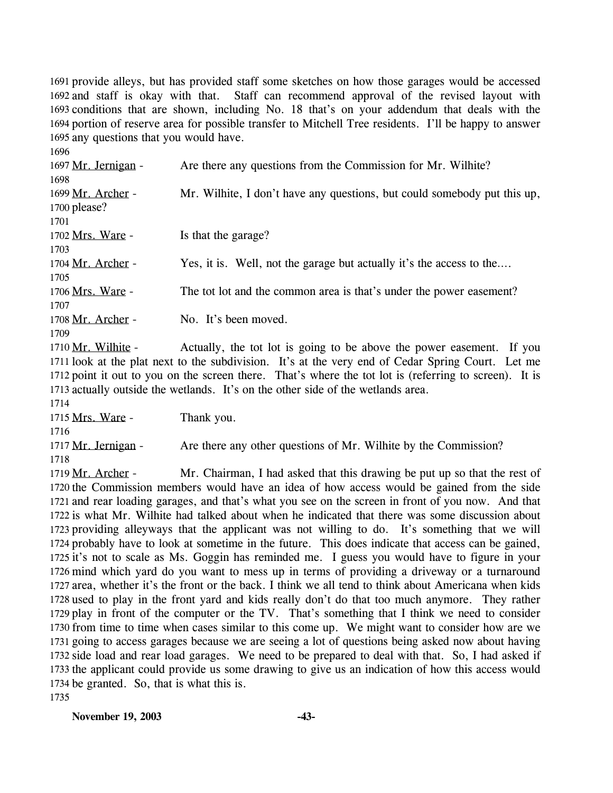1691 provide alleys, but has provided staff some sketches on how those garages would be accessed 1692 and staff is okay with that. Staff can recommend approval of the revised layout with 1693 conditions that are shown, including No. 18 that's on your addendum that deals with the 1694 portion of reserve area for possible transfer to Mitchell Tree residents. I'll be happy to answer 1695 any questions that you would have.

1696 1697 Mr. Jernigan - Are there any questions from the Commission for Mr. Wilhite? 1698 Mr. Wilhite, I don't have any questions, but could somebody put this up, 1700 please? 1699 Mr. Archer -1701 1702 Mrs. Ware - Is that the garage? 1703 1704 Mr. Archer - Yes, it is. Well, not the garage but actually it's the access to the.... 1705 1706 Mrs. Ware - The tot lot and the common area is that's under the power easement? 1707 1708 Mr. Archer - No. It's been moved. 1709

Actually, the tot lot is going to be above the power easement. If you 1711 look at the plat next to the subdivision. It's at the very end of Cedar Spring Court. Let me 1712 point it out to you on the screen there. That's where the tot lot is (referring to screen). It is 1713 actually outside the wetlands. It's on the other side of the wetlands area. 1710 Mr. Wilhite -

1714

1715 Mrs. Ware - Thank you.

1716

1717 Mr. Jernigan - Are there any other questions of Mr. Wilhite by the Commission? 1718

Mr. Chairman, I had asked that this drawing be put up so that the rest of 1720 the Commission members would have an idea of how access would be gained from the side 1721 and rear loading garages, and that's what you see on the screen in front of you now. And that 1722 is what Mr. Wilhite had talked about when he indicated that there was some discussion about 1723 providing alleyways that the applicant was not willing to do. It's something that we will 1724 probably have to look at sometime in the future. This does indicate that access can be gained, 1725 it's not to scale as Ms. Goggin has reminded me. I guess you would have to figure in your 1726 mind which yard do you want to mess up in terms of providing a driveway or a turnaround 1727 area, whether it's the front or the back. I think we all tend to think about Americana when kids 1728 used to play in the front yard and kids really don't do that too much anymore. They rather 1729 play in front of the computer or the TV. That's something that I think we need to consider 1730 from time to time when cases similar to this come up. We might want to consider how are we 1731 going to access garages because we are seeing a lot of questions being asked now about having 1732 side load and rear load garages. We need to be prepared to deal with that. So, I had asked if 1733 the applicant could provide us some drawing to give us an indication of how this access would 1734 be granted. So, that is what this is. 1719 Mr. Archer -1735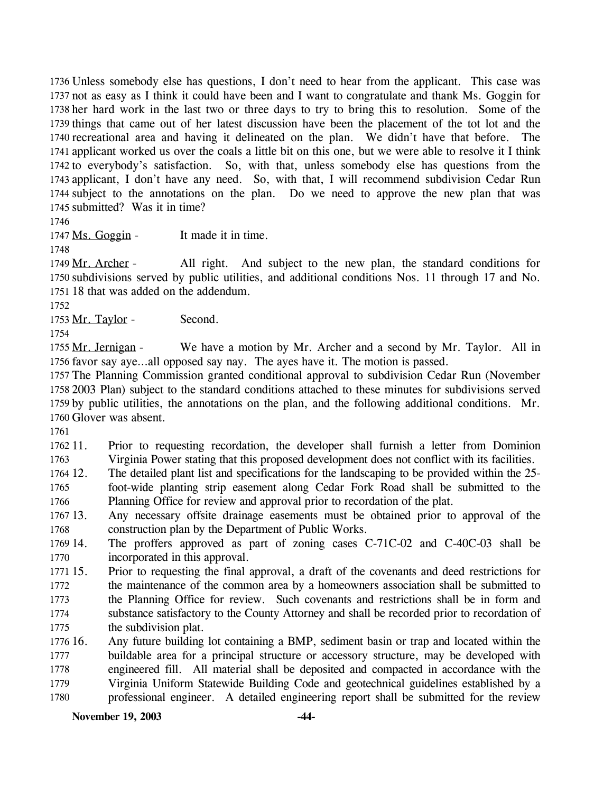1736 Unless somebody else has questions, I don't need to hear from the applicant. This case was 1737 not as easy as I think it could have been and I want to congratulate and thank Ms. Goggin for 1738 her hard work in the last two or three days to try to bring this to resolution. Some of the 1739 things that came out of her latest discussion have been the placement of the tot lot and the 1740 recreational area and having it delineated on the plan. We didn't have that before. The 1741 applicant worked us over the coals a little bit on this one, but we were able to resolve it I think 1742 to everybody's satisfaction. So, with that, unless somebody else has questions from the 1743 applicant, I don't have any need. So, with that, I will recommend subdivision Cedar Run 1744 subject to the annotations on the plan. Do we need to approve the new plan that was 1745 submitted? Was it in time?

1746

1747 Ms. Goggin - It made it in time.

1748

All right. And subject to the new plan, the standard conditions for 1750 subdivisions served by public utilities, and additional conditions Nos. 11 through 17 and No. 1751 18 that was added on the addendum. 1749 Mr. Archer -

1752

1753 Mr. Taylor - Second.

1754

We have a motion by Mr. Archer and a second by Mr. Taylor. All in 1756 favor say aye...all opposed say nay. The ayes have it. The motion is passed. 1755 Mr. Jernigan -

 The Planning Commission granted conditional approval to subdivision Cedar Run (November 2003 Plan) subject to the standard conditions attached to these minutes for subdivisions served by public utilities, the annotations on the plan, and the following additional conditions. Mr. Glover was absent.

1761

1762 11. 1763 Prior to requesting recordation, the developer shall furnish a letter from Dominion Virginia Power stating that this proposed development does not conflict with its facilities.

1764 12. 1765 1766 The detailed plant list and specifications for the landscaping to be provided within the 25foot-wide planting strip easement along Cedar Fork Road shall be submitted to the Planning Office for review and approval prior to recordation of the plat.

1767 13. 1768 Any necessary offsite drainage easements must be obtained prior to approval of the construction plan by the Department of Public Works.

1769 14. 1770 The proffers approved as part of zoning cases  $C-71C-02$  and  $C-40C-03$  shall be incorporated in this approval.

1771 15. 1772 1773 1774 1775 15. Prior to requesting the final approval, a draft of the covenants and deed restrictions for the maintenance of the common area by a homeowners association shall be submitted to the Planning Office for review. Such covenants and restrictions shall be in form and substance satisfactory to the County Attorney and shall be recorded prior to recordation of the subdivision plat.

1776 16. 1777 1778 1779 1780 16. Any future building lot containing a BMP, sediment basin or trap and located within the buildable area for a principal structure or accessory structure, may be developed with engineered fill. All material shall be deposited and compacted in accordance with the Virginia Uniform Statewide Building Code and geotechnical guidelines established by a professional engineer. A detailed engineering report shall be submitted for the review

**November 19, 2003 -44-**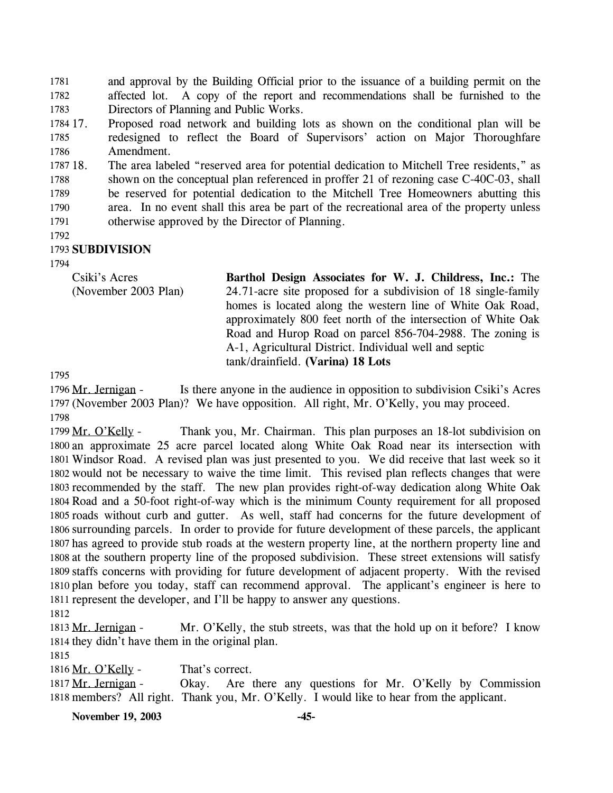and approval by the Building Official prior to the issuance of a building permit on the affected lot. A copy of the report and recommendations shall be furnished to the Directors of Planning and Public Works. 1781 1782 1783

1784 17. 1785 1786 17. Proposed road network and building lots as shown on the conditional plan will be redesigned to reflect the Board of Supervisors' action on Major Thoroughfare Amendment.

1787 18. 1788 1789 1790 1791 The area labeled "reserved area for potential dedication to Mitchell Tree residents," as shown on the conceptual plan referenced in proffer 21 of rezoning case C-40C-03, shall be reserved for potential dedication to the Mitchell Tree Homeowners abutting this area. In no event shall this area be part of the recreational area of the property unless otherwise approved by the Director of Planning.

1792

#### 1793 **SUBDIVISION**

1794

Csiki's Acres (November 2003 Plan) **Barthol Design Associates for W. J. Childress, Inc.:** The 24.71-acre site proposed for a subdivision of 18 single-family homes is located along the western line of White Oak Road, approximately 800 feet north of the intersection of White Oak Road and Hurop Road on parcel 856-704-2988. The zoning is A-1, Agricultural District. Individual well and septic tank/drainfield. **(Varina) 18 Lots** 

1795

Is there anyone in the audience in opposition to subdivision Csiki's Acres 1797 (November 2003 Plan)? We have opposition. All right, Mr. O'Kelly, you may proceed. 1796 Mr. Jernigan -1798

Thank you, Mr. Chairman. This plan purposes an 18-lot subdivision on 1800 an approximate 25 acre parcel located along White Oak Road near its intersection with 1801 Windsor Road. A revised plan was just presented to you. We did receive that last week so it 1802 would not be necessary to waive the time limit. This revised plan reflects changes that were 1803 recommended by the staff. The new plan provides right-of-way dedication along White Oak 1804 Road and a 50-foot right-of-way which is the minimum County requirement for all proposed 1805 roads without curb and gutter. As well, staff had concerns for the future development of 1806 surrounding parcels. In order to provide for future development of these parcels, the applicant 1807 has agreed to provide stub roads at the western property line, at the northern property line and 1808 at the southern property line of the proposed subdivision. These street extensions will satisfy 1809 staffs concerns with providing for future development of adjacent property. With the revised 1810 plan before you today, staff can recommend approval. The applicant's engineer is here to 1811 represent the developer, and I'll be happy to answer any questions. 1799 Mr. O'Kelly -

1812

Mr. O'Kelly, the stub streets, was that the hold up on it before? I know 1814 they didn't have them in the original plan. 1813 Mr. Jernigan -

1815

1816 Mr. O'Kelly - That's correct.

Okay. Are there any questions for Mr. O'Kelly by Commission 1818 members? All right. Thank you, Mr. O'Kelly. I would like to hear from the applicant. 1817 Mr. Jernigan -

**November 19, 2003 -45-**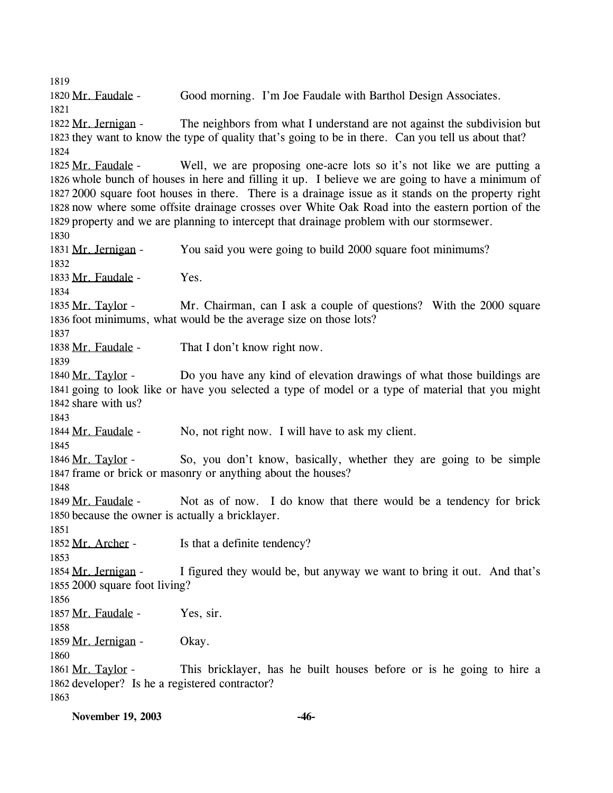1819 1820 Mr. Faudale - Good morning. I'm Joe Faudale with Barthol Design Associates. 1821 The neighbors from what I understand are not against the subdivision but 1823 they want to know the type of quality that's going to be in there. Can you tell us about that? 1822 Mr. Jernigan -1824 Well, we are proposing one-acre lots so it's not like we are putting a 1826 whole bunch of houses in here and filling it up. I believe we are going to have a minimum of 2000 square foot houses in there. There is a drainage issue as it stands on the property right 1827 1828 now where some offsite drainage crosses over White Oak Road into the eastern portion of the 1829 property and we are planning to intercept that drainage problem with our stormsewer. 1825 Mr. Faudale -1830 1831 Mr. Jernigan - You said you were going to build 2000 square foot minimums? 1832 1833 Mr. Faudale - Yes. 1834 Mr. Chairman, can I ask a couple of questions? With the 2000 square 1836 foot minimums, what would be the average size on those lots? 1835 Mr. Taylor -1837 1838 Mr. Faudale - That I don't know right now. 1839 Do you have any kind of elevation drawings of what those buildings are 1841 going to look like or have you selected a type of model or a type of material that you might 1842 share with us? 1840 Mr. Taylor -1843 1844 Mr. Faudale - No, not right now. I will have to ask my client. 1845 So, you don't know, basically, whether they are going to be simple 1847 frame or brick or masonry or anything about the houses? 1846 Mr. Taylor -1848 Not as of now. I do know that there would be a tendency for brick 1850 because the owner is actually a bricklayer. 1849 Mr. Faudale -1851 1852 Mr. Archer - Is that a definite tendency? 1853 I figured they would be, but anyway we want to bring it out. And that's 1855 2000 square foot living? 1854 Mr. Jernigan -1856 1857 Mr. Faudale - Yes, sir. 1858 1859 Mr. Jernigan - Okay. 1860 This bricklayer, has he built houses before or is he going to hire a 1862 developer? Is he a registered contractor? 1861 Mr. Taylor -1863

**November 19, 2003 -46-**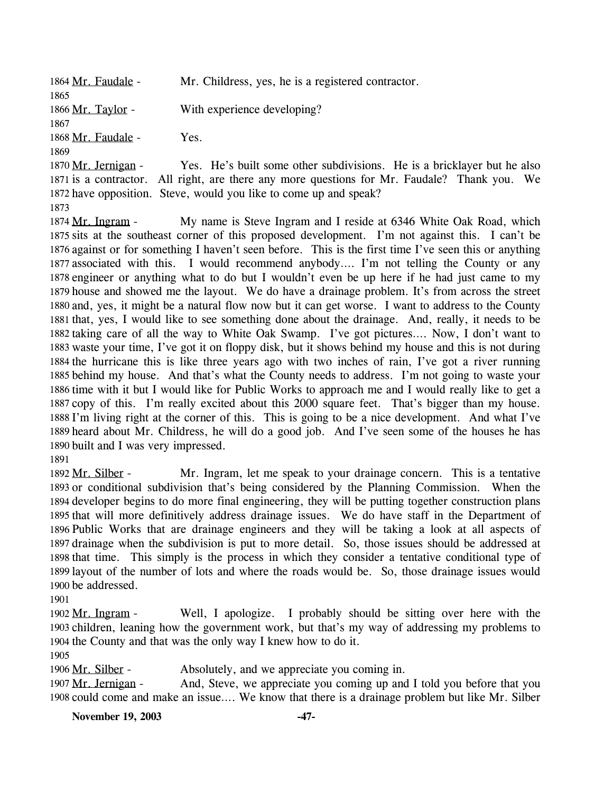| 1864 Mr. Faudale -   | Mr. Childress, yes, he is a registered contractor. |
|----------------------|----------------------------------------------------|
| 1865                 |                                                    |
| 1866 Mr. Taylor -    | With experience developing?                        |
| 1867                 |                                                    |
| 1868 Mr. Faudale -   | Yes.                                               |
| 1869                 |                                                    |
| 1870 Mr. Jernigan -  | Yes. He's built some other subdivisions. He is a   |
| 1871 is a contractor | All right are there any more questions for Mr Faud |

a bricklayer but he also. 1871 is a contractor. All right, are there any more questions for Mr. Faudale? Thank you. We 1872 have opposition. Steve, would you like to come up and speak?

1873

My name is Steve Ingram and I reside at 6346 White Oak Road, which 1875 sits at the southeast corner of this proposed development. I'm not against this. I can't be 1876 against or for something I haven't seen before. This is the first time I've seen this or anything 1877 associated with this. I would recommend anybody.... I'm not telling the County or any 1878 engineer or anything what to do but I wouldn't even be up here if he had just came to my 1879 house and showed me the layout. We do have a drainage problem. It's from across the street 1880 and, yes, it might be a natural flow now but it can get worse. I want to address to the County 1881 that, yes, I would like to see something done about the drainage. And, really, it needs to be 1882 taking care of all the way to White Oak Swamp. I've got pictures.... Now, I don't want to 1883 waste your time, I've got it on floppy disk, but it shows behind my house and this is not during 1884 the hurricane this is like three years ago with two inches of rain, I've got a river running 1885 behind my house. And that's what the County needs to address. I'm not going to waste your 1886 time with it but I would like for Public Works to approach me and I would really like to get a 1887 copy of this. I'm really excited about this 2000 square feet. That's bigger than my house. 1888 I'm living right at the corner of this. This is going to be a nice development. And what I've 1889 heard about Mr. Childress, he will do a good job. And I've seen some of the houses he has 1890 built and I was very impressed. 1874 Mr. Ingram -

1891

Mr. Ingram, let me speak to your drainage concern. This is a tentative 1893 or conditional subdivision that's being considered by the Planning Commission. When the 1894 developer begins to do more final engineering, they will be putting together construction plans 1895 that will more definitively address drainage issues. We do have staff in the Department of 1896 Public Works that are drainage engineers and they will be taking a look at all aspects of 1897 drainage when the subdivision is put to more detail. So, those issues should be addressed at 1898 that time. This simply is the process in which they consider a tentative conditional type of 1899 layout of the number of lots and where the roads would be. So, those drainage issues would 1900 be addressed. 1892 Mr. Silber -

1901

Well, I apologize. I probably should be sitting over here with the 1903 children, leaning how the government work, but that's my way of addressing my problems to 1904 the County and that was the only way I knew how to do it. 1902 Mr. Ingram -

1905

1906 Mr. Silber - Absolutely, and we appreciate you coming in.

And, Steve, we appreciate you coming up and I told you before that you 1908 could come and make an issue.... We know that there is a drainage problem but like Mr. Silber 1907 Mr. Jernigan -

**November 19, 2003 -47-**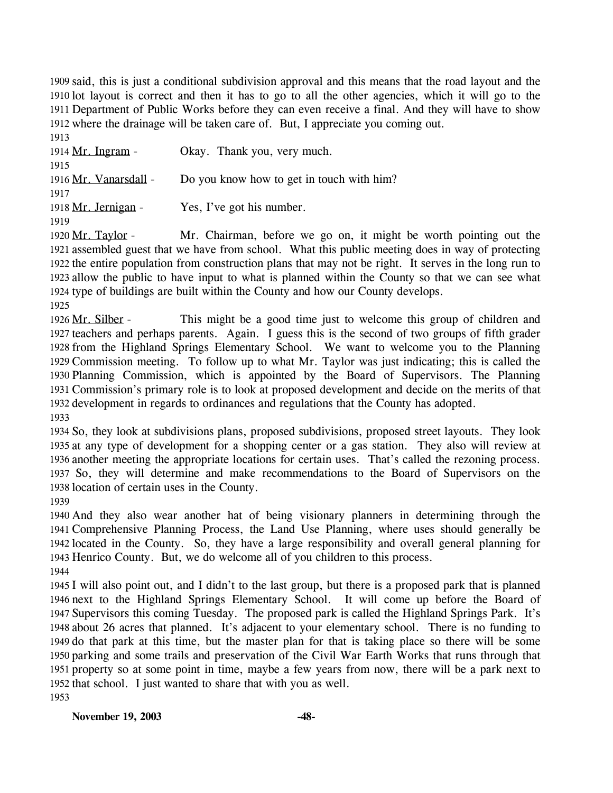1909 said, this is just a conditional subdivision approval and this means that the road layout and the 1910 lot layout is correct and then it has to go to all the other agencies, which it will go to the 1911 Department of Public Works before they can even receive a final. And they will have to show 1912 where the drainage will be taken care of. But, I appreciate you coming out.

1913 1914 Mr. Ingram - Okay. Thank you, very much. 1915 1916 Mr. Vanarsdall - Do you know how to get in touch with him? 1917 1918 Mr. Jernigan - Yes, I've got his number. 1919

Mr. Chairman, before we go on, it might be worth pointing out the 1921 assembled guest that we have from school. What this public meeting does in way of protecting 1922 the entire population from construction plans that may not be right. It serves in the long run to 1923 allow the public to have input to what is planned within the County so that we can see what 1924 type of buildings are built within the County and how our County develops. 1920 Mr. Taylor -

1925

This might be a good time just to welcome this group of children and 1927 teachers and perhaps parents. Again. I guess this is the second of two groups of fifth grader 1928 from the Highland Springs Elementary School. We want to welcome you to the Planning 1929 Commission meeting. To follow up to what Mr. Taylor was just indicating; this is called the 1930 Planning Commission, which is appointed by the Board of Supervisors. The Planning 1931 Commission's primary role is to look at proposed development and decide on the merits of that 1932 development in regards to ordinances and regulations that the County has adopted. 1926 Mr. Silber -1933

 So, they look at subdivisions plans, proposed subdivisions, proposed street layouts. They look at any type of development for a shopping center or a gas station. They also will review at another meeting the appropriate locations for certain uses. That's called the rezoning process. So, they will determine and make recommendations to the Board of Supervisors on the location of certain uses in the County.

1939

 And they also wear another hat of being visionary planners in determining through the Comprehensive Planning Process, the Land Use Planning, where uses should generally be located in the County. So, they have a large responsibility and overall general planning for Henrico County. But, we do welcome all of you children to this process.

1944

 I will also point out, and I didn't to the last group, but there is a proposed park that is planned next to the Highland Springs Elementary School. It will come up before the Board of Supervisors this coming Tuesday. The proposed park is called the Highland Springs Park. It's about 26 acres that planned. It's adjacent to your elementary school. There is no funding to do that park at this time, but the master plan for that is taking place so there will be some parking and some trails and preservation of the Civil War Earth Works that runs through that property so at some point in time, maybe a few years from now, there will be a park next to that school. I just wanted to share that with you as well. 1953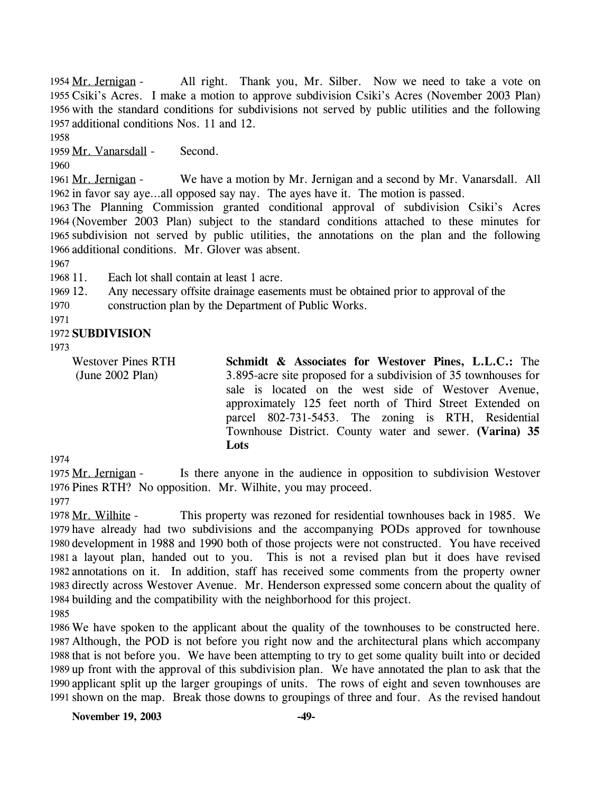All right. Thank you, Mr. Silber. Now we need to take a vote on 1955 Csiki's Acres. I make a motion to approve subdivision Csiki's Acres (November 2003 Plan) 1956 with the standard conditions for subdivisions not served by public utilities and the following 1957 additional conditions Nos. 11 and 12. 1954 Mr. Jernigan -

1958

1959 Mr. Vanarsdall - Second.

1960

We have a motion by Mr. Jernigan and a second by Mr. Vanarsdall. All 1962 in favor say aye...all opposed say nay. The ayes have it. The motion is passed. 1961 Mr. Jernigan -

 The Planning Commission granted conditional approval of subdivision Csiki's Acres (November 2003 Plan) subject to the standard conditions attached to these minutes for subdivision not served by public utilities, the annotations on the plan and the following additional conditions. Mr. Glover was absent.

1967

1968 11. Each lot shall contain at least 1 acre.

1969 12. Any necessary offsite drainage easements must be obtained prior to approval of the

1970 construction plan by the Department of Public Works.

1971

### 1972 **SUBDIVISION**

1973

Westover Pines RTH (June 2002 Plan)

**Schmidt & Associates for Westover Pines, L.L.C.:** The 3.895-acre site proposed for a subdivision of 35 townhouses for sale is located on the west side of Westover Avenue, approximately 125 feet north of Third Street Extended on parcel 802-731-5453. The zoning is RTH, Residential Townhouse District. County water and sewer. **(Varina) 35 Lots** 

1974

Is there anyone in the audience in opposition to subdivision Westover 1976 Pines RTH? No opposition. Mr. Wilhite, you may proceed. 1975 Mr. Jernigan -1977

This property was rezoned for residential townhouses back in 1985. We 1979 have already had two subdivisions and the accompanying PODs approved for townhouse 1980 development in 1988 and 1990 both of those projects were not constructed. You have received 1981 a layout plan, handed out to you. This is not a revised plan but it does have revised 1982 annotations on it. In addition, staff has received some comments from the property owner 1983 directly across Westover Avenue. Mr. Henderson expressed some concern about the quality of 1984 building and the compatibility with the neighborhood for this project. 1978 Mr. Wilhite -

1985

 We have spoken to the applicant about the quality of the townhouses to be constructed here. Although, the POD is not before you right now and the architectural plans which accompany that is not before you. We have been attempting to try to get some quality built into or decided up front with the approval of this subdivision plan. We have annotated the plan to ask that the applicant split up the larger groupings of units. The rows of eight and seven townhouses are shown on the map. Break those downs to groupings of three and four. As the revised handout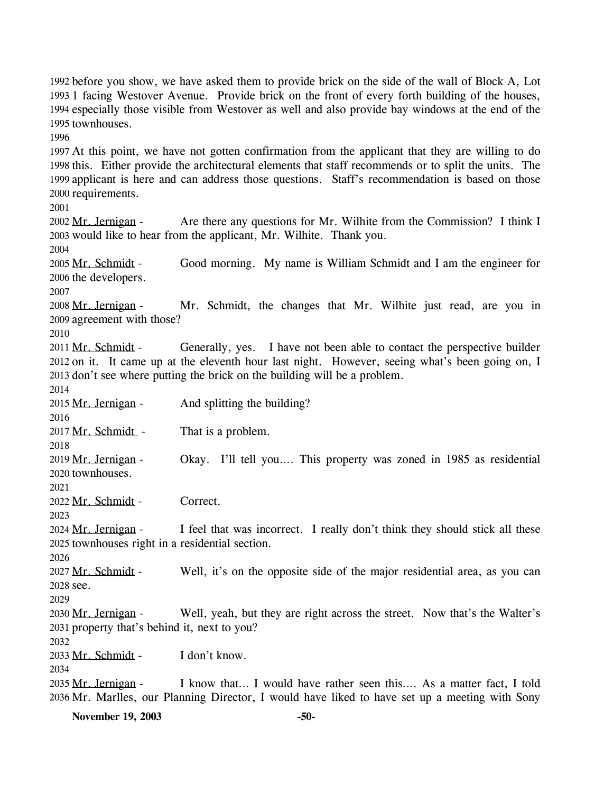1992 before you show, we have asked them to provide brick on the side of the wall of Block A, Lot 1993 1 facing Westover Avenue. Provide brick on the front of every forth building of the houses, 1994 especially those visible from Westover as well and also provide bay windows at the end of the 1995 townhouses. 1996 1997 At this point, we have not gotten confirmation from the applicant that they are willing to do 1998 this. Either provide the architectural elements that staff recommends or to split the units. The 1999 applicant is here and can address those questions. Staff's recommendation is based on those 2000 requirements. 2001 Are there any questions for Mr. Wilhite from the Commission? I think I 2003 would like to hear from the applicant, Mr. Wilhite. Thank you. 2002 Mr. Jernigan -2004 Good morning. My name is William Schmidt and I am the engineer for 2006 the developers. 2005 Mr. Schmidt -2007 Mr. Schmidt, the changes that Mr. Wilhite just read, are you in 2009 agreement with those? 2008 Mr. Jernigan -2010 Generally, yes. I have not been able to contact the perspective builder 2012 on it. It came up at the eleventh hour last night. However, seeing what's been going on, I 2013 don't see where putting the brick on the building will be a problem. 2011 Mr. Schmidt -2014 2015 Mr. Jernigan - And splitting the building? 2016 2017 Mr. Schmidt - That is a problem. 2018 Okay. I'll tell you.... This property was zoned in 1985 as residential 2020 townhouses. 2019 Mr. Jernigan -2021 2022 Mr. Schmidt - Correct. 2023 I feel that was incorrect. I really don't think they should stick all these 2025 townhouses right in a residential section. 2024 Mr. Jernigan -2026 Well, it's on the opposite side of the major residential area, as you can 2028 see. 2027 Mr. Schmidt -2029 Well, yeah, but they are right across the street. Now that's the Walter's 2031 property that's behind it, next to you? 2030 Mr. Jernigan -2032 2033 Mr. Schmidt - I don't know. 2034 I know that… I would have rather seen this…. As a matter fact, I told 2036 Mr. Marlles, our Planning Director, I would have liked to have set up a meeting with Sony 2035 Mr. Jernigan -

**November 19, 2003 -50-**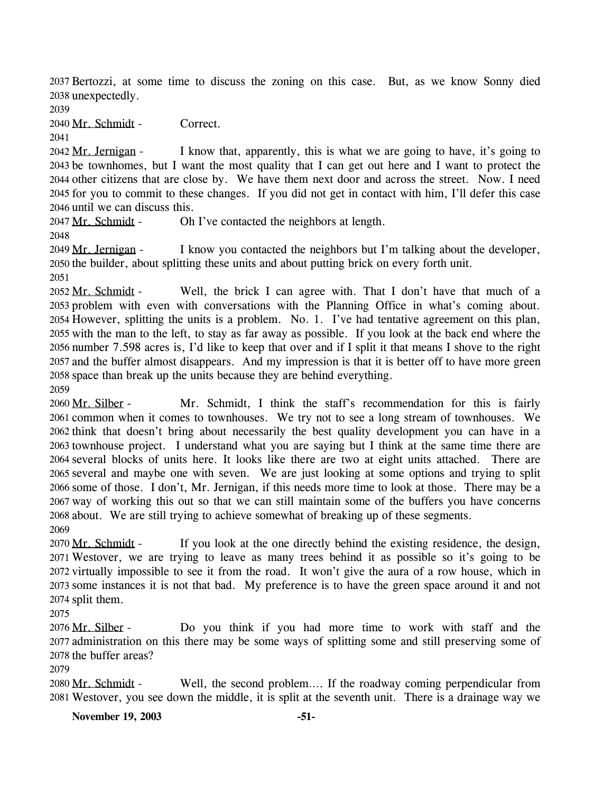2037 Bertozzi, at some time to discuss the zoning on this case. But, as we know Sonny died 2038 unexpectedly.

2039

2040 Mr. Schmidt - Correct.

2041

I know that, apparently, this is what we are going to have, it's going to 2043 be townhomes, but I want the most quality that I can get out here and I want to protect the 2044 other citizens that are close by. We have them next door and across the street. Now. I need 2045 for you to commit to these changes. If you did not get in contact with him, I'll defer this case 2046 until we can discuss this. 2042 Mr. Jernigan -

2047 Mr. Schmidt - Oh I've contacted the neighbors at length.

2048

I know you contacted the neighbors but I'm talking about the developer, 2050 the builder, about splitting these units and about putting brick on every forth unit. 2049 Mr. Jernigan -

2051

Well, the brick I can agree with. That I don't have that much of a 2053 problem with even with conversations with the Planning Office in what's coming about. 2054 However, splitting the units is a problem. No. 1. I've had tentative agreement on this plan, 2055 with the man to the left, to stay as far away as possible. If you look at the back end where the 2056 number 7.598 acres is, I'd like to keep that over and if I split it that means I shove to the right 2057 and the buffer almost disappears. And my impression is that it is better off to have more green 2058 space than break up the units because they are behind everything. 2052 Mr. Schmidt -2059

Mr. Schmidt, I think the staff's recommendation for this is fairly 2061 common when it comes to townhouses. We try not to see a long stream of townhouses. We 2062 think that doesn't bring about necessarily the best quality development you can have in a 2063 townhouse project. I understand what you are saying but I think at the same time there are 2064 several blocks of units here. It looks like there are two at eight units attached. There are 2065 several and maybe one with seven. We are just looking at some options and trying to split 2066 some of those. I don't, Mr. Jernigan, if this needs more time to look at those. There may be a 2067 way of working this out so that we can still maintain some of the buffers you have concerns 2068 about. We are still trying to achieve somewhat of breaking up of these segments. 2060 Mr. Silber -2069

If you look at the one directly behind the existing residence, the design, Westover, we are trying to leave as many trees behind it as possible so it's going to be 2071 2072 virtually impossible to see it from the road. It won't give the aura of a row house, which in 2073 some instances it is not that bad. My preference is to have the green space around it and not 2074 split them. 2070 Mr. Schmidt -

2075

Do you think if you had more time to work with staff and the 2077 administration on this there may be some ways of splitting some and still preserving some of 2078 the buffer areas? 2076 Mr. Silber -

2079

Well, the second problem…. If the roadway coming perpendicular from Westover, you see down the middle, it is split at the seventh unit. There is a drainage way we 2081 2080 Mr. Schmidt -

**November 19, 2003 -51-**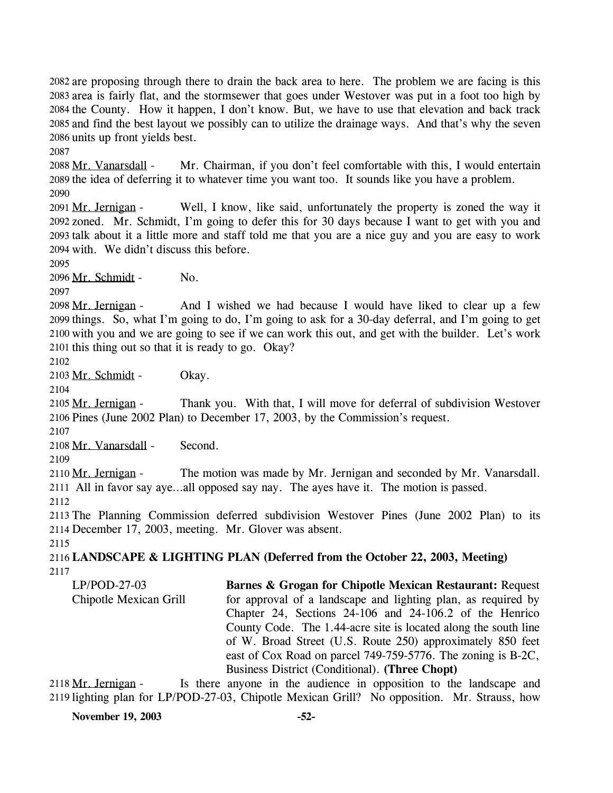2082 are proposing through there to drain the back area to here. The problem we are facing is this 2083 area is fairly flat, and the stormsewer that goes under Westover was put in a foot too high by 2084 the County. How it happen, I don't know. But, we have to use that elevation and back track 2085 and find the best layout we possibly can to utilize the drainage ways. And that's why the seven 2086 units up front yields best.

2087

Mr. Chairman, if you don't feel comfortable with this, I would entertain 2089 the idea of deferring it to whatever time you want too. It sounds like you have a problem. 2088 Mr. Vanarsdall -2090

Well, I know, like said, unfortunately the property is zoned the way it zoned. Mr. Schmidt, I'm going to defer this for 30 days because I want to get with you and 2092 2093 talk about it a little more and staff told me that you are a nice guy and you are easy to work 2094 with. We didn't discuss this before. 2091 Mr. Jernigan -

2095

2096 Mr. Schmidt - No.

2097

And I wished we had because I would have liked to clear up a few 2099 things. So, what I'm going to do, I'm going to ask for a 30-day deferral, and I'm going to get 2100 with you and we are going to see if we can work this out, and get with the builder. Let's work 2101 this thing out so that it is ready to go. Okay? 2098 Mr. Jernigan -

2102

2103 Mr. Schmidt - Okay.

2104

Thank you. With that, I will move for deferral of subdivision Westover 2106 Pines (June 2002 Plan) to December 17, 2003, by the Commission's request. 2105 Mr. Jernigan -

2107

2108 Mr. Vanarsdall - Second.

2109

The motion was made by Mr. Jernigan and seconded by Mr. Vanarsdall. All in favor say aye…all opposed say nay. The ayes have it. The motion is passed. 2111 2110 Mr. Jernigan -2112

2113 The Planning Commission deferred subdivision Westover Pines (June 2002 Plan) to its 2114 December 17, 2003, meeting. Mr. Glover was absent.

2115

2116 **LANDSCAPE & LIGHTING PLAN (Deferred from the October 22, 2003, Meeting)**  2117

LP/POD-27-03 Chipotle Mexican Grill **Barnes & Grogan for Chipotle Mexican Restaurant:** Request for approval of a landscape and lighting plan, as required by Chapter 24, Sections 24-106 and 24-106.2 of the Henrico County Code. The 1.44-acre site is located along the south line of W. Broad Street (U.S. Route 250) approximately 850 feet east of Cox Road on parcel 749-759-5776. The zoning is B-2C, Business District (Conditional). **(Three Chopt)** 

Is there anyone in the audience in opposition to the landscape and 2119 lighting plan for LP/POD-27-03, Chipotle Mexican Grill? No opposition. Mr. Strauss, how 2118 Mr. Jernigan -

**November 19, 2003 -52-**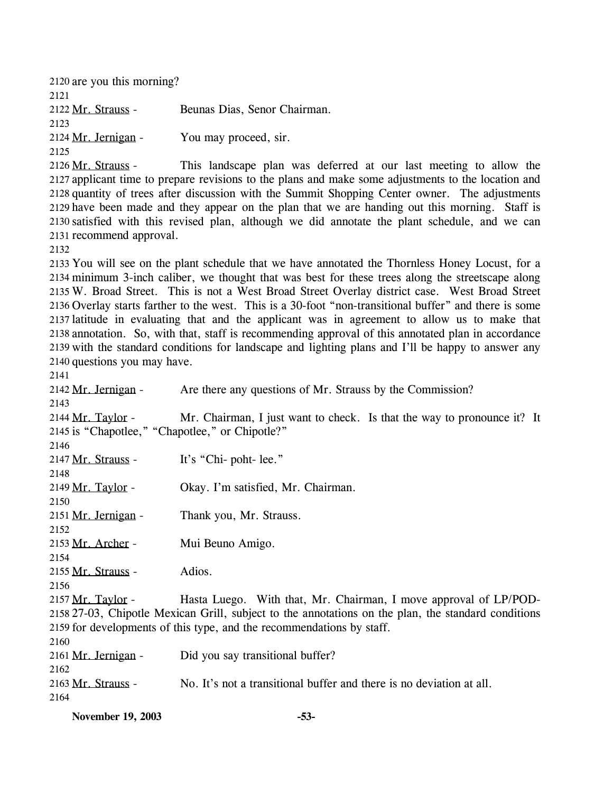2120 are you this morning? 2121 2122 Mr. Strauss - Beunas Dias, Senor Chairman. 2123 2124 Mr. Jernigan - You may proceed, sir. 2125

This landscape plan was deferred at our last meeting to allow the 2127 applicant time to prepare revisions to the plans and make some adjustments to the location and 2128 quantity of trees after discussion with the Summit Shopping Center owner. The adjustments 2129 have been made and they appear on the plan that we are handing out this morning. Staff is 2130 satisfied with this revised plan, although we did annotate the plant schedule, and we can 2131 recommend approval. 2126 Mr. Strauss -

2132

 You will see on the plant schedule that we have annotated the Thornless Honey Locust, for a minimum 3-inch caliber, we thought that was best for these trees along the streetscape along W. Broad Street. This is not a West Broad Street Overlay district case. West Broad Street Overlay starts farther to the west. This is a 30-foot "non-transitional buffer" and there is some latitude in evaluating that and the applicant was in agreement to allow us to make that annotation. So, with that, staff is recommending approval of this annotated plan in accordance with the standard conditions for landscape and lighting plans and I'll be happy to answer any questions you may have.

2141

2142 Mr. Jernigan - Are there any questions of Mr. Strauss by the Commission? 2143 Mr. Chairman, I just want to check. Is that the way to pronounce it? It 2145 is "Chapotlee," "Chapotlee," or Chipotle?" 2144 Mr. Taylor -2146 2147 Mr. Strauss - It's "Chi- poht- lee." 2148 2149 Mr. Taylor - Okay. I'm satisfied, Mr. Chairman. 2150 2151 Mr. Jernigan - Thank you, Mr. Strauss. 2152 2153 Mr. Archer - Mui Beuno Amigo. 2154 2155 Mr. Strauss - Adios. 2156 Hasta Luego. With that, Mr. Chairman, I move approval of LP/POD-27-03, Chipotle Mexican Grill, subject to the annotations on the plan, the standard conditions 2158 2159 for developments of this type, and the recommendations by staff. 2157 Mr. Taylor -2160 2161 Mr. Jernigan - Did you say transitional buffer? 2162 2163 Mr. Strauss - No. It's not a transitional buffer and there is no deviation at all. 2164

**November 19, 2003 -53-**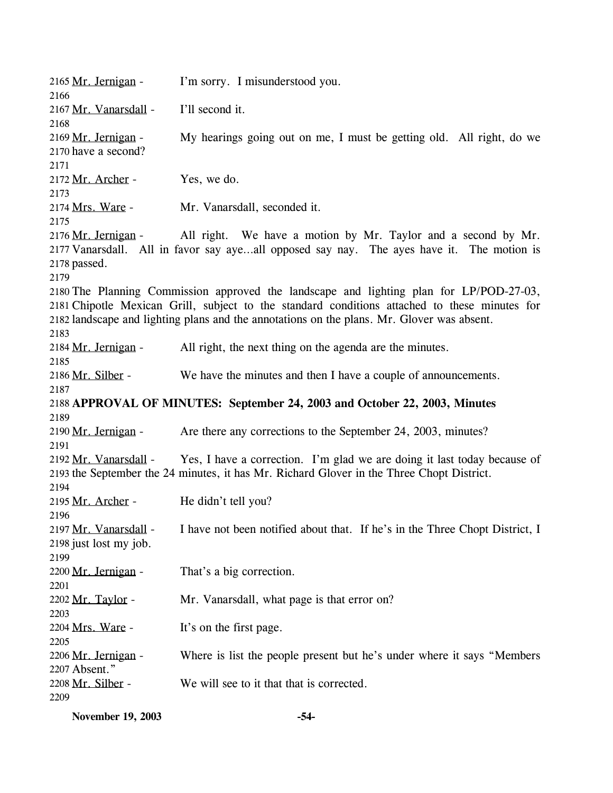2165 Mr. Jernigan - I'm sorry. I misunderstood you. 2166 2167 Mr. Vanarsdall - I'll second it. 2168 My hearings going out on me, I must be getting old. All right, do we 2170 have a second? 2169 Mr. Jernigan -2171 2172 Mr. Archer - Yes, we do. 2173 2174 Mrs. Ware - Mr. Vanarsdall, seconded it. 2175 All right. We have a motion by Mr. Taylor and a second by Mr. 2177 Vanarsdall. All in favor say aye...all opposed say nay. The ayes have it. The motion is 2178 passed. 2176 Mr. Jernigan -2179 2180 The Planning Commission approved the landscape and lighting plan for LP/POD-27-03, 2181 Chipotle Mexican Grill, subject to the standard conditions attached to these minutes for 2182 landscape and lighting plans and the annotations on the plans. Mr. Glover was absent. 2183 2184 Mr. Jernigan - All right, the next thing on the agenda are the minutes. 2185 2186 Mr. Silber - We have the minutes and then I have a couple of announcements. 2187 2188 **APPROVAL OF MINUTES: September 24, 2003 and October 22, 2003, Minutes** 2189 2190 Mr. Jernigan - Are there any corrections to the September 24, 2003, minutes? 2191 Yes, I have a correction. I'm glad we are doing it last today because of 2193 the September the 24 minutes, it has Mr. Richard Glover in the Three Chopt District. 2192 Mr. Vanarsdall -2194 2195 Mr. Archer - He didn't tell you? 2196 I have not been notified about that. If he's in the Three Chopt District, I 2198 just lost my job. 2197 Mr. Vanarsdall -2199 2200 Mr. Jernigan - That's a big correction. 2201 2202 Mr. Taylor - Mr. Vanarsdall, what page is that error on? 2203 2204 Mrs. Ware - It's on the first page. 2205 Where is list the people present but he's under where it says "Members" Absent." 2207 2206 Mr. Jernigan -2208 Mr. Silber - We will see to it that that is corrected. 2209

**November 19, 2003 -54-**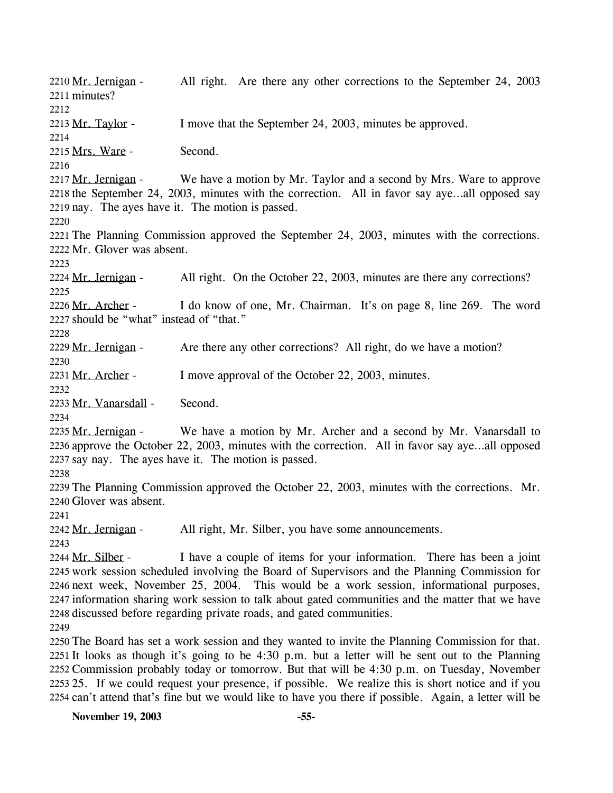All right. Are there any other corrections to the September 24, 2003 2211 minutes? 2210 Mr. Jernigan -2212 2213 Mr. Taylor - I move that the September 24, 2003, minutes be approved. 2214 2215 Mrs. Ware - Second. 2216 We have a motion by Mr. Taylor and a second by Mrs. Ware to approve 2218 the September 24, 2003, minutes with the correction. All in favor say aye...all opposed say 2219 nay. The ayes have it. The motion is passed. 2217 Mr. Jernigan -2220 2221 The Planning Commission approved the September 24, 2003, minutes with the corrections. 2222 Mr. Glover was absent. 2223 2224 Mr. Jernigan - All right. On the October 22, 2003, minutes are there any corrections? 2225 I do know of one, Mr. Chairman. It's on page 8, line 269. The word 2227 should be "what" instead of "that." 2226 Mr. Archer -2228 2229 Mr. Jernigan - Are there any other corrections? All right, do we have a motion? 2230 2231 Mr. Archer - I move approval of the October 22, 2003, minutes.  $2232$ 2233 Mr. Vanarsdall - Second. 2234 We have a motion by Mr. Archer and a second by Mr. Vanarsdall to 2236 approve the October 22, 2003, minutes with the correction. All in favor say aye...all opposed 2237 say nay. The ayes have it. The motion is passed. 2235 Mr. Jernigan -2238 2239 The Planning Commission approved the October 22, 2003, minutes with the corrections. Mr. 2240 Glover was absent. 2241 2242 Mr. Jernigan - All right, Mr. Silber, you have some announcements.  $2243$ I have a couple of items for your information. There has been a joint 2245 work session scheduled involving the Board of Supervisors and the Planning Commission for 2246 next week, November 25, 2004. This would be a work session, informational purposes, 2247 information sharing work session to talk about gated communities and the matter that we have 2248 discussed before regarding private roads, and gated communities. 2244 Mr. Silber -2249 2250 The Board has set a work session and they wanted to invite the Planning Commission for that. 2251 It looks as though it's going to be 4:30 p.m. but a letter will be sent out to the Planning 2252 Commission probably today or tomorrow. But that will be 4:30 p.m. on Tuesday, November 2253 25. If we could request your presence, if possible. We realize this is short notice and if you

2254 can't attend that's fine but we would like to have you there if possible. Again, a letter will be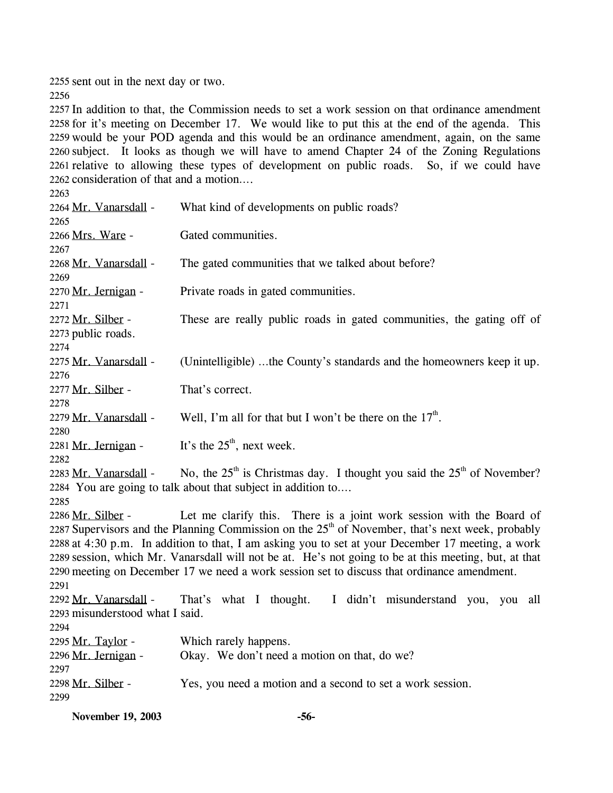2255 sent out in the next day or two.

2256

 In addition to that, the Commission needs to set a work session on that ordinance amendment for it's meeting on December 17. We would like to put this at the end of the agenda. This would be your POD agenda and this would be an ordinance amendment, again, on the same subject. It looks as though we will have to amend Chapter 24 of the Zoning Regulations relative to allowing these types of development on public roads. So, if we could have consideration of that and a motion….  $2262$ 

| 2203                                                                                               |                                                                                                       |  |
|----------------------------------------------------------------------------------------------------|-------------------------------------------------------------------------------------------------------|--|
| 2264 Mr. Vanarsdall -                                                                              | What kind of developments on public roads?                                                            |  |
| 2265                                                                                               |                                                                                                       |  |
| 2266 Mrs. Ware -                                                                                   | Gated communities.                                                                                    |  |
| 2267                                                                                               |                                                                                                       |  |
| 2268 Mr. Vanarsdall -                                                                              | The gated communities that we talked about before?                                                    |  |
| 2269                                                                                               |                                                                                                       |  |
| 2270 Mr. Jernigan -                                                                                | Private roads in gated communities.                                                                   |  |
| 2271                                                                                               |                                                                                                       |  |
| 2272 Mr. Silber -                                                                                  | These are really public roads in gated communities, the gating off of                                 |  |
| 2273 public roads.                                                                                 |                                                                                                       |  |
| 2274                                                                                               |                                                                                                       |  |
| 2275 Mr. Vanarsdall -                                                                              | (Unintelligible) the County's standards and the homeowners keep it up.                                |  |
| 2276                                                                                               |                                                                                                       |  |
| 2277 Mr. Silber -                                                                                  | That's correct.                                                                                       |  |
| 2278                                                                                               |                                                                                                       |  |
| 2279 Mr. Vanarsdall -                                                                              | Well, I'm all for that but I won't be there on the $17th$ .                                           |  |
| 2280                                                                                               |                                                                                                       |  |
| 2281 Mr. Jernigan -                                                                                | It's the $25th$ , next week.                                                                          |  |
| 2282                                                                                               |                                                                                                       |  |
| 2283 Mr. Vanarsdall -                                                                              | No, the $25th$ is Christmas day. I thought you said the $25th$ of November?                           |  |
|                                                                                                    | 2284 You are going to talk about that subject in addition to                                          |  |
| 2285                                                                                               |                                                                                                       |  |
| 2286 Mr. Silber -                                                                                  | Let me clarify this. There is a joint work session with the Board of                                  |  |
| 2287 Supervisors and the Planning Commission on the $25th$ of November, that's next week, probably |                                                                                                       |  |
|                                                                                                    | 2288 at 4:30 p.m. In addition to that, I am asking you to set at your December 17 meeting, a work     |  |
|                                                                                                    | 2289 session, which Mr. Vanarsdall will not be at. He's not going to be at this meeting, but, at that |  |
|                                                                                                    | 2290 meeting on December 17 we need a work session set to discuss that ordinance amendment.           |  |
| 2291                                                                                               |                                                                                                       |  |
| 2292 Mr. Vanarsdall -                                                                              | That's what I thought. I didn't misunderstand you, you<br>all                                         |  |
| 2293 misunderstood what I said.                                                                    |                                                                                                       |  |
| 2294                                                                                               |                                                                                                       |  |
| 2295 Mr. Taylor -                                                                                  | Which rarely happens.                                                                                 |  |
| 2296 Mr. Jernigan -                                                                                | Okay. We don't need a motion on that, do we?                                                          |  |
| 2297                                                                                               |                                                                                                       |  |
| 2298 Mr. Silber -                                                                                  | Yes, you need a motion and a second to set a work session.                                            |  |
| 2299                                                                                               |                                                                                                       |  |

**November 19, 2003 -56-**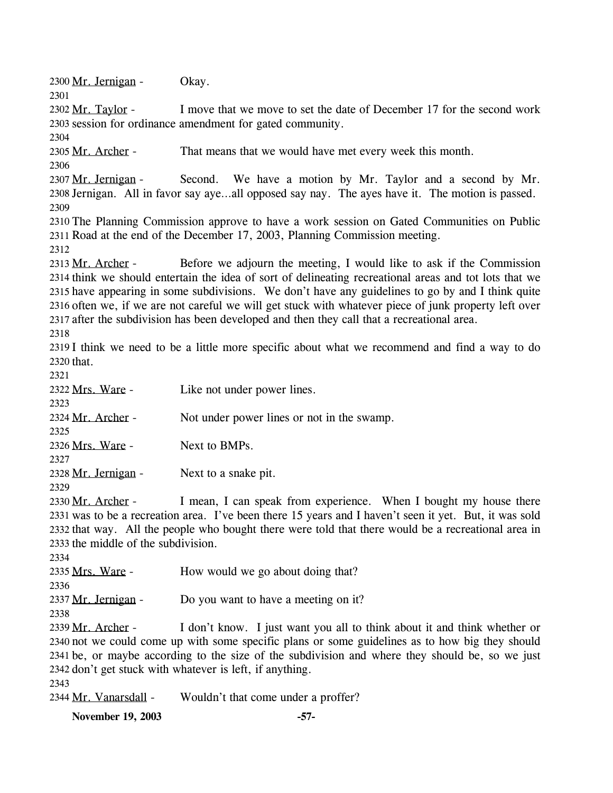2300 Mr. Jernigan - Okay. 2301 I move that we move to set the date of December 17 for the second work 2303 session for ordinance amendment for gated community. 2302 Mr. Taylor -2304 2305 Mr. Archer - That means that we would have met every week this month. 2306 Second. We have a motion by Mr. Taylor and a second by Mr. 2308 Jernigan. All in favor say aye...all opposed say nay. The ayes have it. The motion is passed. 2307 Mr. Jernigan -2309 2310 The Planning Commission approve to have a work session on Gated Communities on Public 2311 Road at the end of the December 17, 2003, Planning Commission meeting. 2312 Before we adjourn the meeting, I would like to ask if the Commission 2314 think we should entertain the idea of sort of delineating recreational areas and tot lots that we 2315 have appearing in some subdivisions. We don't have any guidelines to go by and I think quite 2316 often we, if we are not careful we will get stuck with whatever piece of junk property left over 2317 after the subdivision has been developed and then they call that a recreational area. 2313 Mr. Archer -2318 2319 I think we need to be a little more specific about what we recommend and find a way to do 2320 that. 2321 2322 Mrs. Ware - Like not under power lines. 2323 2324 Mr. Archer - Not under power lines or not in the swamp. 2325 2326 Mrs. Ware - Next to BMPs. 2327 2328 Mr. Jernigan - Next to a snake pit. 2329 I mean, I can speak from experience. When I bought my house there 2331 was to be a recreation area. I've been there 15 years and I haven't seen it yet. But, it was sold 2332 that way. All the people who bought there were told that there would be a recreational area in 2333 the middle of the subdivision. 2330 Mr. Archer -2334 2335 Mrs. Ware - How would we go about doing that? 2336 2337 Mr. Jernigan - Do you want to have a meeting on it? 2338 I don't know. I just want you all to think about it and think whether or 2340 not we could come up with some specific plans or some guidelines as to how big they should 2341 be, or maybe according to the size of the subdivision and where they should be, so we just 2342 don't get stuck with whatever is left, if anything. 2339 Mr. Archer -2343 2344 Mr. Vanarsdall - Wouldn't that come under a proffer? **November 19, 2003 -57-**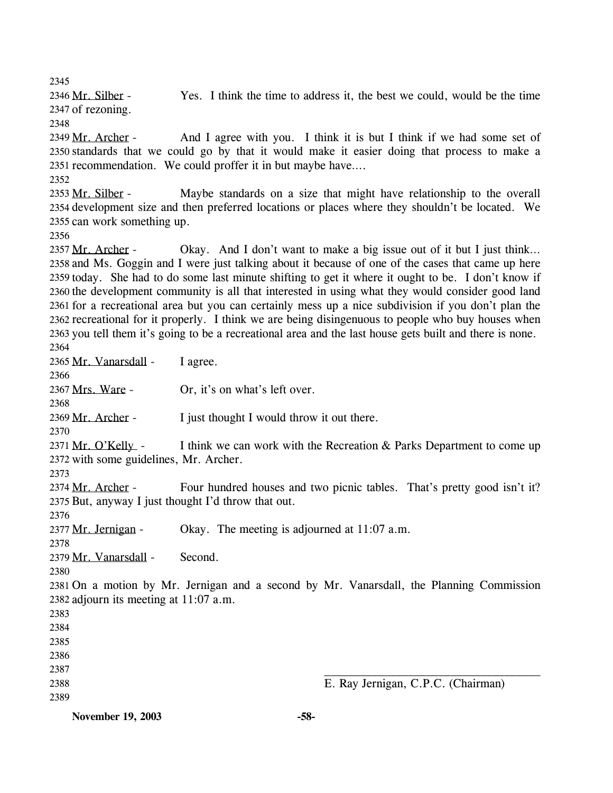2345

Yes. I think the time to address it, the best we could, would be the time 2347 of rezoning. 2346 Mr. Silber -

2348

And I agree with you. I think it is but I think if we had some set of 2350 standards that we could go by that it would make it easier doing that process to make a 2351 recommendation. We could proffer it in but maybe have.... 2349 Mr. Archer -

2352

Maybe standards on a size that might have relationship to the overall 2354 development size and then preferred locations or places where they shouldn't be located. We 2355 can work something up. 2353 Mr. Silber -

2356

Okay. And I don't want to make a big issue out of it but I just think... 2358 and Ms. Goggin and I were just talking about it because of one of the cases that came up here 2359 today. She had to do some last minute shifting to get it where it ought to be. I don't know if 2360 the development community is all that interested in using what they would consider good land 2361 for a recreational area but you can certainly mess up a nice subdivision if you don't plan the 2362 recreational for it properly. I think we are being disingenuous to people who buy houses when 2363 you tell them it's going to be a recreational area and the last house gets built and there is none. 2357 Mr. Archer -2364

2365 Mr. Vanarsdall - I agree.

2367 Mrs. Ware - Or, it's on what's left over.

2368 2369 Mr. Archer - I just thought I would throw it out there.

2370

2366

I think we can work with the Recreation  $&$  Parks Department to come up 2372 with some guidelines, Mr. Archer. 2371 Mr. O'Kelly -

2373

Four hundred houses and two picnic tables. That's pretty good isn't it? 2375 But, anyway I just thought I'd throw that out. 2374 Mr. Archer -

2376 2377 Mr. Jernigan - Okay. The meeting is adjourned at 11:07 a.m.

2378

2379 Mr. Vanarsdall - Second.

2380

2381 On a motion by Mr. Jernigan and a second by Mr. Vanarsdall, the Planning Commission 2382 adjourn its meeting at 11:07 a.m.

2383 2384

- 2385
- 2386
- 2387
- 2388

2389

E. Ray Jernigan, C.P.C. (Chairman)

**November 19, 2003 -58-**